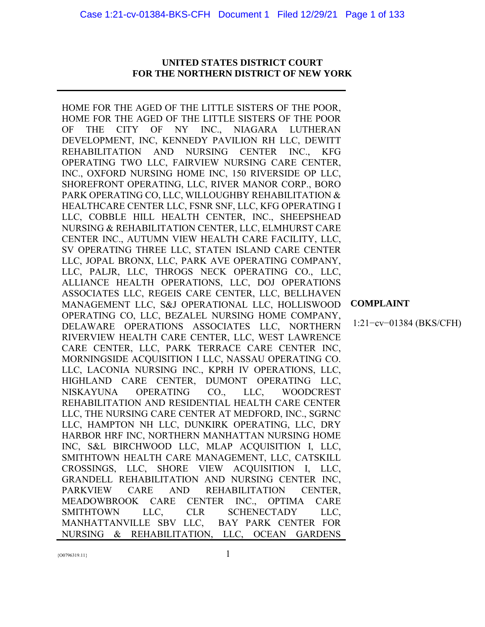# **UNITED STATES DISTRICT COURT FOR THE NORTHERN DISTRICT OF NEW YORK**

HOME FOR THE AGED OF THE LITTLE SISTERS OF THE POOR, HOME FOR THE AGED OF THE LITTLE SISTERS OF THE POOR OF THE CITY OF NY INC., NIAGARA LUTHERAN DEVELOPMENT, INC, KENNEDY PAVILION RH LLC, DEWITT REHABILITATION AND NURSING CENTER INC., KFG OPERATING TWO LLC, FAIRVIEW NURSING CARE CENTER, INC., OXFORD NURSING HOME INC, 150 RIVERSIDE OP LLC, SHOREFRONT OPERATING, LLC, RIVER MANOR CORP., BORO PARK OPERATING CO, LLC, WILLOUGHBY REHABILITATION & HEALTHCARE CENTER LLC, FSNR SNF, LLC, KFG OPERATING I LLC, COBBLE HILL HEALTH CENTER, INC., SHEEPSHEAD NURSING & REHABILITATION CENTER, LLC, ELMHURST CARE CENTER INC., AUTUMN VIEW HEALTH CARE FACILITY, LLC, SV OPERATING THREE LLC, STATEN ISLAND CARE CENTER LLC, JOPAL BRONX, LLC, PARK AVE OPERATING COMPANY, LLC, PALJR, LLC, THROGS NECK OPERATING CO., LLC, ALLIANCE HEALTH OPERATIONS, LLC, DOJ OPERATIONS ASSOCIATES LLC, REGEIS CARE CENTER, LLC, BELLHAVEN MANAGEMENT LLC, S&J OPERATIONAL LLC, HOLLISWOOD OPERATING CO, LLC, BEZALEL NURSING HOME COMPANY, DELAWARE OPERATIONS ASSOCIATES LLC, NORTHERN RIVERVIEW HEALTH CARE CENTER, LLC, WEST LAWRENCE CARE CENTER, LLC, PARK TERRACE CARE CENTER INC, MORNINGSIDE ACQUISITION I LLC, NASSAU OPERATING CO. LLC, LACONIA NURSING INC., KPRH IV OPERATIONS, LLC, HIGHLAND CARE CENTER, DUMONT OPERATING LLC, NISKAYUNA OPERATING CO., LLC, WOODCREST REHABILITATION AND RESIDENTIAL HEALTH CARE CENTER LLC, THE NURSING CARE CENTER AT MEDFORD, INC., SGRNC LLC, HAMPTON NH LLC, DUNKIRK OPERATING, LLC, DRY HARBOR HRF INC, NORTHERN MANHATTAN NURSING HOME INC, S&L BIRCHWOOD LLC, MLAP ACQUISITION I, LLC, SMITHTOWN HEALTH CARE MANAGEMENT, LLC, CATSKILL CROSSINGS, LLC, SHORE VIEW ACQUISITION I, LLC, GRANDELL REHABILITATION AND NURSING CENTER INC, PARKVIEW CARE AND REHABILITATION CENTER, MEADOWBROOK CARE CENTER INC., OPTIMA CARE SMITHTOWN LLC, CLR SCHENECTADY LLC, MANHATTANVILLE SBV LLC, BAY PARK CENTER FOR NURSING & REHABILITATION, LLC, OCEAN GARDENS

**COMPLAINT**

1:21−cv−01384 (BKS/CFH)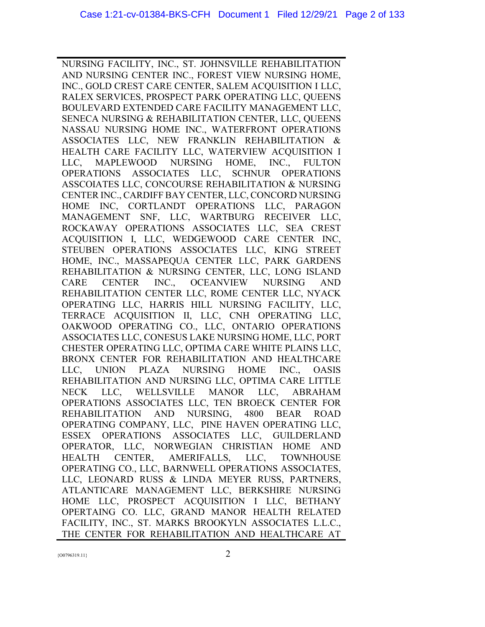NURSING FACILITY, INC., ST. JOHNSVILLE REHABILITATION AND NURSING CENTER INC., FOREST VIEW NURSING HOME, INC., GOLD CREST CARE CENTER, SALEM ACQUISITION I LLC, RALEX SERVICES, PROSPECT PARK OPERATING LLC, QUEENS BOULEVARD EXTENDED CARE FACILITY MANAGEMENT LLC, SENECA NURSING & REHABILITATION CENTER, LLC, QUEENS NASSAU NURSING HOME INC., WATERFRONT OPERATIONS ASSOCIATES LLC, NEW FRANKLIN REHABILITATION & HEALTH CARE FACILITY LLC, WATERVIEW ACQUISITION I LLC, MAPLEWOOD NURSING HOME, INC., FULTON OPERATIONS ASSOCIATES LLC, SCHNUR OPERATIONS ASSCOIATES LLC, CONCOURSE REHABILITATION & NURSING CENTER INC., CARDIFF BAY CENTER, LLC, CONCORD NURSING HOME INC, CORTLANDT OPERATIONS LLC, PARAGON MANAGEMENT SNF, LLC, WARTBURG RECEIVER LLC, ROCKAWAY OPERATIONS ASSOCIATES LLC, SEA CREST ACQUISITION I, LLC, WEDGEWOOD CARE CENTER INC, STEUBEN OPERATIONS ASSOCIATES LLC, KING STREET HOME, INC., MASSAPEQUA CENTER LLC, PARK GARDENS REHABILITATION & NURSING CENTER, LLC, LONG ISLAND CARE CENTER INC., OCEANVIEW NURSING AND REHABILITATION CENTER LLC, ROME CENTER LLC, NYACK OPERATING LLC, HARRIS HILL NURSING FACILITY, LLC, TERRACE ACQUISITION II, LLC, CNH OPERATING LLC, OAKWOOD OPERATING CO., LLC, ONTARIO OPERATIONS ASSOCIATES LLC, CONESUS LAKE NURSING HOME, LLC, PORT CHESTER OPERATING LLC, OPTIMA CARE WHITE PLAINS LLC, BRONX CENTER FOR REHABILITATION AND HEALTHCARE LLC, UNION PLAZA NURSING HOME INC., OASIS REHABILITATION AND NURSING LLC, OPTIMA CARE LITTLE NECK LLC, WELLSVILLE MANOR LLC, ABRAHAM OPERATIONS ASSOCIATES LLC, TEN BROECK CENTER FOR REHABILITATION AND NURSING, 4800 BEAR ROAD OPERATING COMPANY, LLC, PINE HAVEN OPERATING LLC, ESSEX OPERATIONS ASSOCIATES LLC, GUILDERLAND OPERATOR, LLC, NORWEGIAN CHRISTIAN HOME AND HEALTH CENTER, AMERIFALLS, LLC, TOWNHOUSE OPERATING CO., LLC, BARNWELL OPERATIONS ASSOCIATES, LLC, LEONARD RUSS & LINDA MEYER RUSS, PARTNERS, ATLANTICARE MANAGEMENT LLC, BERKSHIRE NURSING HOME LLC, PROSPECT ACQUISITION I LLC, BETHANY OPERTAING CO. LLC, GRAND MANOR HEALTH RELATED FACILITY, INC., ST. MARKS BROOKYLN ASSOCIATES L.L.C., THE CENTER FOR REHABILITATION AND HEALTHCARE AT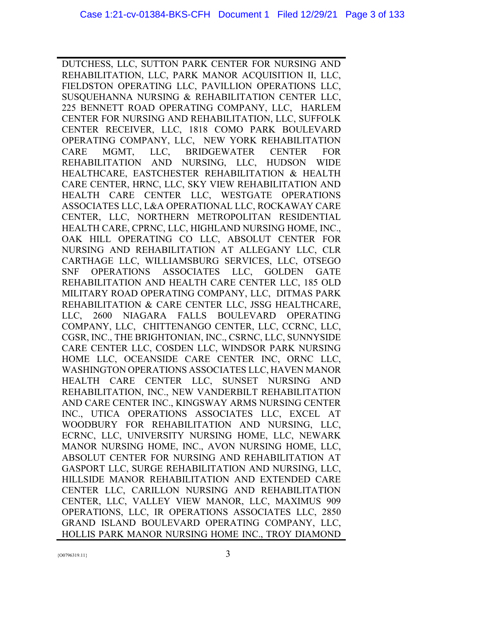DUTCHESS, LLC, SUTTON PARK CENTER FOR NURSING AND REHABILITATION, LLC, PARK MANOR ACQUISITION II, LLC, FIELDSTON OPERATING LLC, PAVILLION OPERATIONS LLC, SUSQUEHANNA NURSING & REHABILITATION CENTER LLC, 225 BENNETT ROAD OPERATING COMPANY, LLC, HARLEM CENTER FOR NURSING AND REHABILITATION, LLC, SUFFOLK CENTER RECEIVER, LLC, 1818 COMO PARK BOULEVARD OPERATING COMPANY, LLC, NEW YORK REHABILITATION CARE MGMT, LLC, BRIDGEWATER CENTER FOR REHABILITATION AND NURSING, LLC, HUDSON WIDE HEALTHCARE, EASTCHESTER REHABILITATION & HEALTH CARE CENTER, HRNC, LLC, SKY VIEW REHABILITATION AND HEALTH CARE CENTER LLC, WESTGATE OPERATIONS ASSOCIATES LLC, L&A OPERATIONAL LLC, ROCKAWAY CARE CENTER, LLC, NORTHERN METROPOLITAN RESIDENTIAL HEALTH CARE, CPRNC, LLC, HIGHLAND NURSING HOME, INC., OAK HILL OPERATING CO LLC, ABSOLUT CENTER FOR NURSING AND REHABILITATION AT ALLEGANY LLC, CLR CARTHAGE LLC, WILLIAMSBURG SERVICES, LLC, OTSEGO SNF OPERATIONS ASSOCIATES LLC, GOLDEN GATE REHABILITATION AND HEALTH CARE CENTER LLC, 185 OLD MILITARY ROAD OPERATING COMPANY, LLC, DITMAS PARK REHABILITATION & CARE CENTER LLC, JSSG HEALTHCARE, LLC, 2600 NIAGARA FALLS BOULEVARD OPERATING COMPANY, LLC, CHITTENANGO CENTER, LLC, CCRNC, LLC, CGSR, INC., THE BRIGHTONIAN, INC., CSRNC, LLC, SUNNYSIDE CARE CENTER LLC, COSDEN LLC, WINDSOR PARK NURSING HOME LLC, OCEANSIDE CARE CENTER INC, ORNC LLC, WASHINGTON OPERATIONS ASSOCIATES LLC, HAVEN MANOR HEALTH CARE CENTER LLC, SUNSET NURSING AND REHABILITATION, INC., NEW VANDERBILT REHABILITATION AND CARE CENTER INC., KINGSWAY ARMS NURSING CENTER INC., UTICA OPERATIONS ASSOCIATES LLC, EXCEL AT WOODBURY FOR REHABILITATION AND NURSING, LLC, ECRNC, LLC, UNIVERSITY NURSING HOME, LLC, NEWARK MANOR NURSING HOME, INC., AVON NURSING HOME, LLC, ABSOLUT CENTER FOR NURSING AND REHABILITATION AT GASPORT LLC, SURGE REHABILITATION AND NURSING, LLC, HILLSIDE MANOR REHABILITATION AND EXTENDED CARE CENTER LLC, CARILLON NURSING AND REHABILITATION CENTER, LLC, VALLEY VIEW MANOR, LLC, MAXIMUS 909 OPERATIONS, LLC, IR OPERATIONS ASSOCIATES LLC, 2850 GRAND ISLAND BOULEVARD OPERATING COMPANY, LLC, HOLLIS PARK MANOR NURSING HOME INC., TROY DIAMOND

 ${3}$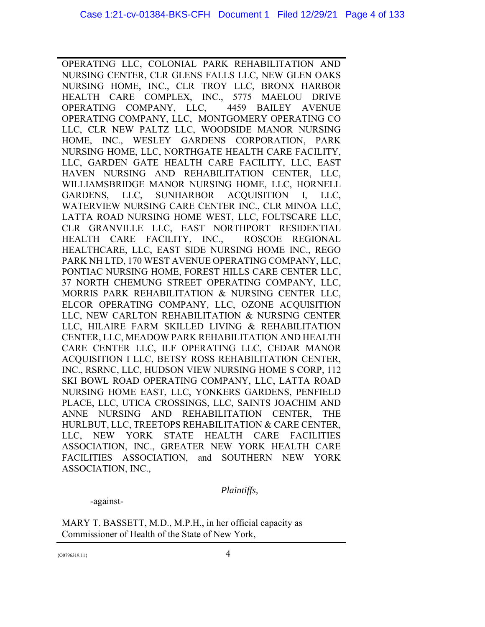OPERATING LLC, COLONIAL PARK REHABILITATION AND NURSING CENTER, CLR GLENS FALLS LLC, NEW GLEN OAKS NURSING HOME, INC., CLR TROY LLC, BRONX HARBOR HEALTH CARE COMPLEX, INC., 5775 MAELOU DRIVE OPERATING COMPANY, LLC, 4459 BAILEY AVENUE OPERATING COMPANY, LLC, MONTGOMERY OPERATING CO LLC, CLR NEW PALTZ LLC, WOODSIDE MANOR NURSING HOME, INC., WESLEY GARDENS CORPORATION, PARK NURSING HOME, LLC, NORTHGATE HEALTH CARE FACILITY, LLC, GARDEN GATE HEALTH CARE FACILITY, LLC, EAST HAVEN NURSING AND REHABILITATION CENTER, LLC, WILLIAMSBRIDGE MANOR NURSING HOME, LLC, HORNELL GARDENS, LLC, SUNHARBOR ACQUISITION I, LLC, WATERVIEW NURSING CARE CENTER INC., CLR MINOA LLC, LATTA ROAD NURSING HOME WEST, LLC, FOLTSCARE LLC, CLR GRANVILLE LLC, EAST NORTHPORT RESIDENTIAL HEALTH CARE FACILITY, INC., ROSCOE REGIONAL HEALTHCARE, LLC, EAST SIDE NURSING HOME INC., REGO PARK NH LTD, 170 WEST AVENUE OPERATING COMPANY, LLC, PONTIAC NURSING HOME, FOREST HILLS CARE CENTER LLC, 37 NORTH CHEMUNG STREET OPERATING COMPANY, LLC, MORRIS PARK REHABILITATION & NURSING CENTER LLC, ELCOR OPERATING COMPANY, LLC, OZONE ACQUISITION LLC, NEW CARLTON REHABILITATION & NURSING CENTER LLC, HILAIRE FARM SKILLED LIVING & REHABILITATION CENTER, LLC, MEADOW PARK REHABILITATION AND HEALTH CARE CENTER LLC, ILF OPERATING LLC, CEDAR MANOR ACQUISITION I LLC, BETSY ROSS REHABILITATION CENTER, INC., RSRNC, LLC, HUDSON VIEW NURSING HOME S CORP, 112 SKI BOWL ROAD OPERATING COMPANY, LLC, LATTA ROAD NURSING HOME EAST, LLC, YONKERS GARDENS, PENFIELD PLACE, LLC, UTICA CROSSINGS, LLC, SAINTS JOACHIM AND ANNE NURSING AND REHABILITATION CENTER, THE HURLBUT, LLC, TREETOPS REHABILITATION & CARE CENTER, LLC, NEW YORK STATE HEALTH CARE FACILITIES ASSOCIATION, INC., GREATER NEW YORK HEALTH CARE FACILITIES ASSOCIATION, and SOUTHERN NEW YORK ASSOCIATION, INC.,

 *Plaintiffs,*

-against-

MARY T. BASSETT, M.D., M.P.H., in her official capacity as Commissioner of Health of the State of New York,

 ${^{(00796319.11)}}$  4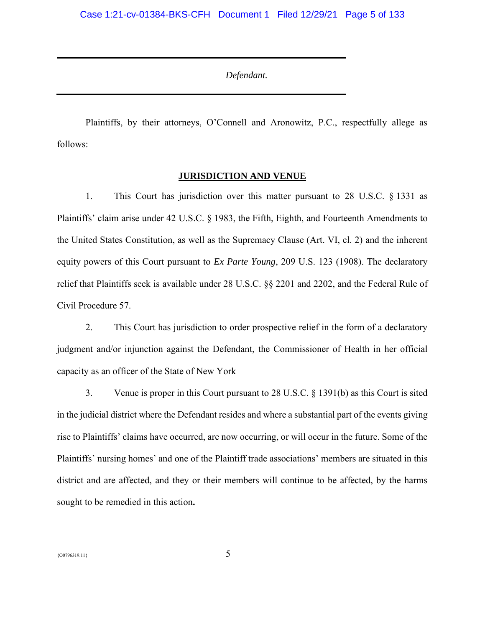*Defendant.*

Plaintiffs, by their attorneys, O'Connell and Aronowitz, P.C., respectfully allege as follows:

# **JURISDICTION AND VENUE**

1. This Court has jurisdiction over this matter pursuant to 28 U.S.C. § 1331 as Plaintiffs' claim arise under 42 U.S.C. § 1983, the Fifth, Eighth, and Fourteenth Amendments to the United States Constitution, as well as the Supremacy Clause (Art. VI, cl. 2) and the inherent equity powers of this Court pursuant to *Ex Parte Young*, 209 U.S. 123 (1908). The declaratory relief that Plaintiffs seek is available under 28 U.S.C. §§ 2201 and 2202, and the Federal Rule of Civil Procedure 57.

2. This Court has jurisdiction to order prospective relief in the form of a declaratory judgment and/or injunction against the Defendant, the Commissioner of Health in her official capacity as an officer of the State of New York

3. Venue is proper in this Court pursuant to 28 U.S.C. § 1391(b) as this Court is sited in the judicial district where the Defendant resides and where a substantial part of the events giving rise to Plaintiffs' claims have occurred, are now occurring, or will occur in the future. Some of the Plaintiffs' nursing homes' and one of the Plaintiff trade associations' members are situated in this district and are affected, and they or their members will continue to be affected, by the harms sought to be remedied in this action**.**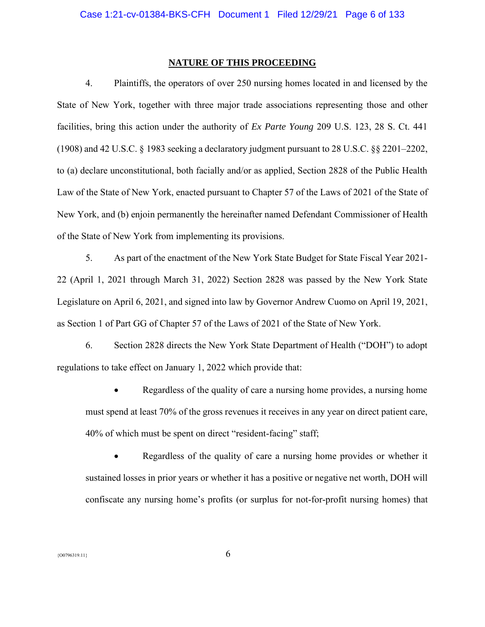#### **NATURE OF THIS PROCEEDING**

4. Plaintiffs, the operators of over 250 nursing homes located in and licensed by the State of New York, together with three major trade associations representing those and other facilities, bring this action under the authority of *Ex Parte Young* 209 U.S. 123, 28 S. Ct. 441 (1908) and 42 U.S.C. § 1983 seeking a declaratory judgment pursuant to 28 U.S.C. §§ 2201–2202, to (a) declare unconstitutional, both facially and/or as applied, Section 2828 of the Public Health Law of the State of New York, enacted pursuant to Chapter 57 of the Laws of 2021 of the State of New York, and (b) enjoin permanently the hereinafter named Defendant Commissioner of Health of the State of New York from implementing its provisions.

5. As part of the enactment of the New York State Budget for State Fiscal Year 2021- 22 (April 1, 2021 through March 31, 2022) Section 2828 was passed by the New York State Legislature on April 6, 2021, and signed into law by Governor Andrew Cuomo on April 19, 2021, as Section 1 of Part GG of Chapter 57 of the Laws of 2021 of the State of New York.

6. Section 2828 directs the New York State Department of Health ("DOH") to adopt regulations to take effect on January 1, 2022 which provide that:

• Regardless of the quality of care a nursing home provides, a nursing home must spend at least 70% of the gross revenues it receives in any year on direct patient care, 40% of which must be spent on direct "resident-facing" staff;

• Regardless of the quality of care a nursing home provides or whether it sustained losses in prior years or whether it has a positive or negative net worth, DOH will confiscate any nursing home's profits (or surplus for not-for-profit nursing homes) that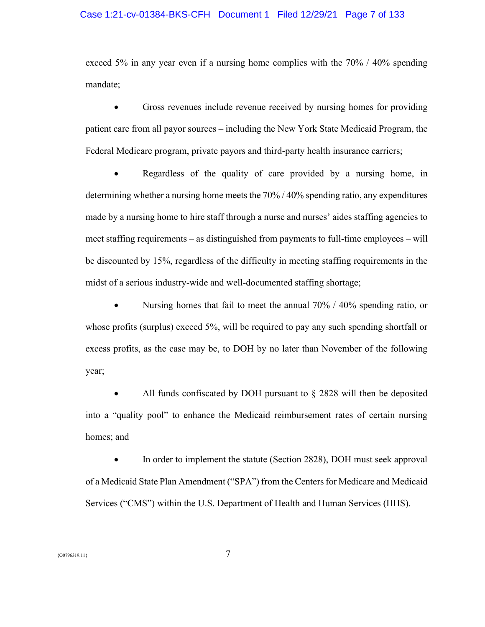# Case 1:21-cv-01384-BKS-CFH Document 1 Filed 12/29/21 Page 7 of 133

exceed 5% in any year even if a nursing home complies with the 70% / 40% spending mandate;

• Gross revenues include revenue received by nursing homes for providing patient care from all payor sources – including the New York State Medicaid Program, the Federal Medicare program, private payors and third-party health insurance carriers;

• Regardless of the quality of care provided by a nursing home, in determining whether a nursing home meets the 70% / 40% spending ratio, any expenditures made by a nursing home to hire staff through a nurse and nurses' aides staffing agencies to meet staffing requirements – as distinguished from payments to full-time employees – will be discounted by 15%, regardless of the difficulty in meeting staffing requirements in the midst of a serious industry-wide and well-documented staffing shortage;

• Nursing homes that fail to meet the annual 70% / 40% spending ratio, or whose profits (surplus) exceed 5%, will be required to pay any such spending shortfall or excess profits, as the case may be, to DOH by no later than November of the following year;

All funds confiscated by DOH pursuant to  $\S$  2828 will then be deposited into a "quality pool" to enhance the Medicaid reimbursement rates of certain nursing homes; and

• In order to implement the statute (Section 2828), DOH must seek approval of a Medicaid State Plan Amendment ("SPA") from the Centers for Medicare and Medicaid Services ("CMS") within the U.S. Department of Health and Human Services (HHS).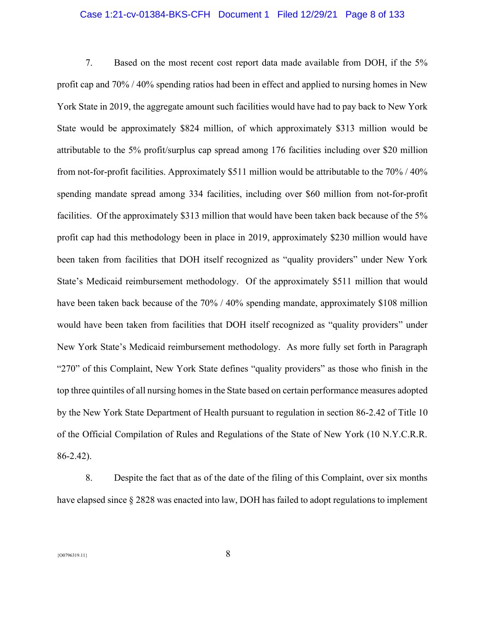# Case 1:21-cv-01384-BKS-CFH Document 1 Filed 12/29/21 Page 8 of 133

7. Based on the most recent cost report data made available from DOH, if the 5% profit cap and 70% / 40% spending ratios had been in effect and applied to nursing homes in New York State in 2019, the aggregate amount such facilities would have had to pay back to New York State would be approximately \$824 million, of which approximately \$313 million would be attributable to the 5% profit/surplus cap spread among 176 facilities including over \$20 million from not-for-profit facilities. Approximately \$511 million would be attributable to the 70% / 40% spending mandate spread among 334 facilities, including over \$60 million from not-for-profit facilities. Of the approximately \$313 million that would have been taken back because of the 5% profit cap had this methodology been in place in 2019, approximately \$230 million would have been taken from facilities that DOH itself recognized as "quality providers" under New York State's Medicaid reimbursement methodology. Of the approximately \$511 million that would have been taken back because of the 70% / 40% spending mandate, approximately \$108 million would have been taken from facilities that DOH itself recognized as "quality providers" under New York State's Medicaid reimbursement methodology. As more fully set forth in Paragraph "270" of this Complaint, New York State defines "quality providers" as those who finish in the top three quintiles of all nursing homes in the State based on certain performance measures adopted by the New York State Department of Health pursuant to regulation in section 86-2.42 of Title 10 of the Official Compilation of Rules and Regulations of the State of New York (10 N.Y.C.R.R. 86-2.42).

8. Despite the fact that as of the date of the filing of this Complaint, over six months have elapsed since § 2828 was enacted into law, DOH has failed to adopt regulations to implement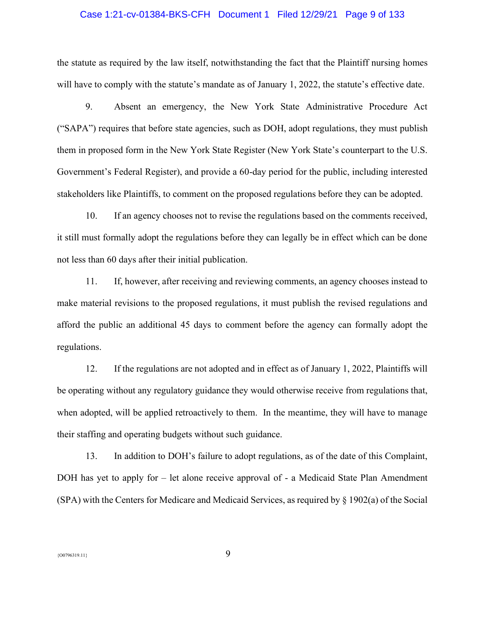# Case 1:21-cv-01384-BKS-CFH Document 1 Filed 12/29/21 Page 9 of 133

the statute as required by the law itself, notwithstanding the fact that the Plaintiff nursing homes will have to comply with the statute's mandate as of January 1, 2022, the statute's effective date.

9. Absent an emergency, the New York State Administrative Procedure Act ("SAPA") requires that before state agencies, such as DOH, adopt regulations, they must publish them in proposed form in the New York State Register (New York State's counterpart to the U.S. Government's Federal Register), and provide a 60-day period for the public, including interested stakeholders like Plaintiffs, to comment on the proposed regulations before they can be adopted.

10. If an agency chooses not to revise the regulations based on the comments received, it still must formally adopt the regulations before they can legally be in effect which can be done not less than 60 days after their initial publication.

11. If, however, after receiving and reviewing comments, an agency chooses instead to make material revisions to the proposed regulations, it must publish the revised regulations and afford the public an additional 45 days to comment before the agency can formally adopt the regulations.

12. If the regulations are not adopted and in effect as of January 1, 2022, Plaintiffs will be operating without any regulatory guidance they would otherwise receive from regulations that, when adopted, will be applied retroactively to them. In the meantime, they will have to manage their staffing and operating budgets without such guidance.

13. In addition to DOH's failure to adopt regulations, as of the date of this Complaint, DOH has yet to apply for – let alone receive approval of - a Medicaid State Plan Amendment (SPA) with the Centers for Medicare and Medicaid Services, as required by § 1902(a) of the Social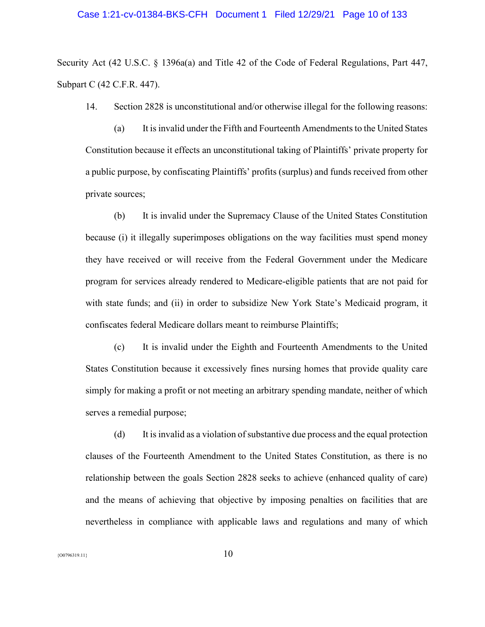#### Case 1:21-cv-01384-BKS-CFH Document 1 Filed 12/29/21 Page 10 of 133

Security Act (42 U.S.C. § 1396a(a) and Title 42 of the Code of Federal Regulations, Part 447, Subpart C (42 C.F.R. 447).

14. Section 2828 is unconstitutional and/or otherwise illegal for the following reasons:

(a) It is invalid under the Fifth and Fourteenth Amendments to the United States Constitution because it effects an unconstitutional taking of Plaintiffs' private property for a public purpose, by confiscating Plaintiffs' profits (surplus) and funds received from other private sources;

(b) It is invalid under the Supremacy Clause of the United States Constitution because (i) it illegally superimposes obligations on the way facilities must spend money they have received or will receive from the Federal Government under the Medicare program for services already rendered to Medicare-eligible patients that are not paid for with state funds; and (ii) in order to subsidize New York State's Medicaid program, it confiscates federal Medicare dollars meant to reimburse Plaintiffs;

(c) It is invalid under the Eighth and Fourteenth Amendments to the United States Constitution because it excessively fines nursing homes that provide quality care simply for making a profit or not meeting an arbitrary spending mandate, neither of which serves a remedial purpose;

(d) It is invalid as a violation of substantive due process and the equal protection clauses of the Fourteenth Amendment to the United States Constitution, as there is no relationship between the goals Section 2828 seeks to achieve (enhanced quality of care) and the means of achieving that objective by imposing penalties on facilities that are nevertheless in compliance with applicable laws and regulations and many of which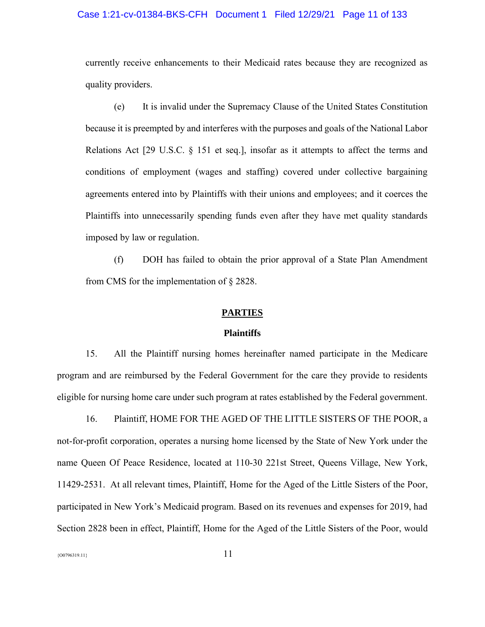# Case 1:21-cv-01384-BKS-CFH Document 1 Filed 12/29/21 Page 11 of 133

currently receive enhancements to their Medicaid rates because they are recognized as quality providers.

(e) It is invalid under the Supremacy Clause of the United States Constitution because it is preempted by and interferes with the purposes and goals of the National Labor Relations Act [29 U.S.C. § 151 et seq.], insofar as it attempts to affect the terms and conditions of employment (wages and staffing) covered under collective bargaining agreements entered into by Plaintiffs with their unions and employees; and it coerces the Plaintiffs into unnecessarily spending funds even after they have met quality standards imposed by law or regulation.

(f) DOH has failed to obtain the prior approval of a State Plan Amendment from CMS for the implementation of § 2828.

#### **PARTIES**

#### **Plaintiffs**

15. All the Plaintiff nursing homes hereinafter named participate in the Medicare program and are reimbursed by the Federal Government for the care they provide to residents eligible for nursing home care under such program at rates established by the Federal government.

16. Plaintiff, HOME FOR THE AGED OF THE LITTLE SISTERS OF THE POOR, a not-for-profit corporation, operates a nursing home licensed by the State of New York under the name Queen Of Peace Residence, located at 110-30 221st Street, Queens Village, New York, 11429-2531. At all relevant times, Plaintiff, Home for the Aged of the Little Sisters of the Poor, participated in New York's Medicaid program. Based on its revenues and expenses for 2019, had Section 2828 been in effect, Plaintiff, Home for the Aged of the Little Sisters of the Poor, would

 $\{00796319.11\}$  1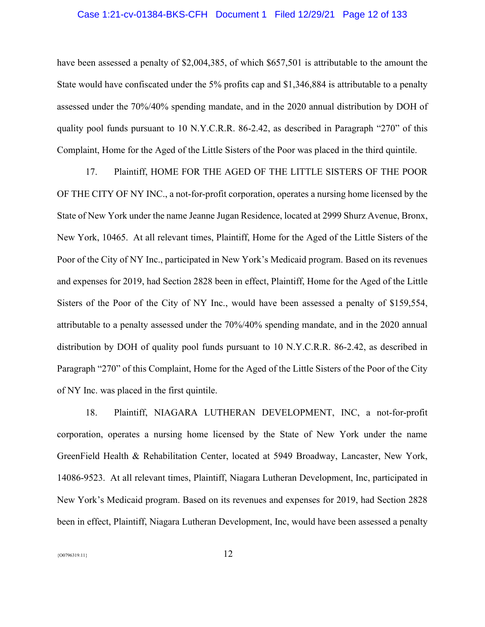# Case 1:21-cv-01384-BKS-CFH Document 1 Filed 12/29/21 Page 12 of 133

have been assessed a penalty of \$2,004,385, of which \$657,501 is attributable to the amount the State would have confiscated under the 5% profits cap and \$1,346,884 is attributable to a penalty assessed under the 70%/40% spending mandate, and in the 2020 annual distribution by DOH of quality pool funds pursuant to 10 N.Y.C.R.R. 86-2.42, as described in Paragraph "270" of this Complaint, Home for the Aged of the Little Sisters of the Poor was placed in the third quintile.

17. Plaintiff, HOME FOR THE AGED OF THE LITTLE SISTERS OF THE POOR OF THE CITY OF NY INC., a not-for-profit corporation, operates a nursing home licensed by the State of New York under the name Jeanne Jugan Residence, located at 2999 Shurz Avenue, Bronx, New York, 10465. At all relevant times, Plaintiff, Home for the Aged of the Little Sisters of the Poor of the City of NY Inc., participated in New York's Medicaid program. Based on its revenues and expenses for 2019, had Section 2828 been in effect, Plaintiff, Home for the Aged of the Little Sisters of the Poor of the City of NY Inc., would have been assessed a penalty of \$159,554, attributable to a penalty assessed under the 70%/40% spending mandate, and in the 2020 annual distribution by DOH of quality pool funds pursuant to 10 N.Y.C.R.R. 86-2.42, as described in Paragraph "270" of this Complaint, Home for the Aged of the Little Sisters of the Poor of the City of NY Inc. was placed in the first quintile.

18. Plaintiff, NIAGARA LUTHERAN DEVELOPMENT, INC, a not-for-profit corporation, operates a nursing home licensed by the State of New York under the name GreenField Health & Rehabilitation Center, located at 5949 Broadway, Lancaster, New York, 14086-9523. At all relevant times, Plaintiff, Niagara Lutheran Development, Inc, participated in New York's Medicaid program. Based on its revenues and expenses for 2019, had Section 2828 been in effect, Plaintiff, Niagara Lutheran Development, Inc, would have been assessed a penalty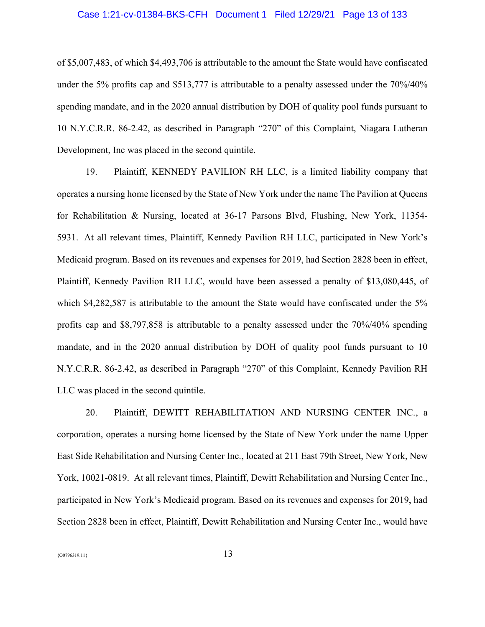# Case 1:21-cv-01384-BKS-CFH Document 1 Filed 12/29/21 Page 13 of 133

of \$5,007,483, of which \$4,493,706 is attributable to the amount the State would have confiscated under the 5% profits cap and \$513,777 is attributable to a penalty assessed under the 70%/40% spending mandate, and in the 2020 annual distribution by DOH of quality pool funds pursuant to 10 N.Y.C.R.R. 86-2.42, as described in Paragraph "270" of this Complaint, Niagara Lutheran Development, Inc was placed in the second quintile.

19. Plaintiff, KENNEDY PAVILION RH LLC, is a limited liability company that operates a nursing home licensed by the State of New York under the name The Pavilion at Queens for Rehabilitation & Nursing, located at 36-17 Parsons Blvd, Flushing, New York, 11354- 5931. At all relevant times, Plaintiff, Kennedy Pavilion RH LLC, participated in New York's Medicaid program. Based on its revenues and expenses for 2019, had Section 2828 been in effect, Plaintiff, Kennedy Pavilion RH LLC, would have been assessed a penalty of \$13,080,445, of which \$4,282,587 is attributable to the amount the State would have confiscated under the 5% profits cap and \$8,797,858 is attributable to a penalty assessed under the 70%/40% spending mandate, and in the 2020 annual distribution by DOH of quality pool funds pursuant to 10 N.Y.C.R.R. 86-2.42, as described in Paragraph "270" of this Complaint, Kennedy Pavilion RH LLC was placed in the second quintile.

20. Plaintiff, DEWITT REHABILITATION AND NURSING CENTER INC., a corporation, operates a nursing home licensed by the State of New York under the name Upper East Side Rehabilitation and Nursing Center Inc., located at 211 East 79th Street, New York, New York, 10021-0819. At all relevant times, Plaintiff, Dewitt Rehabilitation and Nursing Center Inc., participated in New York's Medicaid program. Based on its revenues and expenses for 2019, had Section 2828 been in effect, Plaintiff, Dewitt Rehabilitation and Nursing Center Inc., would have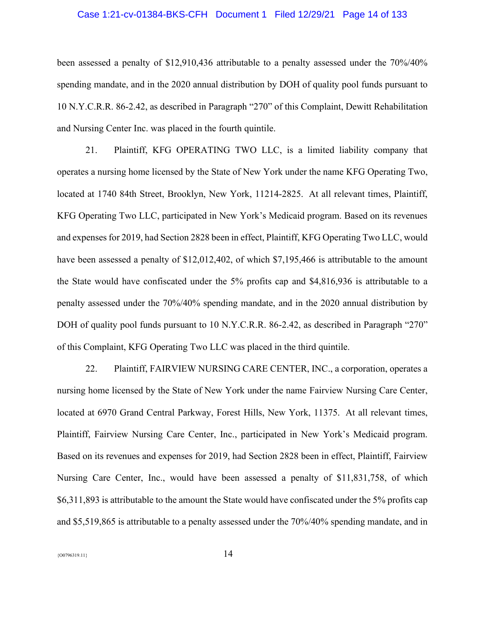# Case 1:21-cv-01384-BKS-CFH Document 1 Filed 12/29/21 Page 14 of 133

been assessed a penalty of \$12,910,436 attributable to a penalty assessed under the 70%/40% spending mandate, and in the 2020 annual distribution by DOH of quality pool funds pursuant to 10 N.Y.C.R.R. 86-2.42, as described in Paragraph "270" of this Complaint, Dewitt Rehabilitation and Nursing Center Inc. was placed in the fourth quintile.

21. Plaintiff, KFG OPERATING TWO LLC, is a limited liability company that operates a nursing home licensed by the State of New York under the name KFG Operating Two, located at 1740 84th Street, Brooklyn, New York, 11214-2825. At all relevant times, Plaintiff, KFG Operating Two LLC, participated in New York's Medicaid program. Based on its revenues and expenses for 2019, had Section 2828 been in effect, Plaintiff, KFG Operating Two LLC, would have been assessed a penalty of \$12,012,402, of which \$7,195,466 is attributable to the amount the State would have confiscated under the 5% profits cap and \$4,816,936 is attributable to a penalty assessed under the 70%/40% spending mandate, and in the 2020 annual distribution by DOH of quality pool funds pursuant to 10 N.Y.C.R.R. 86-2.42, as described in Paragraph "270" of this Complaint, KFG Operating Two LLC was placed in the third quintile.

22. Plaintiff, FAIRVIEW NURSING CARE CENTER, INC., a corporation, operates a nursing home licensed by the State of New York under the name Fairview Nursing Care Center, located at 6970 Grand Central Parkway, Forest Hills, New York, 11375. At all relevant times, Plaintiff, Fairview Nursing Care Center, Inc., participated in New York's Medicaid program. Based on its revenues and expenses for 2019, had Section 2828 been in effect, Plaintiff, Fairview Nursing Care Center, Inc., would have been assessed a penalty of \$11,831,758, of which \$6,311,893 is attributable to the amount the State would have confiscated under the 5% profits cap and \$5,519,865 is attributable to a penalty assessed under the 70%/40% spending mandate, and in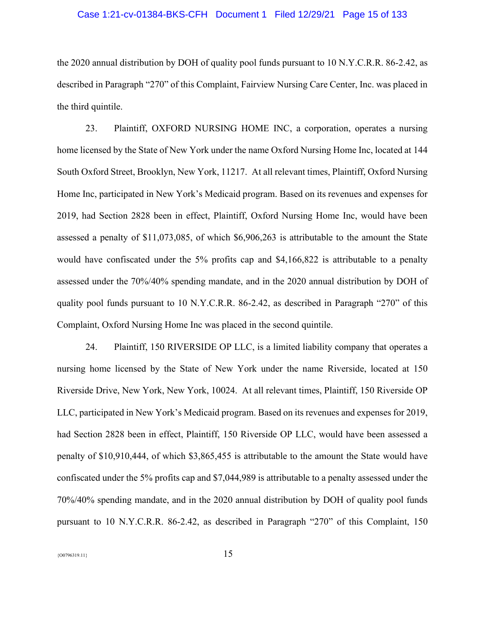# Case 1:21-cv-01384-BKS-CFH Document 1 Filed 12/29/21 Page 15 of 133

the 2020 annual distribution by DOH of quality pool funds pursuant to 10 N.Y.C.R.R. 86-2.42, as described in Paragraph "270" of this Complaint, Fairview Nursing Care Center, Inc. was placed in the third quintile.

23. Plaintiff, OXFORD NURSING HOME INC, a corporation, operates a nursing home licensed by the State of New York under the name Oxford Nursing Home Inc, located at 144 South Oxford Street, Brooklyn, New York, 11217. At all relevant times, Plaintiff, Oxford Nursing Home Inc, participated in New York's Medicaid program. Based on its revenues and expenses for 2019, had Section 2828 been in effect, Plaintiff, Oxford Nursing Home Inc, would have been assessed a penalty of \$11,073,085, of which \$6,906,263 is attributable to the amount the State would have confiscated under the 5% profits cap and \$4,166,822 is attributable to a penalty assessed under the 70%/40% spending mandate, and in the 2020 annual distribution by DOH of quality pool funds pursuant to 10 N.Y.C.R.R. 86-2.42, as described in Paragraph "270" of this Complaint, Oxford Nursing Home Inc was placed in the second quintile.

24. Plaintiff, 150 RIVERSIDE OP LLC, is a limited liability company that operates a nursing home licensed by the State of New York under the name Riverside, located at 150 Riverside Drive, New York, New York, 10024. At all relevant times, Plaintiff, 150 Riverside OP LLC, participated in New York's Medicaid program. Based on its revenues and expenses for 2019, had Section 2828 been in effect, Plaintiff, 150 Riverside OP LLC, would have been assessed a penalty of \$10,910,444, of which \$3,865,455 is attributable to the amount the State would have confiscated under the 5% profits cap and \$7,044,989 is attributable to a penalty assessed under the 70%/40% spending mandate, and in the 2020 annual distribution by DOH of quality pool funds pursuant to 10 N.Y.C.R.R. 86-2.42, as described in Paragraph "270" of this Complaint, 150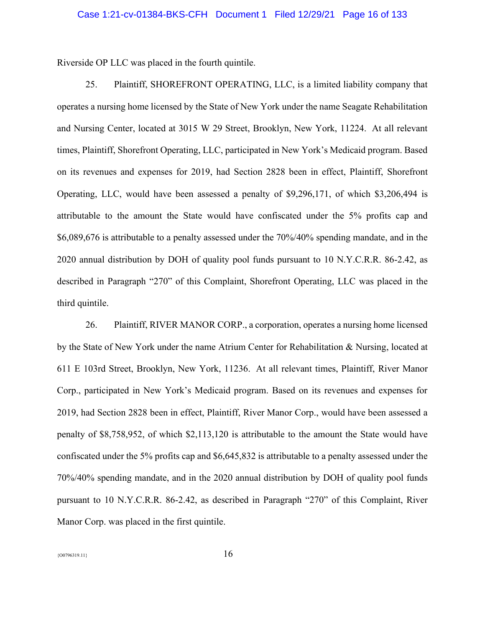Riverside OP LLC was placed in the fourth quintile.

25. Plaintiff, SHOREFRONT OPERATING, LLC, is a limited liability company that operates a nursing home licensed by the State of New York under the name Seagate Rehabilitation and Nursing Center, located at 3015 W 29 Street, Brooklyn, New York, 11224. At all relevant times, Plaintiff, Shorefront Operating, LLC, participated in New York's Medicaid program. Based on its revenues and expenses for 2019, had Section 2828 been in effect, Plaintiff, Shorefront Operating, LLC, would have been assessed a penalty of \$9,296,171, of which \$3,206,494 is attributable to the amount the State would have confiscated under the 5% profits cap and \$6,089,676 is attributable to a penalty assessed under the 70%/40% spending mandate, and in the 2020 annual distribution by DOH of quality pool funds pursuant to 10 N.Y.C.R.R. 86-2.42, as described in Paragraph "270" of this Complaint, Shorefront Operating, LLC was placed in the third quintile.

26. Plaintiff, RIVER MANOR CORP., a corporation, operates a nursing home licensed by the State of New York under the name Atrium Center for Rehabilitation & Nursing, located at 611 E 103rd Street, Brooklyn, New York, 11236. At all relevant times, Plaintiff, River Manor Corp., participated in New York's Medicaid program. Based on its revenues and expenses for 2019, had Section 2828 been in effect, Plaintiff, River Manor Corp., would have been assessed a penalty of \$8,758,952, of which \$2,113,120 is attributable to the amount the State would have confiscated under the 5% profits cap and \$6,645,832 is attributable to a penalty assessed under the 70%/40% spending mandate, and in the 2020 annual distribution by DOH of quality pool funds pursuant to 10 N.Y.C.R.R. 86-2.42, as described in Paragraph "270" of this Complaint, River Manor Corp. was placed in the first quintile.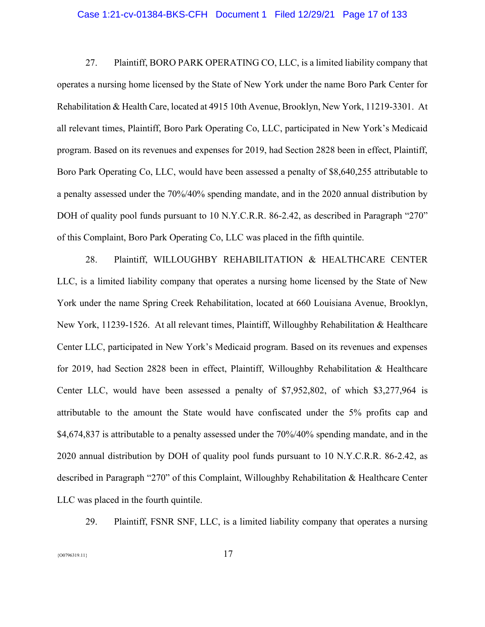#### Case 1:21-cv-01384-BKS-CFH Document 1 Filed 12/29/21 Page 17 of 133

27. Plaintiff, BORO PARK OPERATING CO, LLC, is a limited liability company that operates a nursing home licensed by the State of New York under the name Boro Park Center for Rehabilitation & Health Care, located at 4915 10th Avenue, Brooklyn, New York, 11219-3301. At all relevant times, Plaintiff, Boro Park Operating Co, LLC, participated in New York's Medicaid program. Based on its revenues and expenses for 2019, had Section 2828 been in effect, Plaintiff, Boro Park Operating Co, LLC, would have been assessed a penalty of \$8,640,255 attributable to a penalty assessed under the 70%/40% spending mandate, and in the 2020 annual distribution by DOH of quality pool funds pursuant to 10 N.Y.C.R.R. 86-2.42, as described in Paragraph "270" of this Complaint, Boro Park Operating Co, LLC was placed in the fifth quintile.

28. Plaintiff, WILLOUGHBY REHABILITATION & HEALTHCARE CENTER LLC, is a limited liability company that operates a nursing home licensed by the State of New York under the name Spring Creek Rehabilitation, located at 660 Louisiana Avenue, Brooklyn, New York, 11239-1526. At all relevant times, Plaintiff, Willoughby Rehabilitation & Healthcare Center LLC, participated in New York's Medicaid program. Based on its revenues and expenses for 2019, had Section 2828 been in effect, Plaintiff, Willoughby Rehabilitation & Healthcare Center LLC, would have been assessed a penalty of \$7,952,802, of which \$3,277,964 is attributable to the amount the State would have confiscated under the 5% profits cap and \$4,674,837 is attributable to a penalty assessed under the 70%/40% spending mandate, and in the 2020 annual distribution by DOH of quality pool funds pursuant to 10 N.Y.C.R.R. 86-2.42, as described in Paragraph "270" of this Complaint, Willoughby Rehabilitation & Healthcare Center LLC was placed in the fourth quintile.

29. Plaintiff, FSNR SNF, LLC, is a limited liability company that operates a nursing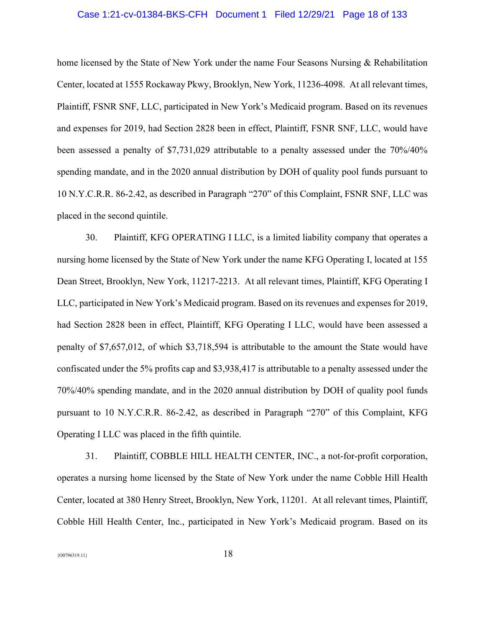# Case 1:21-cv-01384-BKS-CFH Document 1 Filed 12/29/21 Page 18 of 133

home licensed by the State of New York under the name Four Seasons Nursing & Rehabilitation Center, located at 1555 Rockaway Pkwy, Brooklyn, New York, 11236-4098. At all relevant times, Plaintiff, FSNR SNF, LLC, participated in New York's Medicaid program. Based on its revenues and expenses for 2019, had Section 2828 been in effect, Plaintiff, FSNR SNF, LLC, would have been assessed a penalty of \$7,731,029 attributable to a penalty assessed under the 70%/40% spending mandate, and in the 2020 annual distribution by DOH of quality pool funds pursuant to 10 N.Y.C.R.R. 86-2.42, as described in Paragraph "270" of this Complaint, FSNR SNF, LLC was placed in the second quintile.

30. Plaintiff, KFG OPERATING I LLC, is a limited liability company that operates a nursing home licensed by the State of New York under the name KFG Operating I, located at 155 Dean Street, Brooklyn, New York, 11217-2213. At all relevant times, Plaintiff, KFG Operating I LLC, participated in New York's Medicaid program. Based on its revenues and expenses for 2019, had Section 2828 been in effect, Plaintiff, KFG Operating I LLC, would have been assessed a penalty of \$7,657,012, of which \$3,718,594 is attributable to the amount the State would have confiscated under the 5% profits cap and \$3,938,417 is attributable to a penalty assessed under the 70%/40% spending mandate, and in the 2020 annual distribution by DOH of quality pool funds pursuant to 10 N.Y.C.R.R. 86-2.42, as described in Paragraph "270" of this Complaint, KFG Operating I LLC was placed in the fifth quintile.

31. Plaintiff, COBBLE HILL HEALTH CENTER, INC., a not-for-profit corporation, operates a nursing home licensed by the State of New York under the name Cobble Hill Health Center, located at 380 Henry Street, Brooklyn, New York, 11201. At all relevant times, Plaintiff, Cobble Hill Health Center, Inc., participated in New York's Medicaid program. Based on its

 ${18}$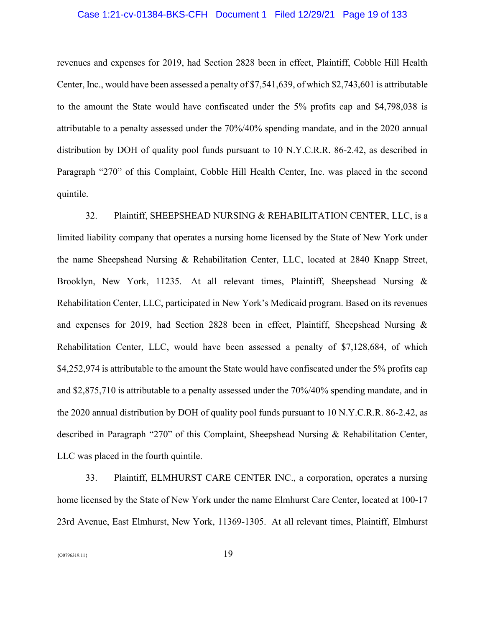# Case 1:21-cv-01384-BKS-CFH Document 1 Filed 12/29/21 Page 19 of 133

revenues and expenses for 2019, had Section 2828 been in effect, Plaintiff, Cobble Hill Health Center, Inc., would have been assessed a penalty of \$7,541,639, of which \$2,743,601 is attributable to the amount the State would have confiscated under the 5% profits cap and \$4,798,038 is attributable to a penalty assessed under the 70%/40% spending mandate, and in the 2020 annual distribution by DOH of quality pool funds pursuant to 10 N.Y.C.R.R. 86-2.42, as described in Paragraph "270" of this Complaint, Cobble Hill Health Center, Inc. was placed in the second quintile.

32. Plaintiff, SHEEPSHEAD NURSING & REHABILITATION CENTER, LLC, is a limited liability company that operates a nursing home licensed by the State of New York under the name Sheepshead Nursing & Rehabilitation Center, LLC, located at 2840 Knapp Street, Brooklyn, New York, 11235. At all relevant times, Plaintiff, Sheepshead Nursing & Rehabilitation Center, LLC, participated in New York's Medicaid program. Based on its revenues and expenses for 2019, had Section 2828 been in effect, Plaintiff, Sheepshead Nursing & Rehabilitation Center, LLC, would have been assessed a penalty of \$7,128,684, of which \$4,252,974 is attributable to the amount the State would have confiscated under the 5% profits cap and \$2,875,710 is attributable to a penalty assessed under the 70%/40% spending mandate, and in the 2020 annual distribution by DOH of quality pool funds pursuant to 10 N.Y.C.R.R. 86-2.42, as described in Paragraph "270" of this Complaint, Sheepshead Nursing & Rehabilitation Center, LLC was placed in the fourth quintile.

33. Plaintiff, ELMHURST CARE CENTER INC., a corporation, operates a nursing home licensed by the State of New York under the name Elmhurst Care Center, located at 100-17 23rd Avenue, East Elmhurst, New York, 11369-1305. At all relevant times, Plaintiff, Elmhurst

 ${^{00796319.11}}$  19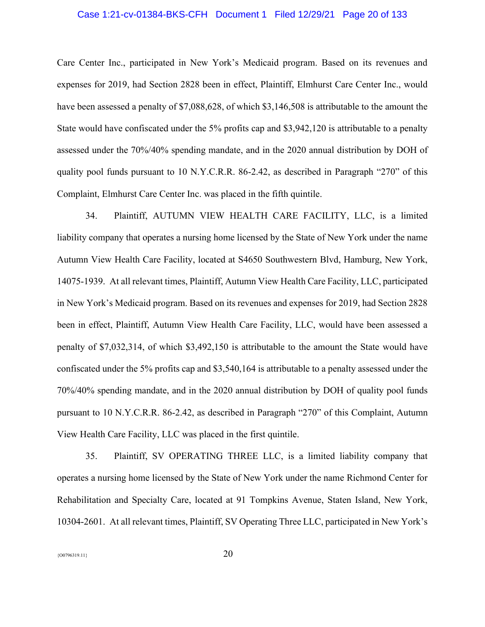# Case 1:21-cv-01384-BKS-CFH Document 1 Filed 12/29/21 Page 20 of 133

Care Center Inc., participated in New York's Medicaid program. Based on its revenues and expenses for 2019, had Section 2828 been in effect, Plaintiff, Elmhurst Care Center Inc., would have been assessed a penalty of \$7,088,628, of which \$3,146,508 is attributable to the amount the State would have confiscated under the 5% profits cap and \$3,942,120 is attributable to a penalty assessed under the 70%/40% spending mandate, and in the 2020 annual distribution by DOH of quality pool funds pursuant to 10 N.Y.C.R.R. 86-2.42, as described in Paragraph "270" of this Complaint, Elmhurst Care Center Inc. was placed in the fifth quintile.

34. Plaintiff, AUTUMN VIEW HEALTH CARE FACILITY, LLC, is a limited liability company that operates a nursing home licensed by the State of New York under the name Autumn View Health Care Facility, located at S4650 Southwestern Blvd, Hamburg, New York, 14075-1939. At all relevant times, Plaintiff, Autumn View Health Care Facility, LLC, participated in New York's Medicaid program. Based on its revenues and expenses for 2019, had Section 2828 been in effect, Plaintiff, Autumn View Health Care Facility, LLC, would have been assessed a penalty of \$7,032,314, of which \$3,492,150 is attributable to the amount the State would have confiscated under the 5% profits cap and \$3,540,164 is attributable to a penalty assessed under the 70%/40% spending mandate, and in the 2020 annual distribution by DOH of quality pool funds pursuant to 10 N.Y.C.R.R. 86-2.42, as described in Paragraph "270" of this Complaint, Autumn View Health Care Facility, LLC was placed in the first quintile.

35. Plaintiff, SV OPERATING THREE LLC, is a limited liability company that operates a nursing home licensed by the State of New York under the name Richmond Center for Rehabilitation and Specialty Care, located at 91 Tompkins Avenue, Staten Island, New York, 10304-2601. At all relevant times, Plaintiff, SV Operating Three LLC, participated in New York's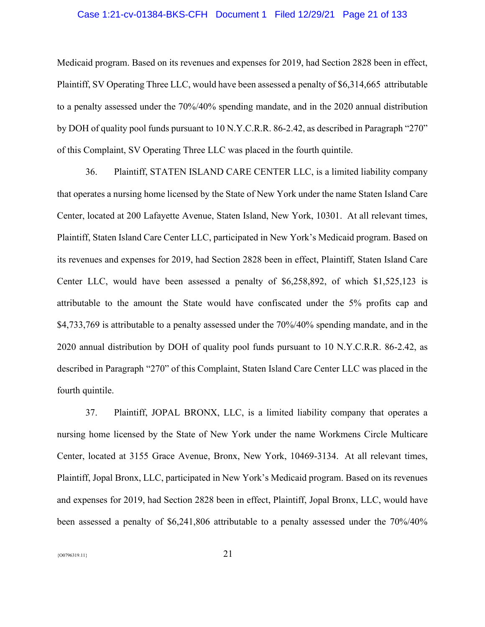# Case 1:21-cv-01384-BKS-CFH Document 1 Filed 12/29/21 Page 21 of 133

Medicaid program. Based on its revenues and expenses for 2019, had Section 2828 been in effect, Plaintiff, SV Operating Three LLC, would have been assessed a penalty of \$6,314,665 attributable to a penalty assessed under the 70%/40% spending mandate, and in the 2020 annual distribution by DOH of quality pool funds pursuant to 10 N.Y.C.R.R. 86-2.42, as described in Paragraph "270" of this Complaint, SV Operating Three LLC was placed in the fourth quintile.

36. Plaintiff, STATEN ISLAND CARE CENTER LLC, is a limited liability company that operates a nursing home licensed by the State of New York under the name Staten Island Care Center, located at 200 Lafayette Avenue, Staten Island, New York, 10301. At all relevant times, Plaintiff, Staten Island Care Center LLC, participated in New York's Medicaid program. Based on its revenues and expenses for 2019, had Section 2828 been in effect, Plaintiff, Staten Island Care Center LLC, would have been assessed a penalty of \$6,258,892, of which \$1,525,123 is attributable to the amount the State would have confiscated under the 5% profits cap and \$4,733,769 is attributable to a penalty assessed under the 70%/40% spending mandate, and in the 2020 annual distribution by DOH of quality pool funds pursuant to 10 N.Y.C.R.R. 86-2.42, as described in Paragraph "270" of this Complaint, Staten Island Care Center LLC was placed in the fourth quintile.

37. Plaintiff, JOPAL BRONX, LLC, is a limited liability company that operates a nursing home licensed by the State of New York under the name Workmens Circle Multicare Center, located at 3155 Grace Avenue, Bronx, New York, 10469-3134. At all relevant times, Plaintiff, Jopal Bronx, LLC, participated in New York's Medicaid program. Based on its revenues and expenses for 2019, had Section 2828 been in effect, Plaintiff, Jopal Bronx, LLC, would have been assessed a penalty of \$6,241,806 attributable to a penalty assessed under the 70%/40%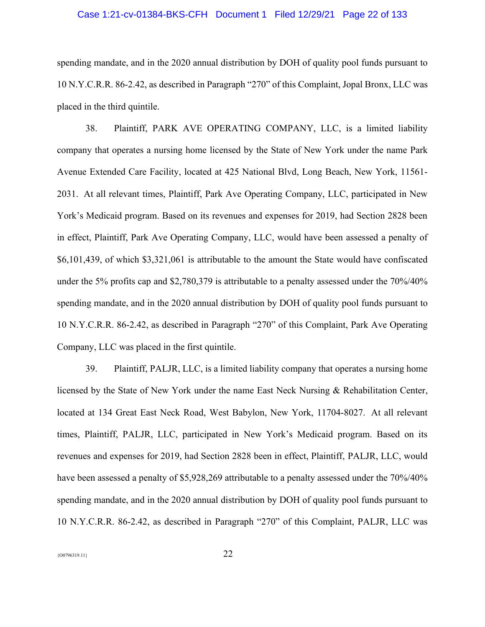# Case 1:21-cv-01384-BKS-CFH Document 1 Filed 12/29/21 Page 22 of 133

spending mandate, and in the 2020 annual distribution by DOH of quality pool funds pursuant to 10 N.Y.C.R.R. 86-2.42, as described in Paragraph "270" of this Complaint, Jopal Bronx, LLC was placed in the third quintile.

38. Plaintiff, PARK AVE OPERATING COMPANY, LLC, is a limited liability company that operates a nursing home licensed by the State of New York under the name Park Avenue Extended Care Facility, located at 425 National Blvd, Long Beach, New York, 11561- 2031. At all relevant times, Plaintiff, Park Ave Operating Company, LLC, participated in New York's Medicaid program. Based on its revenues and expenses for 2019, had Section 2828 been in effect, Plaintiff, Park Ave Operating Company, LLC, would have been assessed a penalty of \$6,101,439, of which \$3,321,061 is attributable to the amount the State would have confiscated under the 5% profits cap and \$2,780,379 is attributable to a penalty assessed under the 70%/40% spending mandate, and in the 2020 annual distribution by DOH of quality pool funds pursuant to 10 N.Y.C.R.R. 86-2.42, as described in Paragraph "270" of this Complaint, Park Ave Operating Company, LLC was placed in the first quintile.

39. Plaintiff, PALJR, LLC, is a limited liability company that operates a nursing home licensed by the State of New York under the name East Neck Nursing & Rehabilitation Center, located at 134 Great East Neck Road, West Babylon, New York, 11704-8027. At all relevant times, Plaintiff, PALJR, LLC, participated in New York's Medicaid program. Based on its revenues and expenses for 2019, had Section 2828 been in effect, Plaintiff, PALJR, LLC, would have been assessed a penalty of \$5,928,269 attributable to a penalty assessed under the 70%/40% spending mandate, and in the 2020 annual distribution by DOH of quality pool funds pursuant to 10 N.Y.C.R.R. 86-2.42, as described in Paragraph "270" of this Complaint, PALJR, LLC was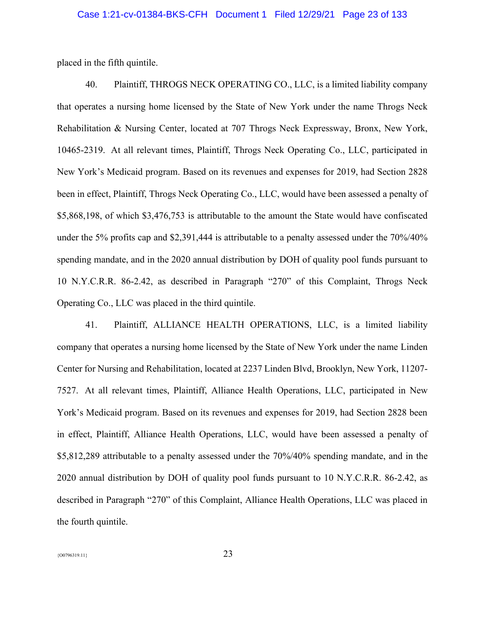placed in the fifth quintile.

40. Plaintiff, THROGS NECK OPERATING CO., LLC, is a limited liability company that operates a nursing home licensed by the State of New York under the name Throgs Neck Rehabilitation & Nursing Center, located at 707 Throgs Neck Expressway, Bronx, New York, 10465-2319. At all relevant times, Plaintiff, Throgs Neck Operating Co., LLC, participated in New York's Medicaid program. Based on its revenues and expenses for 2019, had Section 2828 been in effect, Plaintiff, Throgs Neck Operating Co., LLC, would have been assessed a penalty of \$5,868,198, of which \$3,476,753 is attributable to the amount the State would have confiscated under the 5% profits cap and \$2,391,444 is attributable to a penalty assessed under the 70%/40% spending mandate, and in the 2020 annual distribution by DOH of quality pool funds pursuant to 10 N.Y.C.R.R. 86-2.42, as described in Paragraph "270" of this Complaint, Throgs Neck Operating Co., LLC was placed in the third quintile.

41. Plaintiff, ALLIANCE HEALTH OPERATIONS, LLC, is a limited liability company that operates a nursing home licensed by the State of New York under the name Linden Center for Nursing and Rehabilitation, located at 2237 Linden Blvd, Brooklyn, New York, 11207- 7527. At all relevant times, Plaintiff, Alliance Health Operations, LLC, participated in New York's Medicaid program. Based on its revenues and expenses for 2019, had Section 2828 been in effect, Plaintiff, Alliance Health Operations, LLC, would have been assessed a penalty of \$5,812,289 attributable to a penalty assessed under the 70%/40% spending mandate, and in the 2020 annual distribution by DOH of quality pool funds pursuant to 10 N.Y.C.R.R. 86-2.42, as described in Paragraph "270" of this Complaint, Alliance Health Operations, LLC was placed in the fourth quintile.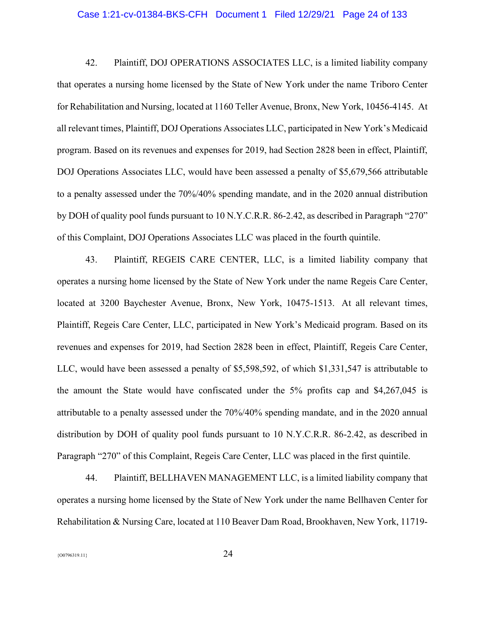#### Case 1:21-cv-01384-BKS-CFH Document 1 Filed 12/29/21 Page 24 of 133

42. Plaintiff, DOJ OPERATIONS ASSOCIATES LLC, is a limited liability company that operates a nursing home licensed by the State of New York under the name Triboro Center for Rehabilitation and Nursing, located at 1160 Teller Avenue, Bronx, New York, 10456-4145. At all relevant times, Plaintiff, DOJ Operations Associates LLC, participated in New York's Medicaid program. Based on its revenues and expenses for 2019, had Section 2828 been in effect, Plaintiff, DOJ Operations Associates LLC, would have been assessed a penalty of \$5,679,566 attributable to a penalty assessed under the 70%/40% spending mandate, and in the 2020 annual distribution by DOH of quality pool funds pursuant to 10 N.Y.C.R.R. 86-2.42, as described in Paragraph "270" of this Complaint, DOJ Operations Associates LLC was placed in the fourth quintile.

43. Plaintiff, REGEIS CARE CENTER, LLC, is a limited liability company that operates a nursing home licensed by the State of New York under the name Regeis Care Center, located at 3200 Baychester Avenue, Bronx, New York, 10475-1513. At all relevant times, Plaintiff, Regeis Care Center, LLC, participated in New York's Medicaid program. Based on its revenues and expenses for 2019, had Section 2828 been in effect, Plaintiff, Regeis Care Center, LLC, would have been assessed a penalty of \$5,598,592, of which \$1,331,547 is attributable to the amount the State would have confiscated under the 5% profits cap and \$4,267,045 is attributable to a penalty assessed under the 70%/40% spending mandate, and in the 2020 annual distribution by DOH of quality pool funds pursuant to 10 N.Y.C.R.R. 86-2.42, as described in Paragraph "270" of this Complaint, Regeis Care Center, LLC was placed in the first quintile.

44. Plaintiff, BELLHAVEN MANAGEMENT LLC, is a limited liability company that operates a nursing home licensed by the State of New York under the name Bellhaven Center for Rehabilitation & Nursing Care, located at 110 Beaver Dam Road, Brookhaven, New York, 11719-

 ${^{(00796319.11)}}$  24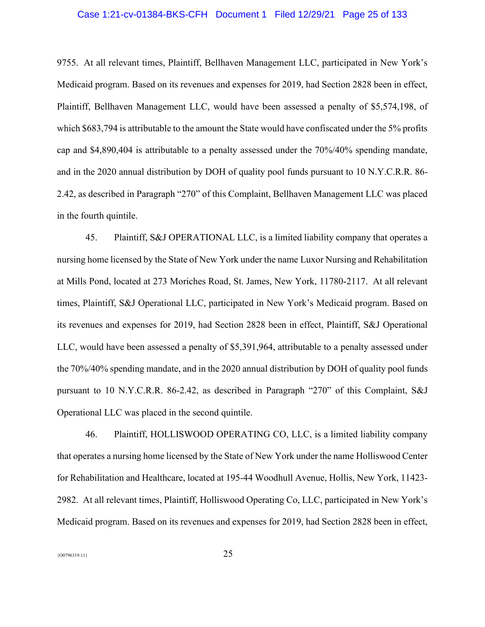# Case 1:21-cv-01384-BKS-CFH Document 1 Filed 12/29/21 Page 25 of 133

9755. At all relevant times, Plaintiff, Bellhaven Management LLC, participated in New York's Medicaid program. Based on its revenues and expenses for 2019, had Section 2828 been in effect, Plaintiff, Bellhaven Management LLC, would have been assessed a penalty of \$5,574,198, of which \$683,794 is attributable to the amount the State would have confiscated under the 5% profits cap and \$4,890,404 is attributable to a penalty assessed under the 70%/40% spending mandate, and in the 2020 annual distribution by DOH of quality pool funds pursuant to 10 N.Y.C.R.R. 86- 2.42, as described in Paragraph "270" of this Complaint, Bellhaven Management LLC was placed in the fourth quintile.

45. Plaintiff, S&J OPERATIONAL LLC, is a limited liability company that operates a nursing home licensed by the State of New York under the name Luxor Nursing and Rehabilitation at Mills Pond, located at 273 Moriches Road, St. James, New York, 11780-2117. At all relevant times, Plaintiff, S&J Operational LLC, participated in New York's Medicaid program. Based on its revenues and expenses for 2019, had Section 2828 been in effect, Plaintiff, S&J Operational LLC, would have been assessed a penalty of \$5,391,964, attributable to a penalty assessed under the 70%/40% spending mandate, and in the 2020 annual distribution by DOH of quality pool funds pursuant to 10 N.Y.C.R.R. 86-2.42, as described in Paragraph "270" of this Complaint, S&J Operational LLC was placed in the second quintile.

46. Plaintiff, HOLLISWOOD OPERATING CO, LLC, is a limited liability company that operates a nursing home licensed by the State of New York under the name Holliswood Center for Rehabilitation and Healthcare, located at 195-44 Woodhull Avenue, Hollis, New York, 11423- 2982. At all relevant times, Plaintiff, Holliswood Operating Co, LLC, participated in New York's Medicaid program. Based on its revenues and expenses for 2019, had Section 2828 been in effect,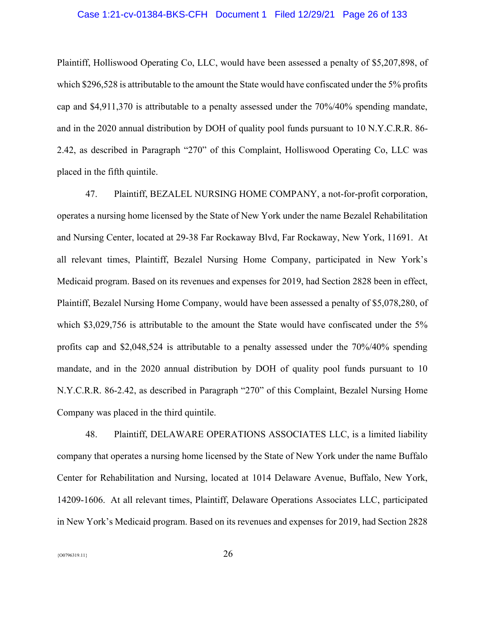# Case 1:21-cv-01384-BKS-CFH Document 1 Filed 12/29/21 Page 26 of 133

Plaintiff, Holliswood Operating Co, LLC, would have been assessed a penalty of \$5,207,898, of which \$296,528 is attributable to the amount the State would have confiscated under the 5% profits cap and \$4,911,370 is attributable to a penalty assessed under the 70%/40% spending mandate, and in the 2020 annual distribution by DOH of quality pool funds pursuant to 10 N.Y.C.R.R. 86- 2.42, as described in Paragraph "270" of this Complaint, Holliswood Operating Co, LLC was placed in the fifth quintile.

47. Plaintiff, BEZALEL NURSING HOME COMPANY, a not-for-profit corporation, operates a nursing home licensed by the State of New York under the name Bezalel Rehabilitation and Nursing Center, located at 29-38 Far Rockaway Blvd, Far Rockaway, New York, 11691. At all relevant times, Plaintiff, Bezalel Nursing Home Company, participated in New York's Medicaid program. Based on its revenues and expenses for 2019, had Section 2828 been in effect, Plaintiff, Bezalel Nursing Home Company, would have been assessed a penalty of \$5,078,280, of which \$3,029,756 is attributable to the amount the State would have confiscated under the 5% profits cap and \$2,048,524 is attributable to a penalty assessed under the 70%/40% spending mandate, and in the 2020 annual distribution by DOH of quality pool funds pursuant to 10 N.Y.C.R.R. 86-2.42, as described in Paragraph "270" of this Complaint, Bezalel Nursing Home Company was placed in the third quintile.

48. Plaintiff, DELAWARE OPERATIONS ASSOCIATES LLC, is a limited liability company that operates a nursing home licensed by the State of New York under the name Buffalo Center for Rehabilitation and Nursing, located at 1014 Delaware Avenue, Buffalo, New York, 14209-1606. At all relevant times, Plaintiff, Delaware Operations Associates LLC, participated in New York's Medicaid program. Based on its revenues and expenses for 2019, had Section 2828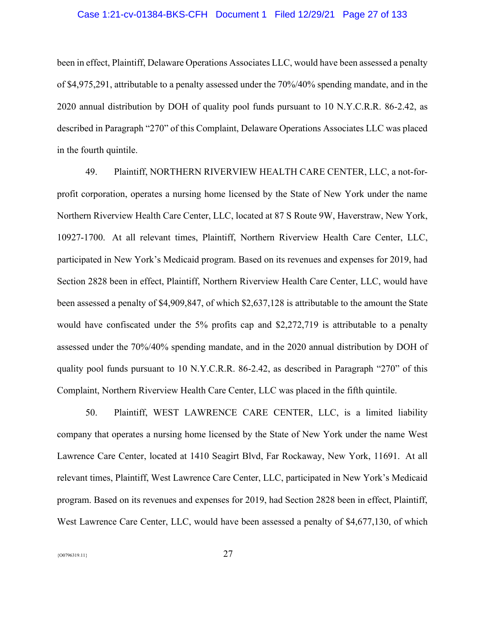# Case 1:21-cv-01384-BKS-CFH Document 1 Filed 12/29/21 Page 27 of 133

been in effect, Plaintiff, Delaware Operations Associates LLC, would have been assessed a penalty of \$4,975,291, attributable to a penalty assessed under the 70%/40% spending mandate, and in the 2020 annual distribution by DOH of quality pool funds pursuant to 10 N.Y.C.R.R. 86-2.42, as described in Paragraph "270" of this Complaint, Delaware Operations Associates LLC was placed in the fourth quintile.

49. Plaintiff, NORTHERN RIVERVIEW HEALTH CARE CENTER, LLC, a not-forprofit corporation, operates a nursing home licensed by the State of New York under the name Northern Riverview Health Care Center, LLC, located at 87 S Route 9W, Haverstraw, New York, 10927-1700. At all relevant times, Plaintiff, Northern Riverview Health Care Center, LLC, participated in New York's Medicaid program. Based on its revenues and expenses for 2019, had Section 2828 been in effect, Plaintiff, Northern Riverview Health Care Center, LLC, would have been assessed a penalty of \$4,909,847, of which \$2,637,128 is attributable to the amount the State would have confiscated under the 5% profits cap and \$2,272,719 is attributable to a penalty assessed under the 70%/40% spending mandate, and in the 2020 annual distribution by DOH of quality pool funds pursuant to 10 N.Y.C.R.R. 86-2.42, as described in Paragraph "270" of this Complaint, Northern Riverview Health Care Center, LLC was placed in the fifth quintile.

50. Plaintiff, WEST LAWRENCE CARE CENTER, LLC, is a limited liability company that operates a nursing home licensed by the State of New York under the name West Lawrence Care Center, located at 1410 Seagirt Blvd, Far Rockaway, New York, 11691. At all relevant times, Plaintiff, West Lawrence Care Center, LLC, participated in New York's Medicaid program. Based on its revenues and expenses for 2019, had Section 2828 been in effect, Plaintiff, West Lawrence Care Center, LLC, would have been assessed a penalty of \$4,677,130, of which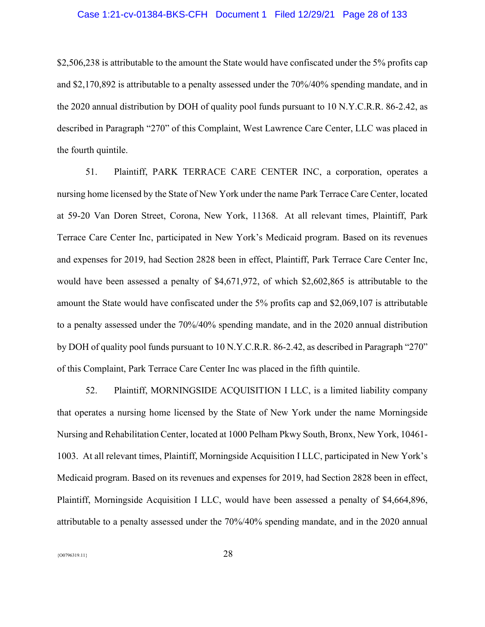# Case 1:21-cv-01384-BKS-CFH Document 1 Filed 12/29/21 Page 28 of 133

\$2,506,238 is attributable to the amount the State would have confiscated under the 5% profits cap and \$2,170,892 is attributable to a penalty assessed under the 70%/40% spending mandate, and in the 2020 annual distribution by DOH of quality pool funds pursuant to 10 N.Y.C.R.R. 86-2.42, as described in Paragraph "270" of this Complaint, West Lawrence Care Center, LLC was placed in the fourth quintile.

51. Plaintiff, PARK TERRACE CARE CENTER INC, a corporation, operates a nursing home licensed by the State of New York under the name Park Terrace Care Center, located at 59-20 Van Doren Street, Corona, New York, 11368. At all relevant times, Plaintiff, Park Terrace Care Center Inc, participated in New York's Medicaid program. Based on its revenues and expenses for 2019, had Section 2828 been in effect, Plaintiff, Park Terrace Care Center Inc, would have been assessed a penalty of \$4,671,972, of which \$2,602,865 is attributable to the amount the State would have confiscated under the 5% profits cap and \$2,069,107 is attributable to a penalty assessed under the 70%/40% spending mandate, and in the 2020 annual distribution by DOH of quality pool funds pursuant to 10 N.Y.C.R.R. 86-2.42, as described in Paragraph "270" of this Complaint, Park Terrace Care Center Inc was placed in the fifth quintile.

52. Plaintiff, MORNINGSIDE ACQUISITION I LLC, is a limited liability company that operates a nursing home licensed by the State of New York under the name Morningside Nursing and Rehabilitation Center, located at 1000 Pelham Pkwy South, Bronx, New York, 10461- 1003. At all relevant times, Plaintiff, Morningside Acquisition I LLC, participated in New York's Medicaid program. Based on its revenues and expenses for 2019, had Section 2828 been in effect, Plaintiff, Morningside Acquisition I LLC, would have been assessed a penalty of \$4,664,896, attributable to a penalty assessed under the 70%/40% spending mandate, and in the 2020 annual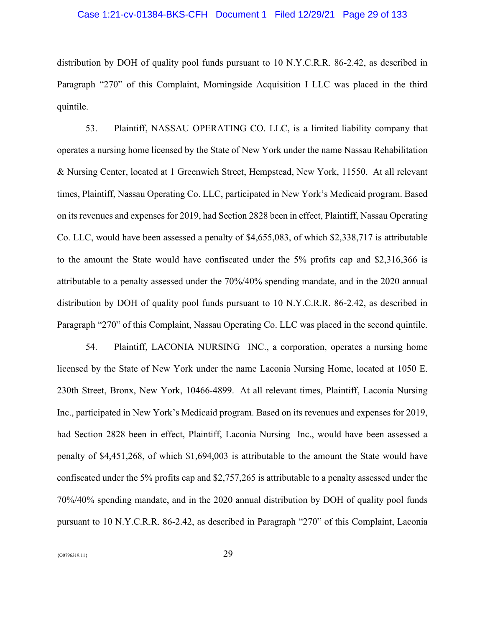# Case 1:21-cv-01384-BKS-CFH Document 1 Filed 12/29/21 Page 29 of 133

distribution by DOH of quality pool funds pursuant to 10 N.Y.C.R.R. 86-2.42, as described in Paragraph "270" of this Complaint, Morningside Acquisition I LLC was placed in the third quintile.

53. Plaintiff, NASSAU OPERATING CO. LLC, is a limited liability company that operates a nursing home licensed by the State of New York under the name Nassau Rehabilitation & Nursing Center, located at 1 Greenwich Street, Hempstead, New York, 11550. At all relevant times, Plaintiff, Nassau Operating Co. LLC, participated in New York's Medicaid program. Based on its revenues and expenses for 2019, had Section 2828 been in effect, Plaintiff, Nassau Operating Co. LLC, would have been assessed a penalty of \$4,655,083, of which \$2,338,717 is attributable to the amount the State would have confiscated under the 5% profits cap and \$2,316,366 is attributable to a penalty assessed under the 70%/40% spending mandate, and in the 2020 annual distribution by DOH of quality pool funds pursuant to 10 N.Y.C.R.R. 86-2.42, as described in Paragraph "270" of this Complaint, Nassau Operating Co. LLC was placed in the second quintile.

54. Plaintiff, LACONIA NURSING INC., a corporation, operates a nursing home licensed by the State of New York under the name Laconia Nursing Home, located at 1050 E. 230th Street, Bronx, New York, 10466-4899. At all relevant times, Plaintiff, Laconia Nursing Inc., participated in New York's Medicaid program. Based on its revenues and expenses for 2019, had Section 2828 been in effect, Plaintiff, Laconia Nursing Inc., would have been assessed a penalty of \$4,451,268, of which \$1,694,003 is attributable to the amount the State would have confiscated under the 5% profits cap and \$2,757,265 is attributable to a penalty assessed under the 70%/40% spending mandate, and in the 2020 annual distribution by DOH of quality pool funds pursuant to 10 N.Y.C.R.R. 86-2.42, as described in Paragraph "270" of this Complaint, Laconia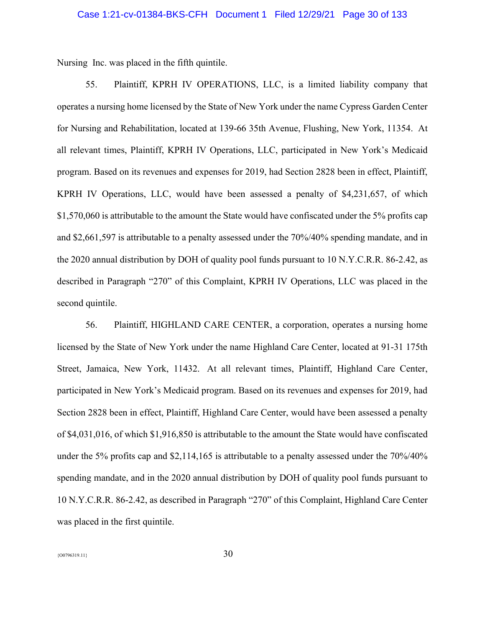Nursing Inc. was placed in the fifth quintile.

55. Plaintiff, KPRH IV OPERATIONS, LLC, is a limited liability company that operates a nursing home licensed by the State of New York under the name Cypress Garden Center for Nursing and Rehabilitation, located at 139-66 35th Avenue, Flushing, New York, 11354. At all relevant times, Plaintiff, KPRH IV Operations, LLC, participated in New York's Medicaid program. Based on its revenues and expenses for 2019, had Section 2828 been in effect, Plaintiff, KPRH IV Operations, LLC, would have been assessed a penalty of \$4,231,657, of which \$1,570,060 is attributable to the amount the State would have confiscated under the 5% profits cap and \$2,661,597 is attributable to a penalty assessed under the 70%/40% spending mandate, and in the 2020 annual distribution by DOH of quality pool funds pursuant to 10 N.Y.C.R.R. 86-2.42, as described in Paragraph "270" of this Complaint, KPRH IV Operations, LLC was placed in the second quintile.

56. Plaintiff, HIGHLAND CARE CENTER, a corporation, operates a nursing home licensed by the State of New York under the name Highland Care Center, located at 91-31 175th Street, Jamaica, New York, 11432. At all relevant times, Plaintiff, Highland Care Center, participated in New York's Medicaid program. Based on its revenues and expenses for 2019, had Section 2828 been in effect, Plaintiff, Highland Care Center, would have been assessed a penalty of \$4,031,016, of which \$1,916,850 is attributable to the amount the State would have confiscated under the 5% profits cap and \$2,114,165 is attributable to a penalty assessed under the 70%/40% spending mandate, and in the 2020 annual distribution by DOH of quality pool funds pursuant to 10 N.Y.C.R.R. 86-2.42, as described in Paragraph "270" of this Complaint, Highland Care Center was placed in the first quintile.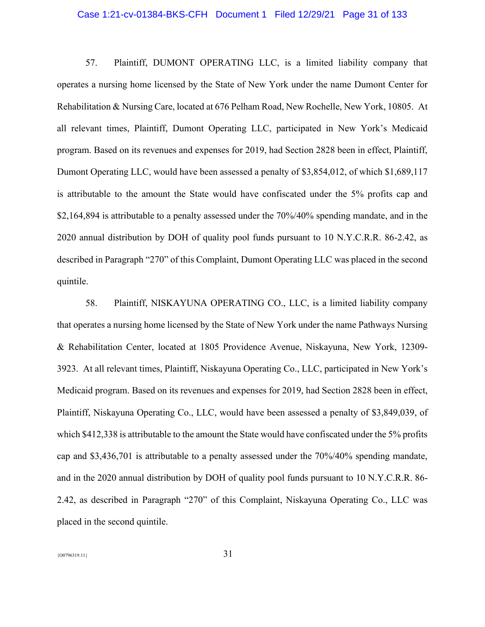#### Case 1:21-cv-01384-BKS-CFH Document 1 Filed 12/29/21 Page 31 of 133

57. Plaintiff, DUMONT OPERATING LLC, is a limited liability company that operates a nursing home licensed by the State of New York under the name Dumont Center for Rehabilitation & Nursing Care, located at 676 Pelham Road, New Rochelle, New York, 10805. At all relevant times, Plaintiff, Dumont Operating LLC, participated in New York's Medicaid program. Based on its revenues and expenses for 2019, had Section 2828 been in effect, Plaintiff, Dumont Operating LLC, would have been assessed a penalty of \$3,854,012, of which \$1,689,117 is attributable to the amount the State would have confiscated under the 5% profits cap and \$2,164,894 is attributable to a penalty assessed under the  $70\%/40\%$  spending mandate, and in the 2020 annual distribution by DOH of quality pool funds pursuant to 10 N.Y.C.R.R. 86-2.42, as described in Paragraph "270" of this Complaint, Dumont Operating LLC was placed in the second quintile.

58. Plaintiff, NISKAYUNA OPERATING CO., LLC, is a limited liability company that operates a nursing home licensed by the State of New York under the name Pathways Nursing & Rehabilitation Center, located at 1805 Providence Avenue, Niskayuna, New York, 12309- 3923. At all relevant times, Plaintiff, Niskayuna Operating Co., LLC, participated in New York's Medicaid program. Based on its revenues and expenses for 2019, had Section 2828 been in effect, Plaintiff, Niskayuna Operating Co., LLC, would have been assessed a penalty of \$3,849,039, of which \$412,338 is attributable to the amount the State would have confiscated under the 5% profits cap and \$3,436,701 is attributable to a penalty assessed under the 70%/40% spending mandate, and in the 2020 annual distribution by DOH of quality pool funds pursuant to 10 N.Y.C.R.R. 86- 2.42, as described in Paragraph "270" of this Complaint, Niskayuna Operating Co., LLC was placed in the second quintile.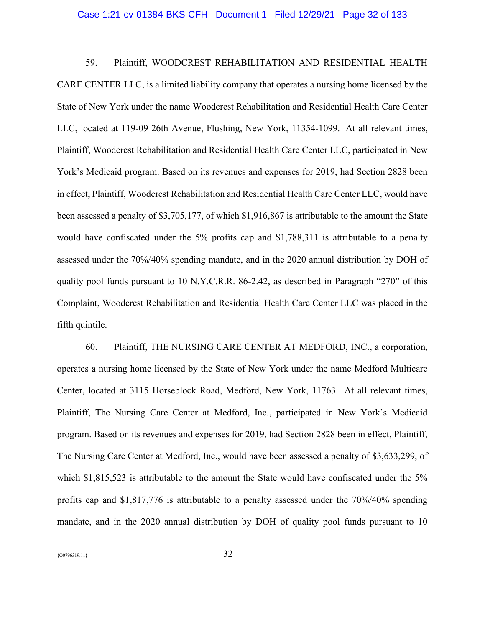#### Case 1:21-cv-01384-BKS-CFH Document 1 Filed 12/29/21 Page 32 of 133

59. Plaintiff, WOODCREST REHABILITATION AND RESIDENTIAL HEALTH CARE CENTER LLC, is a limited liability company that operates a nursing home licensed by the State of New York under the name Woodcrest Rehabilitation and Residential Health Care Center LLC, located at 119-09 26th Avenue, Flushing, New York, 11354-1099. At all relevant times, Plaintiff, Woodcrest Rehabilitation and Residential Health Care Center LLC, participated in New York's Medicaid program. Based on its revenues and expenses for 2019, had Section 2828 been in effect, Plaintiff, Woodcrest Rehabilitation and Residential Health Care Center LLC, would have been assessed a penalty of \$3,705,177, of which \$1,916,867 is attributable to the amount the State would have confiscated under the 5% profits cap and \$1,788,311 is attributable to a penalty assessed under the 70%/40% spending mandate, and in the 2020 annual distribution by DOH of quality pool funds pursuant to 10 N.Y.C.R.R. 86-2.42, as described in Paragraph "270" of this Complaint, Woodcrest Rehabilitation and Residential Health Care Center LLC was placed in the fifth quintile.

60. Plaintiff, THE NURSING CARE CENTER AT MEDFORD, INC., a corporation, operates a nursing home licensed by the State of New York under the name Medford Multicare Center, located at 3115 Horseblock Road, Medford, New York, 11763. At all relevant times, Plaintiff, The Nursing Care Center at Medford, Inc., participated in New York's Medicaid program. Based on its revenues and expenses for 2019, had Section 2828 been in effect, Plaintiff, The Nursing Care Center at Medford, Inc., would have been assessed a penalty of \$3,633,299, of which \$1,815,523 is attributable to the amount the State would have confiscated under the 5% profits cap and \$1,817,776 is attributable to a penalty assessed under the 70%/40% spending mandate, and in the 2020 annual distribution by DOH of quality pool funds pursuant to 10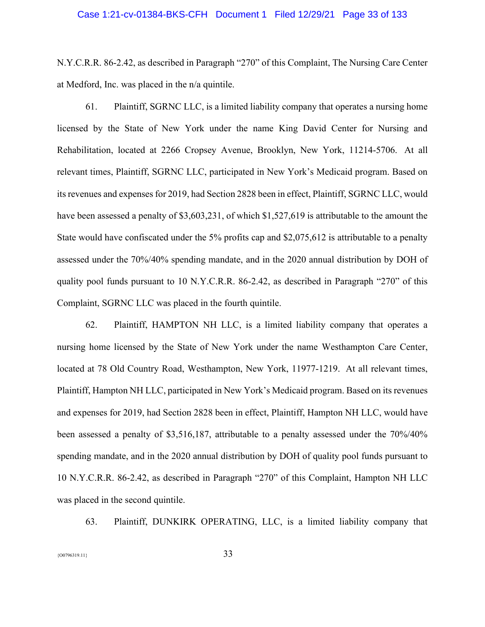# Case 1:21-cv-01384-BKS-CFH Document 1 Filed 12/29/21 Page 33 of 133

N.Y.C.R.R. 86-2.42, as described in Paragraph "270" of this Complaint, The Nursing Care Center at Medford, Inc. was placed in the n/a quintile.

61. Plaintiff, SGRNC LLC, is a limited liability company that operates a nursing home licensed by the State of New York under the name King David Center for Nursing and Rehabilitation, located at 2266 Cropsey Avenue, Brooklyn, New York, 11214-5706. At all relevant times, Plaintiff, SGRNC LLC, participated in New York's Medicaid program. Based on its revenues and expenses for 2019, had Section 2828 been in effect, Plaintiff, SGRNC LLC, would have been assessed a penalty of \$3,603,231, of which \$1,527,619 is attributable to the amount the State would have confiscated under the 5% profits cap and \$2,075,612 is attributable to a penalty assessed under the 70%/40% spending mandate, and in the 2020 annual distribution by DOH of quality pool funds pursuant to 10 N.Y.C.R.R. 86-2.42, as described in Paragraph "270" of this Complaint, SGRNC LLC was placed in the fourth quintile.

62. Plaintiff, HAMPTON NH LLC, is a limited liability company that operates a nursing home licensed by the State of New York under the name Westhampton Care Center, located at 78 Old Country Road, Westhampton, New York, 11977-1219. At all relevant times, Plaintiff, Hampton NH LLC, participated in New York's Medicaid program. Based on its revenues and expenses for 2019, had Section 2828 been in effect, Plaintiff, Hampton NH LLC, would have been assessed a penalty of \$3,516,187, attributable to a penalty assessed under the 70%/40% spending mandate, and in the 2020 annual distribution by DOH of quality pool funds pursuant to 10 N.Y.C.R.R. 86-2.42, as described in Paragraph "270" of this Complaint, Hampton NH LLC was placed in the second quintile.

63. Plaintiff, DUNKIRK OPERATING, LLC, is a limited liability company that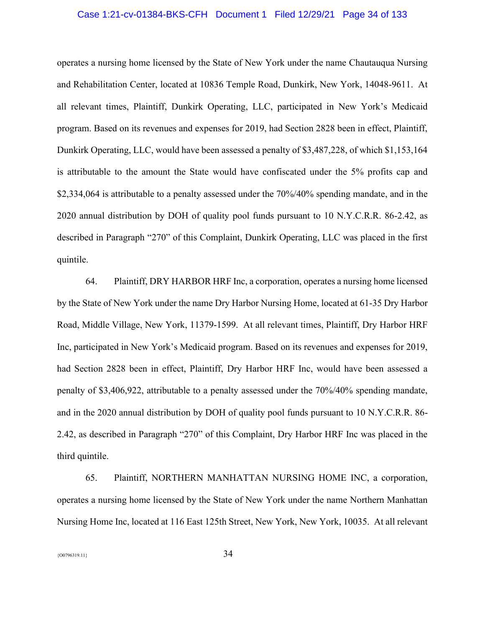# Case 1:21-cv-01384-BKS-CFH Document 1 Filed 12/29/21 Page 34 of 133

operates a nursing home licensed by the State of New York under the name Chautauqua Nursing and Rehabilitation Center, located at 10836 Temple Road, Dunkirk, New York, 14048-9611. At all relevant times, Plaintiff, Dunkirk Operating, LLC, participated in New York's Medicaid program. Based on its revenues and expenses for 2019, had Section 2828 been in effect, Plaintiff, Dunkirk Operating, LLC, would have been assessed a penalty of \$3,487,228, of which \$1,153,164 is attributable to the amount the State would have confiscated under the 5% profits cap and \$2,334,064 is attributable to a penalty assessed under the 70%/40% spending mandate, and in the 2020 annual distribution by DOH of quality pool funds pursuant to 10 N.Y.C.R.R. 86-2.42, as described in Paragraph "270" of this Complaint, Dunkirk Operating, LLC was placed in the first quintile.

64. Plaintiff, DRY HARBOR HRF Inc, a corporation, operates a nursing home licensed by the State of New York under the name Dry Harbor Nursing Home, located at 61-35 Dry Harbor Road, Middle Village, New York, 11379-1599. At all relevant times, Plaintiff, Dry Harbor HRF Inc, participated in New York's Medicaid program. Based on its revenues and expenses for 2019, had Section 2828 been in effect, Plaintiff, Dry Harbor HRF Inc, would have been assessed a penalty of \$3,406,922, attributable to a penalty assessed under the 70%/40% spending mandate, and in the 2020 annual distribution by DOH of quality pool funds pursuant to 10 N.Y.C.R.R. 86- 2.42, as described in Paragraph "270" of this Complaint, Dry Harbor HRF Inc was placed in the third quintile.

65. Plaintiff, NORTHERN MANHATTAN NURSING HOME INC, a corporation, operates a nursing home licensed by the State of New York under the name Northern Manhattan Nursing Home Inc, located at 116 East 125th Street, New York, New York, 10035. At all relevant

 ${34}$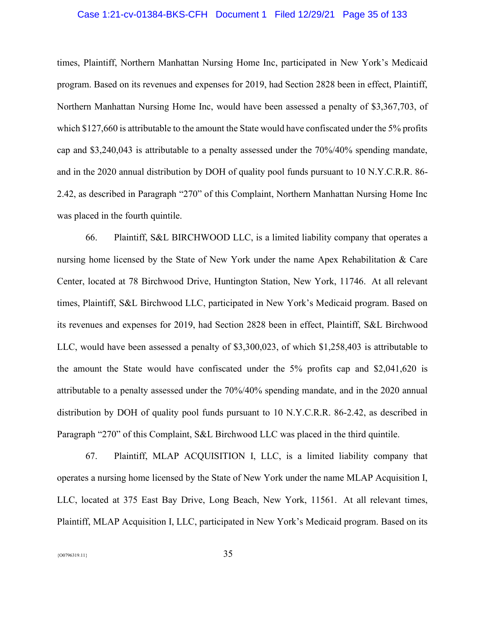# Case 1:21-cv-01384-BKS-CFH Document 1 Filed 12/29/21 Page 35 of 133

times, Plaintiff, Northern Manhattan Nursing Home Inc, participated in New York's Medicaid program. Based on its revenues and expenses for 2019, had Section 2828 been in effect, Plaintiff, Northern Manhattan Nursing Home Inc, would have been assessed a penalty of \$3,367,703, of which \$127,660 is attributable to the amount the State would have confiscated under the 5% profits cap and \$3,240,043 is attributable to a penalty assessed under the 70%/40% spending mandate, and in the 2020 annual distribution by DOH of quality pool funds pursuant to 10 N.Y.C.R.R. 86- 2.42, as described in Paragraph "270" of this Complaint, Northern Manhattan Nursing Home Inc was placed in the fourth quintile.

66. Plaintiff, S&L BIRCHWOOD LLC, is a limited liability company that operates a nursing home licensed by the State of New York under the name Apex Rehabilitation & Care Center, located at 78 Birchwood Drive, Huntington Station, New York, 11746. At all relevant times, Plaintiff, S&L Birchwood LLC, participated in New York's Medicaid program. Based on its revenues and expenses for 2019, had Section 2828 been in effect, Plaintiff, S&L Birchwood LLC, would have been assessed a penalty of \$3,300,023, of which \$1,258,403 is attributable to the amount the State would have confiscated under the 5% profits cap and \$2,041,620 is attributable to a penalty assessed under the 70%/40% spending mandate, and in the 2020 annual distribution by DOH of quality pool funds pursuant to 10 N.Y.C.R.R. 86-2.42, as described in Paragraph "270" of this Complaint, S&L Birchwood LLC was placed in the third quintile.

67. Plaintiff, MLAP ACQUISITION I, LLC, is a limited liability company that operates a nursing home licensed by the State of New York under the name MLAP Acquisition I, LLC, located at 375 East Bay Drive, Long Beach, New York, 11561. At all relevant times, Plaintiff, MLAP Acquisition I, LLC, participated in New York's Medicaid program. Based on its

 ${35}$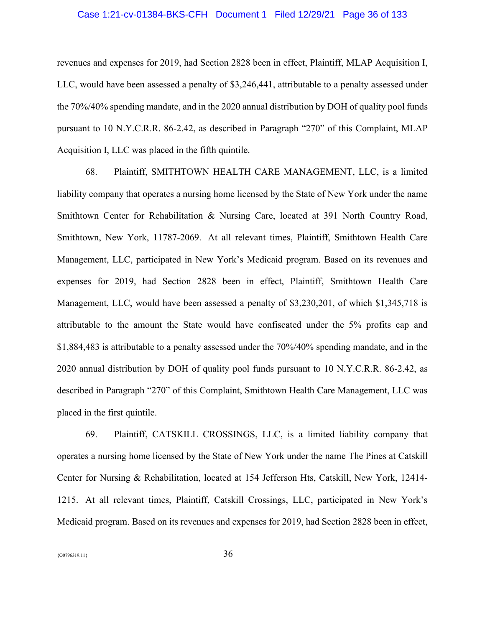#### Case 1:21-cv-01384-BKS-CFH Document 1 Filed 12/29/21 Page 36 of 133

revenues and expenses for 2019, had Section 2828 been in effect, Plaintiff, MLAP Acquisition I, LLC, would have been assessed a penalty of \$3,246,441, attributable to a penalty assessed under the 70%/40% spending mandate, and in the 2020 annual distribution by DOH of quality pool funds pursuant to 10 N.Y.C.R.R. 86-2.42, as described in Paragraph "270" of this Complaint, MLAP Acquisition I, LLC was placed in the fifth quintile.

68. Plaintiff, SMITHTOWN HEALTH CARE MANAGEMENT, LLC, is a limited liability company that operates a nursing home licensed by the State of New York under the name Smithtown Center for Rehabilitation & Nursing Care, located at 391 North Country Road, Smithtown, New York, 11787-2069. At all relevant times, Plaintiff, Smithtown Health Care Management, LLC, participated in New York's Medicaid program. Based on its revenues and expenses for 2019, had Section 2828 been in effect, Plaintiff, Smithtown Health Care Management, LLC, would have been assessed a penalty of \$3,230,201, of which \$1,345,718 is attributable to the amount the State would have confiscated under the 5% profits cap and \$1,884,483 is attributable to a penalty assessed under the 70%/40% spending mandate, and in the 2020 annual distribution by DOH of quality pool funds pursuant to 10 N.Y.C.R.R. 86-2.42, as described in Paragraph "270" of this Complaint, Smithtown Health Care Management, LLC was placed in the first quintile.

69. Plaintiff, CATSKILL CROSSINGS, LLC, is a limited liability company that operates a nursing home licensed by the State of New York under the name The Pines at Catskill Center for Nursing & Rehabilitation, located at 154 Jefferson Hts, Catskill, New York, 12414- 1215. At all relevant times, Plaintiff, Catskill Crossings, LLC, participated in New York's Medicaid program. Based on its revenues and expenses for 2019, had Section 2828 been in effect,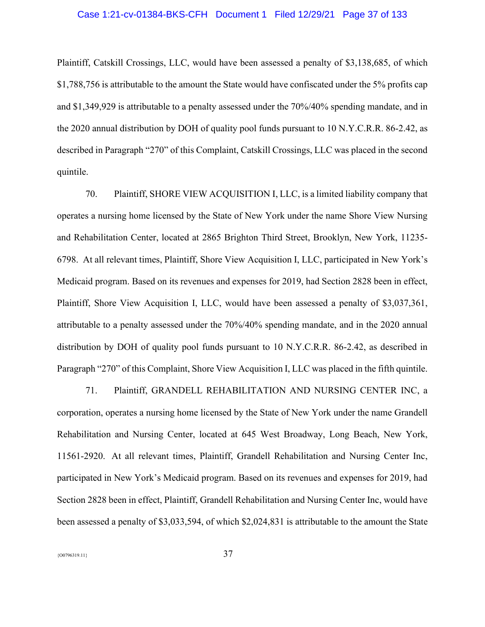# Case 1:21-cv-01384-BKS-CFH Document 1 Filed 12/29/21 Page 37 of 133

Plaintiff, Catskill Crossings, LLC, would have been assessed a penalty of \$3,138,685, of which \$1,788,756 is attributable to the amount the State would have confiscated under the 5% profits cap and \$1,349,929 is attributable to a penalty assessed under the 70%/40% spending mandate, and in the 2020 annual distribution by DOH of quality pool funds pursuant to 10 N.Y.C.R.R. 86-2.42, as described in Paragraph "270" of this Complaint, Catskill Crossings, LLC was placed in the second quintile.

70. Plaintiff, SHORE VIEW ACQUISITION I, LLC, is a limited liability company that operates a nursing home licensed by the State of New York under the name Shore View Nursing and Rehabilitation Center, located at 2865 Brighton Third Street, Brooklyn, New York, 11235- 6798. At all relevant times, Plaintiff, Shore View Acquisition I, LLC, participated in New York's Medicaid program. Based on its revenues and expenses for 2019, had Section 2828 been in effect, Plaintiff, Shore View Acquisition I, LLC, would have been assessed a penalty of \$3,037,361, attributable to a penalty assessed under the 70%/40% spending mandate, and in the 2020 annual distribution by DOH of quality pool funds pursuant to 10 N.Y.C.R.R. 86-2.42, as described in Paragraph "270" of this Complaint, Shore View Acquisition I, LLC was placed in the fifth quintile.

71. Plaintiff, GRANDELL REHABILITATION AND NURSING CENTER INC, a corporation, operates a nursing home licensed by the State of New York under the name Grandell Rehabilitation and Nursing Center, located at 645 West Broadway, Long Beach, New York, 11561-2920. At all relevant times, Plaintiff, Grandell Rehabilitation and Nursing Center Inc, participated in New York's Medicaid program. Based on its revenues and expenses for 2019, had Section 2828 been in effect, Plaintiff, Grandell Rehabilitation and Nursing Center Inc, would have been assessed a penalty of \$3,033,594, of which \$2,024,831 is attributable to the amount the State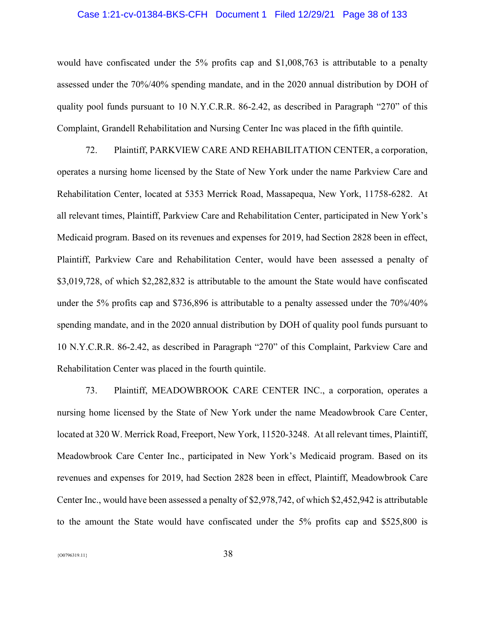# Case 1:21-cv-01384-BKS-CFH Document 1 Filed 12/29/21 Page 38 of 133

would have confiscated under the 5% profits cap and \$1,008,763 is attributable to a penalty assessed under the 70%/40% spending mandate, and in the 2020 annual distribution by DOH of quality pool funds pursuant to 10 N.Y.C.R.R. 86-2.42, as described in Paragraph "270" of this Complaint, Grandell Rehabilitation and Nursing Center Inc was placed in the fifth quintile.

72. Plaintiff, PARKVIEW CARE AND REHABILITATION CENTER, a corporation, operates a nursing home licensed by the State of New York under the name Parkview Care and Rehabilitation Center, located at 5353 Merrick Road, Massapequa, New York, 11758-6282. At all relevant times, Plaintiff, Parkview Care and Rehabilitation Center, participated in New York's Medicaid program. Based on its revenues and expenses for 2019, had Section 2828 been in effect, Plaintiff, Parkview Care and Rehabilitation Center, would have been assessed a penalty of \$3,019,728, of which \$2,282,832 is attributable to the amount the State would have confiscated under the 5% profits cap and \$736,896 is attributable to a penalty assessed under the 70%/40% spending mandate, and in the 2020 annual distribution by DOH of quality pool funds pursuant to 10 N.Y.C.R.R. 86-2.42, as described in Paragraph "270" of this Complaint, Parkview Care and Rehabilitation Center was placed in the fourth quintile.

73. Plaintiff, MEADOWBROOK CARE CENTER INC., a corporation, operates a nursing home licensed by the State of New York under the name Meadowbrook Care Center, located at 320 W. Merrick Road, Freeport, New York, 11520-3248. At all relevant times, Plaintiff, Meadowbrook Care Center Inc., participated in New York's Medicaid program. Based on its revenues and expenses for 2019, had Section 2828 been in effect, Plaintiff, Meadowbrook Care Center Inc., would have been assessed a penalty of \$2,978,742, of which \$2,452,942 is attributable to the amount the State would have confiscated under the 5% profits cap and \$525,800 is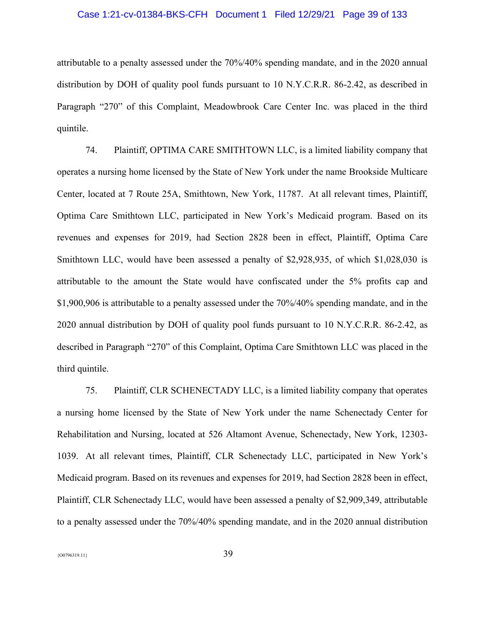# Case 1:21-cv-01384-BKS-CFH Document 1 Filed 12/29/21 Page 39 of 133

attributable to a penalty assessed under the 70%/40% spending mandate, and in the 2020 annual distribution by DOH of quality pool funds pursuant to 10 N.Y.C.R.R. 86-2.42, as described in Paragraph "270" of this Complaint, Meadowbrook Care Center Inc. was placed in the third quintile.

74. Plaintiff, OPTIMA CARE SMITHTOWN LLC, is a limited liability company that operates a nursing home licensed by the State of New York under the name Brookside Multicare Center, located at 7 Route 25A, Smithtown, New York, 11787. At all relevant times, Plaintiff, Optima Care Smithtown LLC, participated in New York's Medicaid program. Based on its revenues and expenses for 2019, had Section 2828 been in effect, Plaintiff, Optima Care Smithtown LLC, would have been assessed a penalty of \$2,928,935, of which \$1,028,030 is attributable to the amount the State would have confiscated under the 5% profits cap and \$1,900,906 is attributable to a penalty assessed under the 70%/40% spending mandate, and in the 2020 annual distribution by DOH of quality pool funds pursuant to 10 N.Y.C.R.R. 86-2.42, as described in Paragraph "270" of this Complaint, Optima Care Smithtown LLC was placed in the third quintile.

75. Plaintiff, CLR SCHENECTADY LLC, is a limited liability company that operates a nursing home licensed by the State of New York under the name Schenectady Center for Rehabilitation and Nursing, located at 526 Altamont Avenue, Schenectady, New York, 12303- 1039. At all relevant times, Plaintiff, CLR Schenectady LLC, participated in New York's Medicaid program. Based on its revenues and expenses for 2019, had Section 2828 been in effect, Plaintiff, CLR Schenectady LLC, would have been assessed a penalty of \$2,909,349, attributable to a penalty assessed under the 70%/40% spending mandate, and in the 2020 annual distribution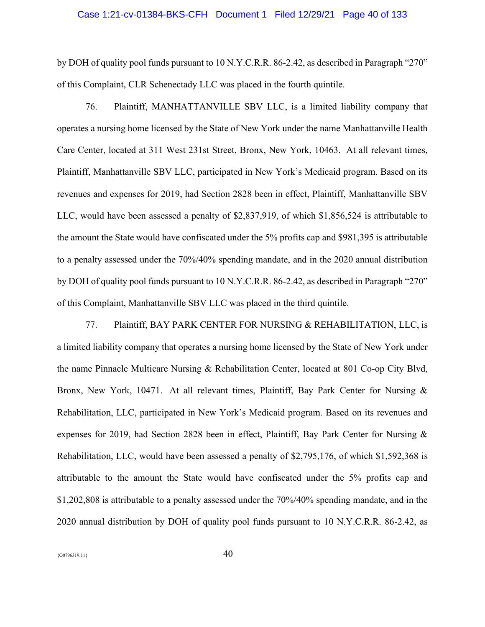#### Case 1:21-cv-01384-BKS-CFH Document 1 Filed 12/29/21 Page 40 of 133

by DOH of quality pool funds pursuant to 10 N.Y.C.R.R. 86-2.42, as described in Paragraph "270" of this Complaint, CLR Schenectady LLC was placed in the fourth quintile.

76. Plaintiff, MANHATTANVILLE SBV LLC, is a limited liability company that operates a nursing home licensed by the State of New York under the name Manhattanville Health Care Center, located at 311 West 231st Street, Bronx, New York, 10463. At all relevant times, Plaintiff, Manhattanville SBV LLC, participated in New York's Medicaid program. Based on its revenues and expenses for 2019, had Section 2828 been in effect, Plaintiff, Manhattanville SBV LLC, would have been assessed a penalty of \$2,837,919, of which \$1,856,524 is attributable to the amount the State would have confiscated under the 5% profits cap and \$981,395 is attributable to a penalty assessed under the 70%/40% spending mandate, and in the 2020 annual distribution by DOH of quality pool funds pursuant to 10 N.Y.C.R.R. 86-2.42, as described in Paragraph "270" of this Complaint, Manhattanville SBV LLC was placed in the third quintile.

77. Plaintiff, BAY PARK CENTER FOR NURSING & REHABILITATION, LLC, is a limited liability company that operates a nursing home licensed by the State of New York under the name Pinnacle Multicare Nursing & Rehabilitation Center, located at 801 Co-op City Blvd, Bronx, New York, 10471. At all relevant times, Plaintiff, Bay Park Center for Nursing & Rehabilitation, LLC, participated in New York's Medicaid program. Based on its revenues and expenses for 2019, had Section 2828 been in effect, Plaintiff, Bay Park Center for Nursing & Rehabilitation, LLC, would have been assessed a penalty of \$2,795,176, of which \$1,592,368 is attributable to the amount the State would have confiscated under the 5% profits cap and \$1,202,808 is attributable to a penalty assessed under the 70%/40% spending mandate, and in the 2020 annual distribution by DOH of quality pool funds pursuant to 10 N.Y.C.R.R. 86-2.42, as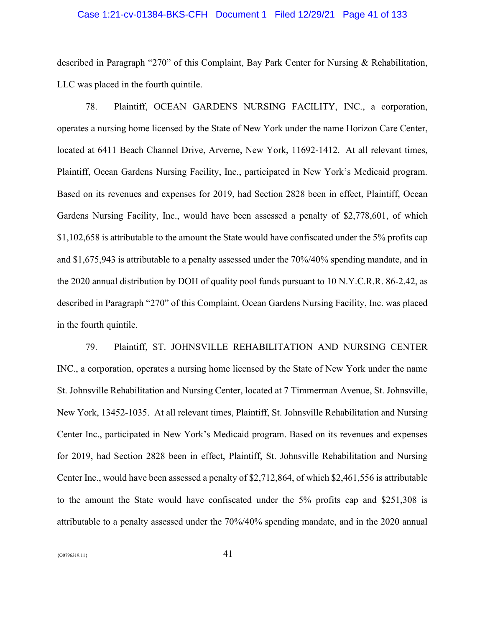# Case 1:21-cv-01384-BKS-CFH Document 1 Filed 12/29/21 Page 41 of 133

described in Paragraph "270" of this Complaint, Bay Park Center for Nursing & Rehabilitation, LLC was placed in the fourth quintile.

78. Plaintiff, OCEAN GARDENS NURSING FACILITY, INC., a corporation, operates a nursing home licensed by the State of New York under the name Horizon Care Center, located at 6411 Beach Channel Drive, Arverne, New York, 11692-1412. At all relevant times, Plaintiff, Ocean Gardens Nursing Facility, Inc., participated in New York's Medicaid program. Based on its revenues and expenses for 2019, had Section 2828 been in effect, Plaintiff, Ocean Gardens Nursing Facility, Inc., would have been assessed a penalty of \$2,778,601, of which \$1,102,658 is attributable to the amount the State would have confiscated under the 5% profits cap and \$1,675,943 is attributable to a penalty assessed under the 70%/40% spending mandate, and in the 2020 annual distribution by DOH of quality pool funds pursuant to 10 N.Y.C.R.R. 86-2.42, as described in Paragraph "270" of this Complaint, Ocean Gardens Nursing Facility, Inc. was placed in the fourth quintile.

79. Plaintiff, ST. JOHNSVILLE REHABILITATION AND NURSING CENTER INC., a corporation, operates a nursing home licensed by the State of New York under the name St. Johnsville Rehabilitation and Nursing Center, located at 7 Timmerman Avenue, St. Johnsville, New York, 13452-1035. At all relevant times, Plaintiff, St. Johnsville Rehabilitation and Nursing Center Inc., participated in New York's Medicaid program. Based on its revenues and expenses for 2019, had Section 2828 been in effect, Plaintiff, St. Johnsville Rehabilitation and Nursing Center Inc., would have been assessed a penalty of \$2,712,864, of which \$2,461,556 is attributable to the amount the State would have confiscated under the 5% profits cap and \$251,308 is attributable to a penalty assessed under the 70%/40% spending mandate, and in the 2020 annual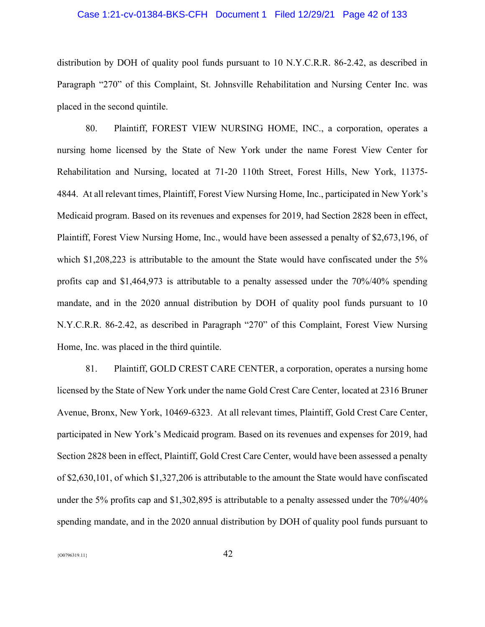# Case 1:21-cv-01384-BKS-CFH Document 1 Filed 12/29/21 Page 42 of 133

distribution by DOH of quality pool funds pursuant to 10 N.Y.C.R.R. 86-2.42, as described in Paragraph "270" of this Complaint, St. Johnsville Rehabilitation and Nursing Center Inc. was placed in the second quintile.

80. Plaintiff, FOREST VIEW NURSING HOME, INC., a corporation, operates a nursing home licensed by the State of New York under the name Forest View Center for Rehabilitation and Nursing, located at 71-20 110th Street, Forest Hills, New York, 11375- 4844. At all relevant times, Plaintiff, Forest View Nursing Home, Inc., participated in New York's Medicaid program. Based on its revenues and expenses for 2019, had Section 2828 been in effect, Plaintiff, Forest View Nursing Home, Inc., would have been assessed a penalty of \$2,673,196, of which \$1,208,223 is attributable to the amount the State would have confiscated under the 5% profits cap and \$1,464,973 is attributable to a penalty assessed under the 70%/40% spending mandate, and in the 2020 annual distribution by DOH of quality pool funds pursuant to 10 N.Y.C.R.R. 86-2.42, as described in Paragraph "270" of this Complaint, Forest View Nursing Home, Inc. was placed in the third quintile.

81. Plaintiff, GOLD CREST CARE CENTER, a corporation, operates a nursing home licensed by the State of New York under the name Gold Crest Care Center, located at 2316 Bruner Avenue, Bronx, New York, 10469-6323. At all relevant times, Plaintiff, Gold Crest Care Center, participated in New York's Medicaid program. Based on its revenues and expenses for 2019, had Section 2828 been in effect, Plaintiff, Gold Crest Care Center, would have been assessed a penalty of \$2,630,101, of which \$1,327,206 is attributable to the amount the State would have confiscated under the 5% profits cap and \$1,302,895 is attributable to a penalty assessed under the 70%/40% spending mandate, and in the 2020 annual distribution by DOH of quality pool funds pursuant to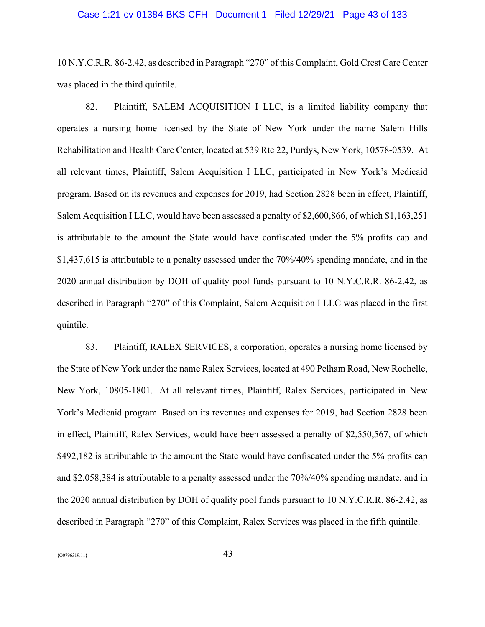# Case 1:21-cv-01384-BKS-CFH Document 1 Filed 12/29/21 Page 43 of 133

10 N.Y.C.R.R. 86-2.42, as described in Paragraph "270" of this Complaint, Gold Crest Care Center was placed in the third quintile.

82. Plaintiff, SALEM ACQUISITION I LLC, is a limited liability company that operates a nursing home licensed by the State of New York under the name Salem Hills Rehabilitation and Health Care Center, located at 539 Rte 22, Purdys, New York, 10578-0539. At all relevant times, Plaintiff, Salem Acquisition I LLC, participated in New York's Medicaid program. Based on its revenues and expenses for 2019, had Section 2828 been in effect, Plaintiff, Salem Acquisition I LLC, would have been assessed a penalty of \$2,600,866, of which \$1,163,251 is attributable to the amount the State would have confiscated under the 5% profits cap and \$1,437,615 is attributable to a penalty assessed under the 70%/40% spending mandate, and in the 2020 annual distribution by DOH of quality pool funds pursuant to 10 N.Y.C.R.R. 86-2.42, as described in Paragraph "270" of this Complaint, Salem Acquisition I LLC was placed in the first quintile.

83. Plaintiff, RALEX SERVICES, a corporation, operates a nursing home licensed by the State of New York under the name Ralex Services, located at 490 Pelham Road, New Rochelle, New York, 10805-1801. At all relevant times, Plaintiff, Ralex Services, participated in New York's Medicaid program. Based on its revenues and expenses for 2019, had Section 2828 been in effect, Plaintiff, Ralex Services, would have been assessed a penalty of \$2,550,567, of which \$492,182 is attributable to the amount the State would have confiscated under the 5% profits cap and \$2,058,384 is attributable to a penalty assessed under the 70%/40% spending mandate, and in the 2020 annual distribution by DOH of quality pool funds pursuant to 10 N.Y.C.R.R. 86-2.42, as described in Paragraph "270" of this Complaint, Ralex Services was placed in the fifth quintile.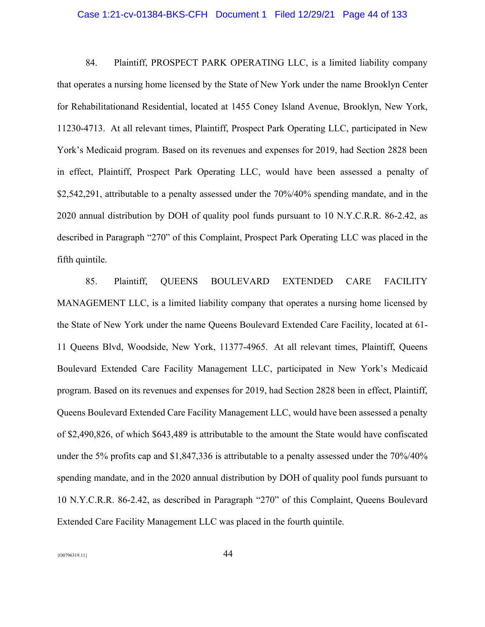#### Case 1:21-cv-01384-BKS-CFH Document 1 Filed 12/29/21 Page 44 of 133

84. Plaintiff, PROSPECT PARK OPERATING LLC, is a limited liability company that operates a nursing home licensed by the State of New York under the name Brooklyn Center for Rehabilitationand Residential, located at 1455 Coney Island Avenue, Brooklyn, New York, 11230-4713. At all relevant times, Plaintiff, Prospect Park Operating LLC, participated in New York's Medicaid program. Based on its revenues and expenses for 2019, had Section 2828 been in effect, Plaintiff, Prospect Park Operating LLC, would have been assessed a penalty of \$2,542,291, attributable to a penalty assessed under the 70%/40% spending mandate, and in the 2020 annual distribution by DOH of quality pool funds pursuant to 10 N.Y.C.R.R. 86-2.42, as described in Paragraph "270" of this Complaint, Prospect Park Operating LLC was placed in the fifth quintile.

85. Plaintiff, QUEENS BOULEVARD EXTENDED CARE FACILITY MANAGEMENT LLC, is a limited liability company that operates a nursing home licensed by the State of New York under the name Queens Boulevard Extended Care Facility, located at 61- 11 Queens Blvd, Woodside, New York, 11377-4965. At all relevant times, Plaintiff, Queens Boulevard Extended Care Facility Management LLC, participated in New York's Medicaid program. Based on its revenues and expenses for 2019, had Section 2828 been in effect, Plaintiff, Queens Boulevard Extended Care Facility Management LLC, would have been assessed a penalty of \$2,490,826, of which \$643,489 is attributable to the amount the State would have confiscated under the 5% profits cap and \$1,847,336 is attributable to a penalty assessed under the 70%/40% spending mandate, and in the 2020 annual distribution by DOH of quality pool funds pursuant to 10 N.Y.C.R.R. 86-2.42, as described in Paragraph "270" of this Complaint, Queens Boulevard Extended Care Facility Management LLC was placed in the fourth quintile.

 ${^{(00796319.11)}}$  44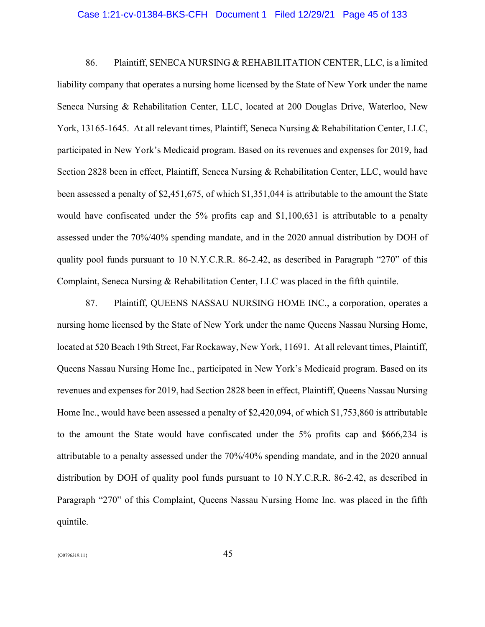#### Case 1:21-cv-01384-BKS-CFH Document 1 Filed 12/29/21 Page 45 of 133

86. Plaintiff, SENECA NURSING & REHABILITATION CENTER, LLC, is a limited liability company that operates a nursing home licensed by the State of New York under the name Seneca Nursing & Rehabilitation Center, LLC, located at 200 Douglas Drive, Waterloo, New York, 13165-1645. At all relevant times, Plaintiff, Seneca Nursing & Rehabilitation Center, LLC, participated in New York's Medicaid program. Based on its revenues and expenses for 2019, had Section 2828 been in effect, Plaintiff, Seneca Nursing & Rehabilitation Center, LLC, would have been assessed a penalty of \$2,451,675, of which \$1,351,044 is attributable to the amount the State would have confiscated under the 5% profits cap and \$1,100,631 is attributable to a penalty assessed under the 70%/40% spending mandate, and in the 2020 annual distribution by DOH of quality pool funds pursuant to 10 N.Y.C.R.R. 86-2.42, as described in Paragraph "270" of this Complaint, Seneca Nursing & Rehabilitation Center, LLC was placed in the fifth quintile.

87. Plaintiff, QUEENS NASSAU NURSING HOME INC., a corporation, operates a nursing home licensed by the State of New York under the name Queens Nassau Nursing Home, located at 520 Beach 19th Street, Far Rockaway, New York, 11691. At all relevant times, Plaintiff, Queens Nassau Nursing Home Inc., participated in New York's Medicaid program. Based on its revenues and expenses for 2019, had Section 2828 been in effect, Plaintiff, Queens Nassau Nursing Home Inc., would have been assessed a penalty of \$2,420,094, of which \$1,753,860 is attributable to the amount the State would have confiscated under the 5% profits cap and \$666,234 is attributable to a penalty assessed under the 70%/40% spending mandate, and in the 2020 annual distribution by DOH of quality pool funds pursuant to 10 N.Y.C.R.R. 86-2.42, as described in Paragraph "270" of this Complaint, Queens Nassau Nursing Home Inc. was placed in the fifth quintile.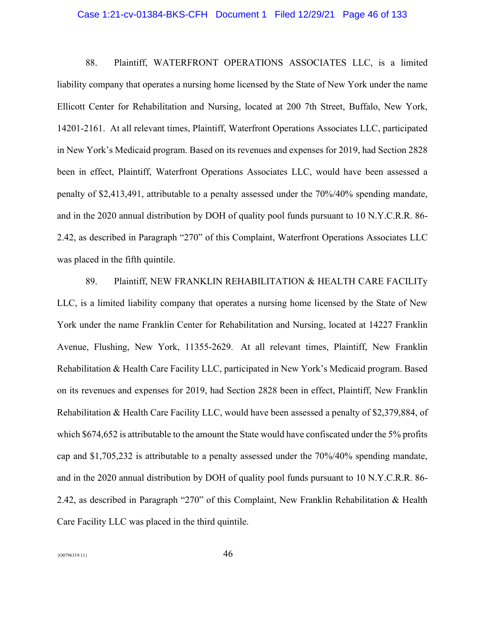#### Case 1:21-cv-01384-BKS-CFH Document 1 Filed 12/29/21 Page 46 of 133

88. Plaintiff, WATERFRONT OPERATIONS ASSOCIATES LLC, is a limited liability company that operates a nursing home licensed by the State of New York under the name Ellicott Center for Rehabilitation and Nursing, located at 200 7th Street, Buffalo, New York, 14201-2161. At all relevant times, Plaintiff, Waterfront Operations Associates LLC, participated in New York's Medicaid program. Based on its revenues and expenses for 2019, had Section 2828 been in effect, Plaintiff, Waterfront Operations Associates LLC, would have been assessed a penalty of \$2,413,491, attributable to a penalty assessed under the 70%/40% spending mandate, and in the 2020 annual distribution by DOH of quality pool funds pursuant to 10 N.Y.C.R.R. 86- 2.42, as described in Paragraph "270" of this Complaint, Waterfront Operations Associates LLC was placed in the fifth quintile.

89. Plaintiff, NEW FRANKLIN REHABILITATION & HEALTH CARE FACILITy LLC, is a limited liability company that operates a nursing home licensed by the State of New York under the name Franklin Center for Rehabilitation and Nursing, located at 14227 Franklin Avenue, Flushing, New York, 11355-2629. At all relevant times, Plaintiff, New Franklin Rehabilitation & Health Care Facility LLC, participated in New York's Medicaid program. Based on its revenues and expenses for 2019, had Section 2828 been in effect, Plaintiff, New Franklin Rehabilitation & Health Care Facility LLC, would have been assessed a penalty of \$2,379,884, of which \$674,652 is attributable to the amount the State would have confiscated under the 5% profits cap and \$1,705,232 is attributable to a penalty assessed under the 70%/40% spending mandate, and in the 2020 annual distribution by DOH of quality pool funds pursuant to 10 N.Y.C.R.R. 86- 2.42, as described in Paragraph "270" of this Complaint, New Franklin Rehabilitation & Health Care Facility LLC was placed in the third quintile.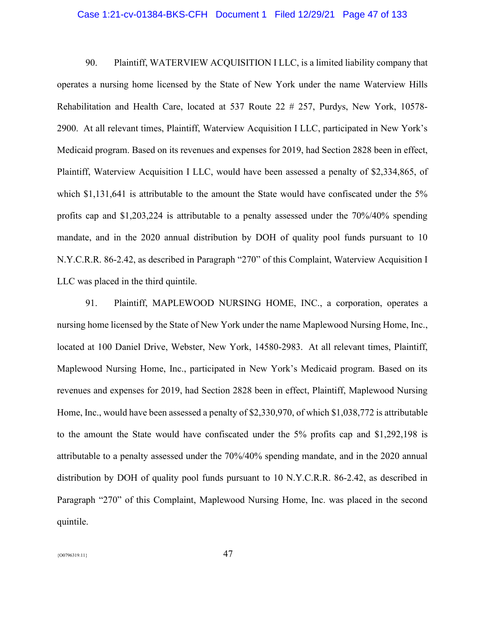### Case 1:21-cv-01384-BKS-CFH Document 1 Filed 12/29/21 Page 47 of 133

90. Plaintiff, WATERVIEW ACQUISITION I LLC, is a limited liability company that operates a nursing home licensed by the State of New York under the name Waterview Hills Rehabilitation and Health Care, located at 537 Route 22 # 257, Purdys, New York, 10578- 2900. At all relevant times, Plaintiff, Waterview Acquisition I LLC, participated in New York's Medicaid program. Based on its revenues and expenses for 2019, had Section 2828 been in effect, Plaintiff, Waterview Acquisition I LLC, would have been assessed a penalty of \$2,334,865, of which \$1,131,641 is attributable to the amount the State would have confiscated under the 5% profits cap and \$1,203,224 is attributable to a penalty assessed under the 70%/40% spending mandate, and in the 2020 annual distribution by DOH of quality pool funds pursuant to 10 N.Y.C.R.R. 86-2.42, as described in Paragraph "270" of this Complaint, Waterview Acquisition I LLC was placed in the third quintile.

91. Plaintiff, MAPLEWOOD NURSING HOME, INC., a corporation, operates a nursing home licensed by the State of New York under the name Maplewood Nursing Home, Inc., located at 100 Daniel Drive, Webster, New York, 14580-2983. At all relevant times, Plaintiff, Maplewood Nursing Home, Inc., participated in New York's Medicaid program. Based on its revenues and expenses for 2019, had Section 2828 been in effect, Plaintiff, Maplewood Nursing Home, Inc., would have been assessed a penalty of \$2,330,970, of which \$1,038,772 is attributable to the amount the State would have confiscated under the 5% profits cap and \$1,292,198 is attributable to a penalty assessed under the 70%/40% spending mandate, and in the 2020 annual distribution by DOH of quality pool funds pursuant to 10 N.Y.C.R.R. 86-2.42, as described in Paragraph "270" of this Complaint, Maplewood Nursing Home, Inc. was placed in the second quintile.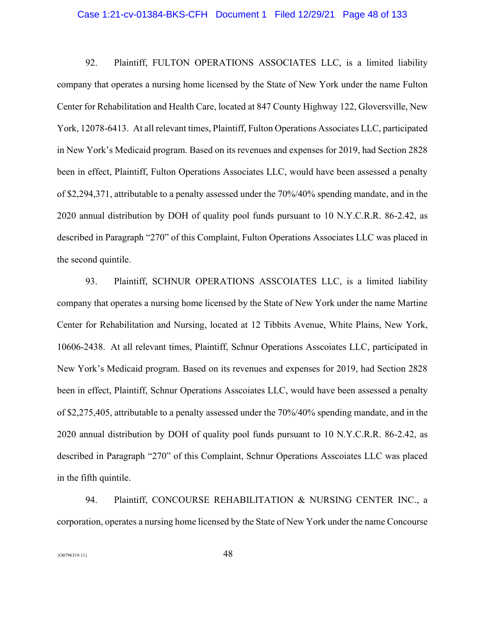#### Case 1:21-cv-01384-BKS-CFH Document 1 Filed 12/29/21 Page 48 of 133

92. Plaintiff, FULTON OPERATIONS ASSOCIATES LLC, is a limited liability company that operates a nursing home licensed by the State of New York under the name Fulton Center for Rehabilitation and Health Care, located at 847 County Highway 122, Gloversville, New York, 12078-6413. At all relevant times, Plaintiff, Fulton Operations Associates LLC, participated in New York's Medicaid program. Based on its revenues and expenses for 2019, had Section 2828 been in effect, Plaintiff, Fulton Operations Associates LLC, would have been assessed a penalty of \$2,294,371, attributable to a penalty assessed under the 70%/40% spending mandate, and in the 2020 annual distribution by DOH of quality pool funds pursuant to 10 N.Y.C.R.R. 86-2.42, as described in Paragraph "270" of this Complaint, Fulton Operations Associates LLC was placed in the second quintile.

93. Plaintiff, SCHNUR OPERATIONS ASSCOIATES LLC, is a limited liability company that operates a nursing home licensed by the State of New York under the name Martine Center for Rehabilitation and Nursing, located at 12 Tibbits Avenue, White Plains, New York, 10606-2438. At all relevant times, Plaintiff, Schnur Operations Asscoiates LLC, participated in New York's Medicaid program. Based on its revenues and expenses for 2019, had Section 2828 been in effect, Plaintiff, Schnur Operations Asscoiates LLC, would have been assessed a penalty of \$2,275,405, attributable to a penalty assessed under the 70%/40% spending mandate, and in the 2020 annual distribution by DOH of quality pool funds pursuant to 10 N.Y.C.R.R. 86-2.42, as described in Paragraph "270" of this Complaint, Schnur Operations Asscoiates LLC was placed in the fifth quintile.

94. Plaintiff, CONCOURSE REHABILITATION & NURSING CENTER INC., a corporation, operates a nursing home licensed by the State of New York under the name Concourse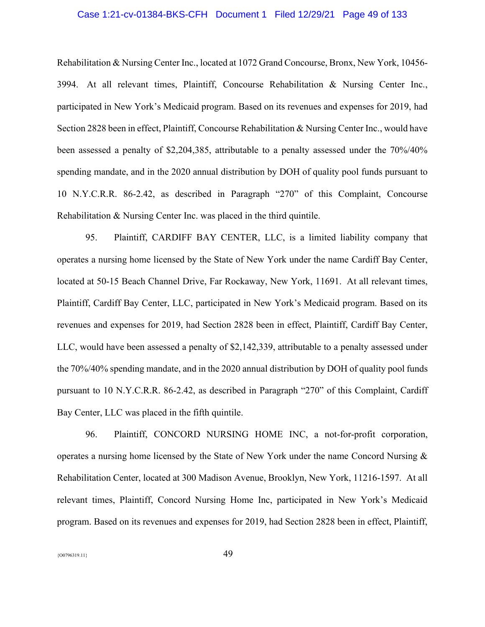# Case 1:21-cv-01384-BKS-CFH Document 1 Filed 12/29/21 Page 49 of 133

Rehabilitation & Nursing Center Inc., located at 1072 Grand Concourse, Bronx, New York, 10456- 3994. At all relevant times, Plaintiff, Concourse Rehabilitation & Nursing Center Inc., participated in New York's Medicaid program. Based on its revenues and expenses for 2019, had Section 2828 been in effect, Plaintiff, Concourse Rehabilitation & Nursing Center Inc., would have been assessed a penalty of \$2,204,385, attributable to a penalty assessed under the 70%/40% spending mandate, and in the 2020 annual distribution by DOH of quality pool funds pursuant to 10 N.Y.C.R.R. 86-2.42, as described in Paragraph "270" of this Complaint, Concourse Rehabilitation & Nursing Center Inc. was placed in the third quintile.

95. Plaintiff, CARDIFF BAY CENTER, LLC, is a limited liability company that operates a nursing home licensed by the State of New York under the name Cardiff Bay Center, located at 50-15 Beach Channel Drive, Far Rockaway, New York, 11691. At all relevant times, Plaintiff, Cardiff Bay Center, LLC, participated in New York's Medicaid program. Based on its revenues and expenses for 2019, had Section 2828 been in effect, Plaintiff, Cardiff Bay Center, LLC, would have been assessed a penalty of \$2,142,339, attributable to a penalty assessed under the 70%/40% spending mandate, and in the 2020 annual distribution by DOH of quality pool funds pursuant to 10 N.Y.C.R.R. 86-2.42, as described in Paragraph "270" of this Complaint, Cardiff Bay Center, LLC was placed in the fifth quintile.

96. Plaintiff, CONCORD NURSING HOME INC, a not-for-profit corporation, operates a nursing home licensed by the State of New York under the name Concord Nursing & Rehabilitation Center, located at 300 Madison Avenue, Brooklyn, New York, 11216-1597. At all relevant times, Plaintiff, Concord Nursing Home Inc, participated in New York's Medicaid program. Based on its revenues and expenses for 2019, had Section 2828 been in effect, Plaintiff,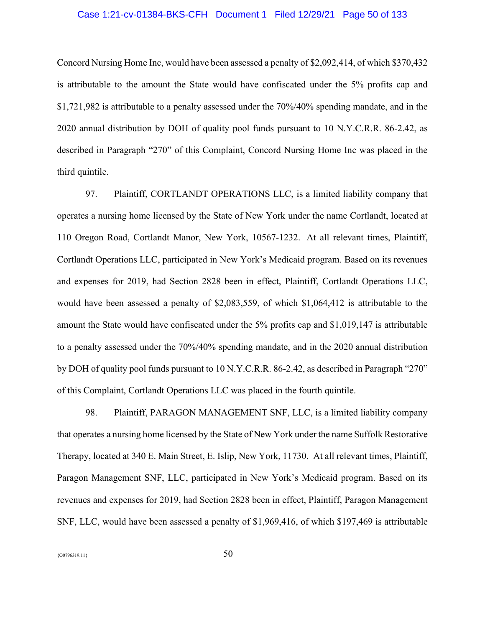# Case 1:21-cv-01384-BKS-CFH Document 1 Filed 12/29/21 Page 50 of 133

Concord Nursing Home Inc, would have been assessed a penalty of \$2,092,414, of which \$370,432 is attributable to the amount the State would have confiscated under the 5% profits cap and \$1,721,982 is attributable to a penalty assessed under the 70%/40% spending mandate, and in the 2020 annual distribution by DOH of quality pool funds pursuant to 10 N.Y.C.R.R. 86-2.42, as described in Paragraph "270" of this Complaint, Concord Nursing Home Inc was placed in the third quintile.

97. Plaintiff, CORTLANDT OPERATIONS LLC, is a limited liability company that operates a nursing home licensed by the State of New York under the name Cortlandt, located at 110 Oregon Road, Cortlandt Manor, New York, 10567-1232. At all relevant times, Plaintiff, Cortlandt Operations LLC, participated in New York's Medicaid program. Based on its revenues and expenses for 2019, had Section 2828 been in effect, Plaintiff, Cortlandt Operations LLC, would have been assessed a penalty of \$2,083,559, of which \$1,064,412 is attributable to the amount the State would have confiscated under the 5% profits cap and \$1,019,147 is attributable to a penalty assessed under the 70%/40% spending mandate, and in the 2020 annual distribution by DOH of quality pool funds pursuant to 10 N.Y.C.R.R. 86-2.42, as described in Paragraph "270" of this Complaint, Cortlandt Operations LLC was placed in the fourth quintile.

98. Plaintiff, PARAGON MANAGEMENT SNF, LLC, is a limited liability company that operates a nursing home licensed by the State of New York under the name Suffolk Restorative Therapy, located at 340 E. Main Street, E. Islip, New York, 11730. At all relevant times, Plaintiff, Paragon Management SNF, LLC, participated in New York's Medicaid program. Based on its revenues and expenses for 2019, had Section 2828 been in effect, Plaintiff, Paragon Management SNF, LLC, would have been assessed a penalty of \$1,969,416, of which \$197,469 is attributable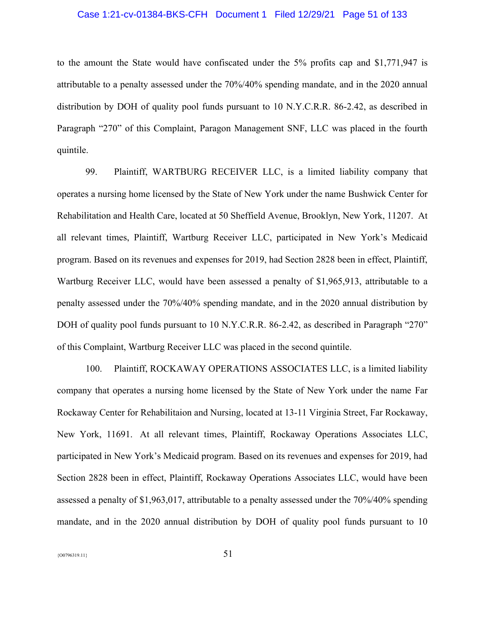# Case 1:21-cv-01384-BKS-CFH Document 1 Filed 12/29/21 Page 51 of 133

to the amount the State would have confiscated under the 5% profits cap and \$1,771,947 is attributable to a penalty assessed under the 70%/40% spending mandate, and in the 2020 annual distribution by DOH of quality pool funds pursuant to 10 N.Y.C.R.R. 86-2.42, as described in Paragraph "270" of this Complaint, Paragon Management SNF, LLC was placed in the fourth quintile.

99. Plaintiff, WARTBURG RECEIVER LLC, is a limited liability company that operates a nursing home licensed by the State of New York under the name Bushwick Center for Rehabilitation and Health Care, located at 50 Sheffield Avenue, Brooklyn, New York, 11207. At all relevant times, Plaintiff, Wartburg Receiver LLC, participated in New York's Medicaid program. Based on its revenues and expenses for 2019, had Section 2828 been in effect, Plaintiff, Wartburg Receiver LLC, would have been assessed a penalty of \$1,965,913, attributable to a penalty assessed under the 70%/40% spending mandate, and in the 2020 annual distribution by DOH of quality pool funds pursuant to 10 N.Y.C.R.R. 86-2.42, as described in Paragraph "270" of this Complaint, Wartburg Receiver LLC was placed in the second quintile.

100. Plaintiff, ROCKAWAY OPERATIONS ASSOCIATES LLC, is a limited liability company that operates a nursing home licensed by the State of New York under the name Far Rockaway Center for Rehabilitaion and Nursing, located at 13-11 Virginia Street, Far Rockaway, New York, 11691. At all relevant times, Plaintiff, Rockaway Operations Associates LLC, participated in New York's Medicaid program. Based on its revenues and expenses for 2019, had Section 2828 been in effect, Plaintiff, Rockaway Operations Associates LLC, would have been assessed a penalty of \$1,963,017, attributable to a penalty assessed under the 70%/40% spending mandate, and in the 2020 annual distribution by DOH of quality pool funds pursuant to 10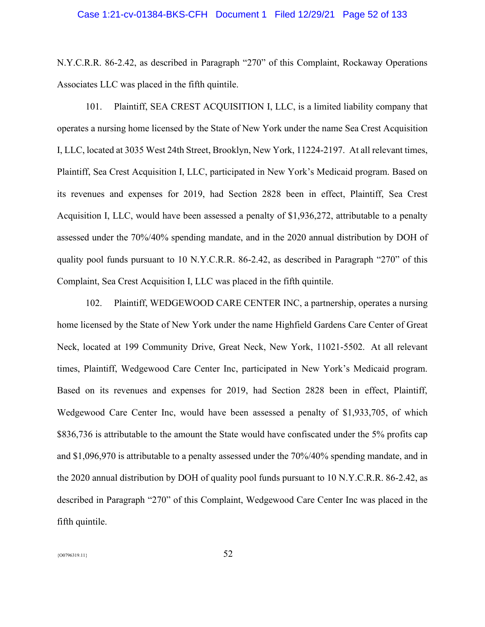# Case 1:21-cv-01384-BKS-CFH Document 1 Filed 12/29/21 Page 52 of 133

N.Y.C.R.R. 86-2.42, as described in Paragraph "270" of this Complaint, Rockaway Operations Associates LLC was placed in the fifth quintile.

101. Plaintiff, SEA CREST ACQUISITION I, LLC, is a limited liability company that operates a nursing home licensed by the State of New York under the name Sea Crest Acquisition I, LLC, located at 3035 West 24th Street, Brooklyn, New York, 11224-2197. At all relevant times, Plaintiff, Sea Crest Acquisition I, LLC, participated in New York's Medicaid program. Based on its revenues and expenses for 2019, had Section 2828 been in effect, Plaintiff, Sea Crest Acquisition I, LLC, would have been assessed a penalty of \$1,936,272, attributable to a penalty assessed under the 70%/40% spending mandate, and in the 2020 annual distribution by DOH of quality pool funds pursuant to 10 N.Y.C.R.R. 86-2.42, as described in Paragraph "270" of this Complaint, Sea Crest Acquisition I, LLC was placed in the fifth quintile.

102. Plaintiff, WEDGEWOOD CARE CENTER INC, a partnership, operates a nursing home licensed by the State of New York under the name Highfield Gardens Care Center of Great Neck, located at 199 Community Drive, Great Neck, New York, 11021-5502. At all relevant times, Plaintiff, Wedgewood Care Center Inc, participated in New York's Medicaid program. Based on its revenues and expenses for 2019, had Section 2828 been in effect, Plaintiff, Wedgewood Care Center Inc, would have been assessed a penalty of \$1,933,705, of which \$836,736 is attributable to the amount the State would have confiscated under the 5% profits cap and \$1,096,970 is attributable to a penalty assessed under the 70%/40% spending mandate, and in the 2020 annual distribution by DOH of quality pool funds pursuant to 10 N.Y.C.R.R. 86-2.42, as described in Paragraph "270" of this Complaint, Wedgewood Care Center Inc was placed in the fifth quintile.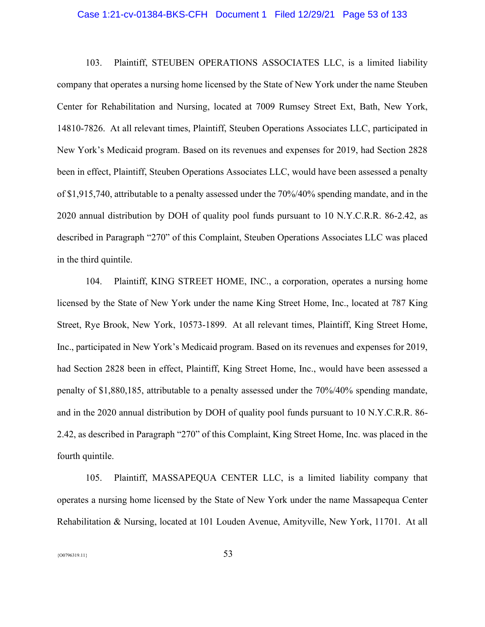#### Case 1:21-cv-01384-BKS-CFH Document 1 Filed 12/29/21 Page 53 of 133

103. Plaintiff, STEUBEN OPERATIONS ASSOCIATES LLC, is a limited liability company that operates a nursing home licensed by the State of New York under the name Steuben Center for Rehabilitation and Nursing, located at 7009 Rumsey Street Ext, Bath, New York, 14810-7826. At all relevant times, Plaintiff, Steuben Operations Associates LLC, participated in New York's Medicaid program. Based on its revenues and expenses for 2019, had Section 2828 been in effect, Plaintiff, Steuben Operations Associates LLC, would have been assessed a penalty of \$1,915,740, attributable to a penalty assessed under the 70%/40% spending mandate, and in the 2020 annual distribution by DOH of quality pool funds pursuant to 10 N.Y.C.R.R. 86-2.42, as described in Paragraph "270" of this Complaint, Steuben Operations Associates LLC was placed in the third quintile.

104. Plaintiff, KING STREET HOME, INC., a corporation, operates a nursing home licensed by the State of New York under the name King Street Home, Inc., located at 787 King Street, Rye Brook, New York, 10573-1899. At all relevant times, Plaintiff, King Street Home, Inc., participated in New York's Medicaid program. Based on its revenues and expenses for 2019, had Section 2828 been in effect, Plaintiff, King Street Home, Inc., would have been assessed a penalty of \$1,880,185, attributable to a penalty assessed under the 70%/40% spending mandate, and in the 2020 annual distribution by DOH of quality pool funds pursuant to 10 N.Y.C.R.R. 86- 2.42, as described in Paragraph "270" of this Complaint, King Street Home, Inc. was placed in the fourth quintile.

105. Plaintiff, MASSAPEQUA CENTER LLC, is a limited liability company that operates a nursing home licensed by the State of New York under the name Massapequa Center Rehabilitation & Nursing, located at 101 Louden Avenue, Amityville, New York, 11701. At all

 ${53}$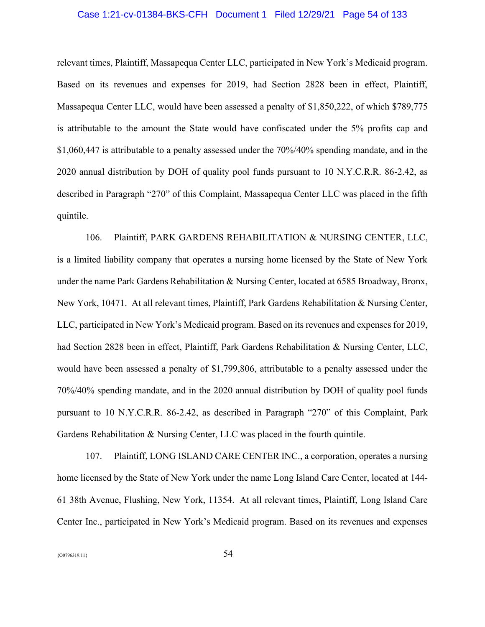# Case 1:21-cv-01384-BKS-CFH Document 1 Filed 12/29/21 Page 54 of 133

relevant times, Plaintiff, Massapequa Center LLC, participated in New York's Medicaid program. Based on its revenues and expenses for 2019, had Section 2828 been in effect, Plaintiff, Massapequa Center LLC, would have been assessed a penalty of \$1,850,222, of which \$789,775 is attributable to the amount the State would have confiscated under the 5% profits cap and \$1,060,447 is attributable to a penalty assessed under the 70%/40% spending mandate, and in the 2020 annual distribution by DOH of quality pool funds pursuant to 10 N.Y.C.R.R. 86-2.42, as described in Paragraph "270" of this Complaint, Massapequa Center LLC was placed in the fifth quintile.

106. Plaintiff, PARK GARDENS REHABILITATION & NURSING CENTER, LLC, is a limited liability company that operates a nursing home licensed by the State of New York under the name Park Gardens Rehabilitation & Nursing Center, located at 6585 Broadway, Bronx, New York, 10471. At all relevant times, Plaintiff, Park Gardens Rehabilitation & Nursing Center, LLC, participated in New York's Medicaid program. Based on its revenues and expenses for 2019, had Section 2828 been in effect, Plaintiff, Park Gardens Rehabilitation & Nursing Center, LLC, would have been assessed a penalty of \$1,799,806, attributable to a penalty assessed under the 70%/40% spending mandate, and in the 2020 annual distribution by DOH of quality pool funds pursuant to 10 N.Y.C.R.R. 86-2.42, as described in Paragraph "270" of this Complaint, Park Gardens Rehabilitation & Nursing Center, LLC was placed in the fourth quintile.

107. Plaintiff, LONG ISLAND CARE CENTER INC., a corporation, operates a nursing home licensed by the State of New York under the name Long Island Care Center, located at 144- 61 38th Avenue, Flushing, New York, 11354. At all relevant times, Plaintiff, Long Island Care Center Inc., participated in New York's Medicaid program. Based on its revenues and expenses

 ${54}$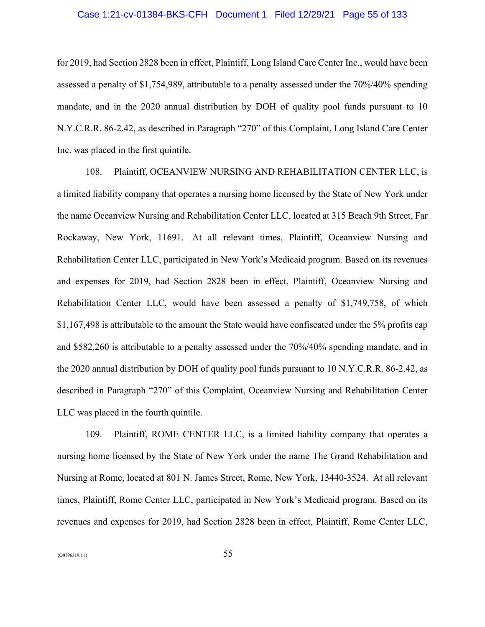# Case 1:21-cv-01384-BKS-CFH Document 1 Filed 12/29/21 Page 55 of 133

for 2019, had Section 2828 been in effect, Plaintiff, Long Island Care Center Inc., would have been assessed a penalty of \$1,754,989, attributable to a penalty assessed under the 70%/40% spending mandate, and in the 2020 annual distribution by DOH of quality pool funds pursuant to 10 N.Y.C.R.R. 86-2.42, as described in Paragraph "270" of this Complaint, Long Island Care Center Inc. was placed in the first quintile.

108. Plaintiff, OCEANVIEW NURSING AND REHABILITATION CENTER LLC, is a limited liability company that operates a nursing home licensed by the State of New York under the name Oceanview Nursing and Rehabilitation Center LLC, located at 315 Beach 9th Street, Far Rockaway, New York, 11691. At all relevant times, Plaintiff, Oceanview Nursing and Rehabilitation Center LLC, participated in New York's Medicaid program. Based on its revenues and expenses for 2019, had Section 2828 been in effect, Plaintiff, Oceanview Nursing and Rehabilitation Center LLC, would have been assessed a penalty of \$1,749,758, of which \$1,167,498 is attributable to the amount the State would have confiscated under the 5% profits cap and \$582,260 is attributable to a penalty assessed under the 70%/40% spending mandate, and in the 2020 annual distribution by DOH of quality pool funds pursuant to 10 N.Y.C.R.R. 86-2.42, as described in Paragraph "270" of this Complaint, Oceanview Nursing and Rehabilitation Center LLC was placed in the fourth quintile.

109. Plaintiff, ROME CENTER LLC, is a limited liability company that operates a nursing home licensed by the State of New York under the name The Grand Rehabilitation and Nursing at Rome, located at 801 N. James Street, Rome, New York, 13440-3524. At all relevant times, Plaintiff, Rome Center LLC, participated in New York's Medicaid program. Based on its revenues and expenses for 2019, had Section 2828 been in effect, Plaintiff, Rome Center LLC,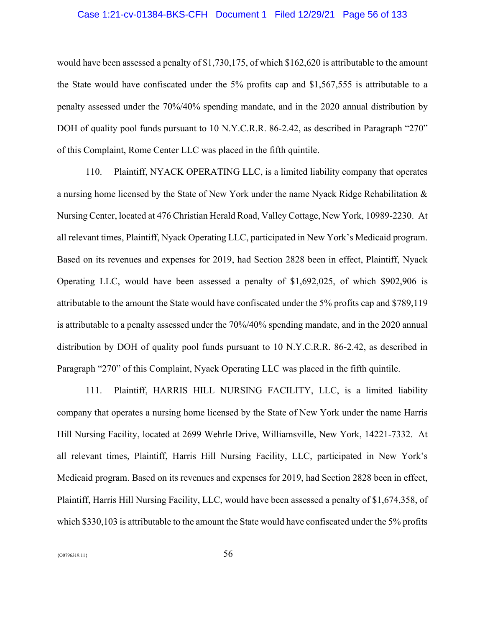## Case 1:21-cv-01384-BKS-CFH Document 1 Filed 12/29/21 Page 56 of 133

would have been assessed a penalty of \$1,730,175, of which \$162,620 is attributable to the amount the State would have confiscated under the 5% profits cap and \$1,567,555 is attributable to a penalty assessed under the 70%/40% spending mandate, and in the 2020 annual distribution by DOH of quality pool funds pursuant to 10 N.Y.C.R.R. 86-2.42, as described in Paragraph "270" of this Complaint, Rome Center LLC was placed in the fifth quintile.

110. Plaintiff, NYACK OPERATING LLC, is a limited liability company that operates a nursing home licensed by the State of New York under the name Nyack Ridge Rehabilitation & Nursing Center, located at 476 Christian Herald Road, Valley Cottage, New York, 10989-2230. At all relevant times, Plaintiff, Nyack Operating LLC, participated in New York's Medicaid program. Based on its revenues and expenses for 2019, had Section 2828 been in effect, Plaintiff, Nyack Operating LLC, would have been assessed a penalty of \$1,692,025, of which \$902,906 is attributable to the amount the State would have confiscated under the 5% profits cap and \$789,119 is attributable to a penalty assessed under the 70%/40% spending mandate, and in the 2020 annual distribution by DOH of quality pool funds pursuant to 10 N.Y.C.R.R. 86-2.42, as described in Paragraph "270" of this Complaint, Nyack Operating LLC was placed in the fifth quintile.

111. Plaintiff, HARRIS HILL NURSING FACILITY, LLC, is a limited liability company that operates a nursing home licensed by the State of New York under the name Harris Hill Nursing Facility, located at 2699 Wehrle Drive, Williamsville, New York, 14221-7332. At all relevant times, Plaintiff, Harris Hill Nursing Facility, LLC, participated in New York's Medicaid program. Based on its revenues and expenses for 2019, had Section 2828 been in effect, Plaintiff, Harris Hill Nursing Facility, LLC, would have been assessed a penalty of \$1,674,358, of which \$330,103 is attributable to the amount the State would have confiscated under the 5% profits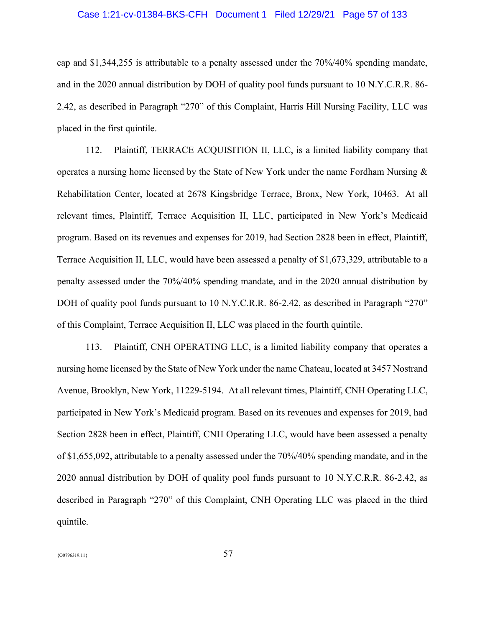# Case 1:21-cv-01384-BKS-CFH Document 1 Filed 12/29/21 Page 57 of 133

cap and \$1,344,255 is attributable to a penalty assessed under the 70%/40% spending mandate, and in the 2020 annual distribution by DOH of quality pool funds pursuant to 10 N.Y.C.R.R. 86- 2.42, as described in Paragraph "270" of this Complaint, Harris Hill Nursing Facility, LLC was placed in the first quintile.

112. Plaintiff, TERRACE ACQUISITION II, LLC, is a limited liability company that operates a nursing home licensed by the State of New York under the name Fordham Nursing & Rehabilitation Center, located at 2678 Kingsbridge Terrace, Bronx, New York, 10463. At all relevant times, Plaintiff, Terrace Acquisition II, LLC, participated in New York's Medicaid program. Based on its revenues and expenses for 2019, had Section 2828 been in effect, Plaintiff, Terrace Acquisition II, LLC, would have been assessed a penalty of \$1,673,329, attributable to a penalty assessed under the 70%/40% spending mandate, and in the 2020 annual distribution by DOH of quality pool funds pursuant to 10 N.Y.C.R.R. 86-2.42, as described in Paragraph "270" of this Complaint, Terrace Acquisition II, LLC was placed in the fourth quintile.

113. Plaintiff, CNH OPERATING LLC, is a limited liability company that operates a nursing home licensed by the State of New York under the name Chateau, located at 3457 Nostrand Avenue, Brooklyn, New York, 11229-5194. At all relevant times, Plaintiff, CNH Operating LLC, participated in New York's Medicaid program. Based on its revenues and expenses for 2019, had Section 2828 been in effect, Plaintiff, CNH Operating LLC, would have been assessed a penalty of \$1,655,092, attributable to a penalty assessed under the 70%/40% spending mandate, and in the 2020 annual distribution by DOH of quality pool funds pursuant to 10 N.Y.C.R.R. 86-2.42, as described in Paragraph "270" of this Complaint, CNH Operating LLC was placed in the third quintile.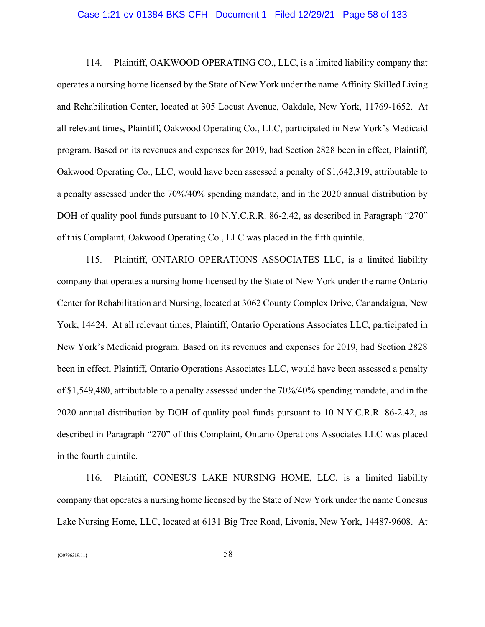#### Case 1:21-cv-01384-BKS-CFH Document 1 Filed 12/29/21 Page 58 of 133

114. Plaintiff, OAKWOOD OPERATING CO., LLC, is a limited liability company that operates a nursing home licensed by the State of New York under the name Affinity Skilled Living and Rehabilitation Center, located at 305 Locust Avenue, Oakdale, New York, 11769-1652. At all relevant times, Plaintiff, Oakwood Operating Co., LLC, participated in New York's Medicaid program. Based on its revenues and expenses for 2019, had Section 2828 been in effect, Plaintiff, Oakwood Operating Co., LLC, would have been assessed a penalty of \$1,642,319, attributable to a penalty assessed under the 70%/40% spending mandate, and in the 2020 annual distribution by DOH of quality pool funds pursuant to 10 N.Y.C.R.R. 86-2.42, as described in Paragraph "270" of this Complaint, Oakwood Operating Co., LLC was placed in the fifth quintile.

115. Plaintiff, ONTARIO OPERATIONS ASSOCIATES LLC, is a limited liability company that operates a nursing home licensed by the State of New York under the name Ontario Center for Rehabilitation and Nursing, located at 3062 County Complex Drive, Canandaigua, New York, 14424. At all relevant times, Plaintiff, Ontario Operations Associates LLC, participated in New York's Medicaid program. Based on its revenues and expenses for 2019, had Section 2828 been in effect, Plaintiff, Ontario Operations Associates LLC, would have been assessed a penalty of \$1,549,480, attributable to a penalty assessed under the 70%/40% spending mandate, and in the 2020 annual distribution by DOH of quality pool funds pursuant to 10 N.Y.C.R.R. 86-2.42, as described in Paragraph "270" of this Complaint, Ontario Operations Associates LLC was placed in the fourth quintile.

116. Plaintiff, CONESUS LAKE NURSING HOME, LLC, is a limited liability company that operates a nursing home licensed by the State of New York under the name Conesus Lake Nursing Home, LLC, located at 6131 Big Tree Road, Livonia, New York, 14487-9608. At

 ${58}$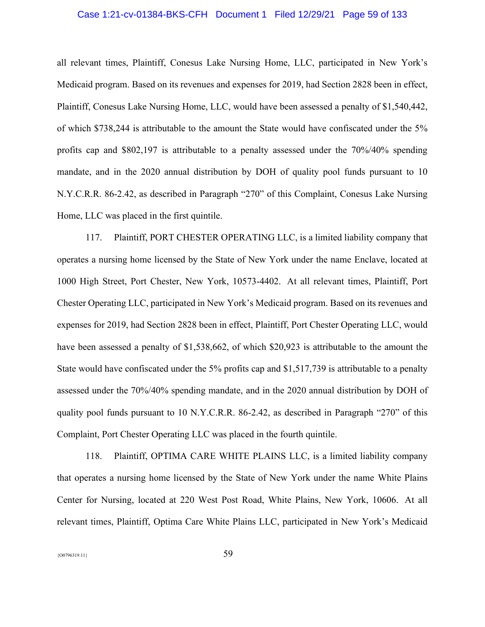# Case 1:21-cv-01384-BKS-CFH Document 1 Filed 12/29/21 Page 59 of 133

all relevant times, Plaintiff, Conesus Lake Nursing Home, LLC, participated in New York's Medicaid program. Based on its revenues and expenses for 2019, had Section 2828 been in effect, Plaintiff, Conesus Lake Nursing Home, LLC, would have been assessed a penalty of \$1,540,442, of which \$738,244 is attributable to the amount the State would have confiscated under the 5% profits cap and \$802,197 is attributable to a penalty assessed under the 70%/40% spending mandate, and in the 2020 annual distribution by DOH of quality pool funds pursuant to 10 N.Y.C.R.R. 86-2.42, as described in Paragraph "270" of this Complaint, Conesus Lake Nursing Home, LLC was placed in the first quintile.

117. Plaintiff, PORT CHESTER OPERATING LLC, is a limited liability company that operates a nursing home licensed by the State of New York under the name Enclave, located at 1000 High Street, Port Chester, New York, 10573-4402. At all relevant times, Plaintiff, Port Chester Operating LLC, participated in New York's Medicaid program. Based on its revenues and expenses for 2019, had Section 2828 been in effect, Plaintiff, Port Chester Operating LLC, would have been assessed a penalty of \$1,538,662, of which \$20,923 is attributable to the amount the State would have confiscated under the 5% profits cap and \$1,517,739 is attributable to a penalty assessed under the 70%/40% spending mandate, and in the 2020 annual distribution by DOH of quality pool funds pursuant to 10 N.Y.C.R.R. 86-2.42, as described in Paragraph "270" of this Complaint, Port Chester Operating LLC was placed in the fourth quintile.

118. Plaintiff, OPTIMA CARE WHITE PLAINS LLC, is a limited liability company that operates a nursing home licensed by the State of New York under the name White Plains Center for Nursing, located at 220 West Post Road, White Plains, New York, 10606. At all relevant times, Plaintiff, Optima Care White Plains LLC, participated in New York's Medicaid

 ${59}$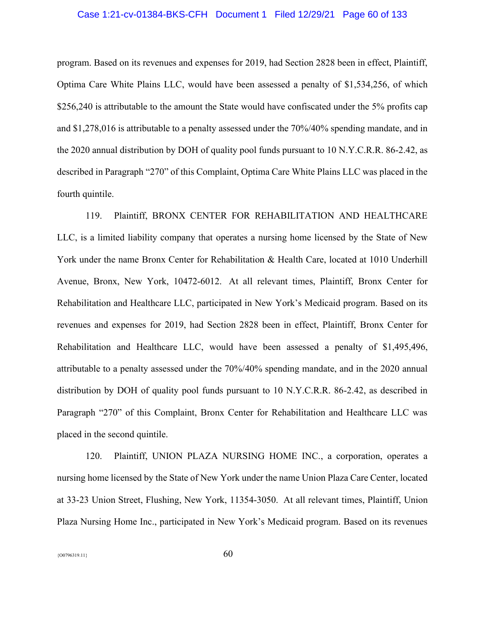# Case 1:21-cv-01384-BKS-CFH Document 1 Filed 12/29/21 Page 60 of 133

program. Based on its revenues and expenses for 2019, had Section 2828 been in effect, Plaintiff, Optima Care White Plains LLC, would have been assessed a penalty of \$1,534,256, of which \$256,240 is attributable to the amount the State would have confiscated under the 5% profits cap and \$1,278,016 is attributable to a penalty assessed under the 70%/40% spending mandate, and in the 2020 annual distribution by DOH of quality pool funds pursuant to 10 N.Y.C.R.R. 86-2.42, as described in Paragraph "270" of this Complaint, Optima Care White Plains LLC was placed in the fourth quintile.

119. Plaintiff, BRONX CENTER FOR REHABILITATION AND HEALTHCARE LLC, is a limited liability company that operates a nursing home licensed by the State of New York under the name Bronx Center for Rehabilitation & Health Care, located at 1010 Underhill Avenue, Bronx, New York, 10472-6012. At all relevant times, Plaintiff, Bronx Center for Rehabilitation and Healthcare LLC, participated in New York's Medicaid program. Based on its revenues and expenses for 2019, had Section 2828 been in effect, Plaintiff, Bronx Center for Rehabilitation and Healthcare LLC, would have been assessed a penalty of \$1,495,496, attributable to a penalty assessed under the 70%/40% spending mandate, and in the 2020 annual distribution by DOH of quality pool funds pursuant to 10 N.Y.C.R.R. 86-2.42, as described in Paragraph "270" of this Complaint, Bronx Center for Rehabilitation and Healthcare LLC was placed in the second quintile.

120. Plaintiff, UNION PLAZA NURSING HOME INC., a corporation, operates a nursing home licensed by the State of New York under the name Union Plaza Care Center, located at 33-23 Union Street, Flushing, New York, 11354-3050. At all relevant times, Plaintiff, Union Plaza Nursing Home Inc., participated in New York's Medicaid program. Based on its revenues

 ${60^{796319.11}}$  60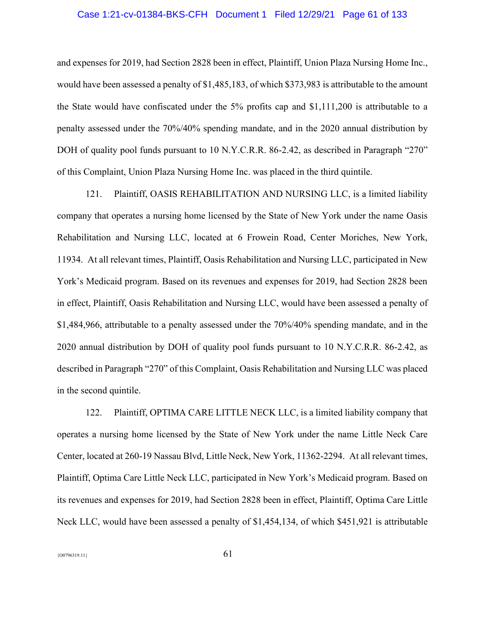# Case 1:21-cv-01384-BKS-CFH Document 1 Filed 12/29/21 Page 61 of 133

and expenses for 2019, had Section 2828 been in effect, Plaintiff, Union Plaza Nursing Home Inc., would have been assessed a penalty of \$1,485,183, of which \$373,983 is attributable to the amount the State would have confiscated under the 5% profits cap and \$1,111,200 is attributable to a penalty assessed under the 70%/40% spending mandate, and in the 2020 annual distribution by DOH of quality pool funds pursuant to 10 N.Y.C.R.R. 86-2.42, as described in Paragraph "270" of this Complaint, Union Plaza Nursing Home Inc. was placed in the third quintile.

121. Plaintiff, OASIS REHABILITATION AND NURSING LLC, is a limited liability company that operates a nursing home licensed by the State of New York under the name Oasis Rehabilitation and Nursing LLC, located at 6 Frowein Road, Center Moriches, New York, 11934. At all relevant times, Plaintiff, Oasis Rehabilitation and Nursing LLC, participated in New York's Medicaid program. Based on its revenues and expenses for 2019, had Section 2828 been in effect, Plaintiff, Oasis Rehabilitation and Nursing LLC, would have been assessed a penalty of \$1,484,966, attributable to a penalty assessed under the 70%/40% spending mandate, and in the 2020 annual distribution by DOH of quality pool funds pursuant to 10 N.Y.C.R.R. 86-2.42, as described in Paragraph "270" of this Complaint, Oasis Rehabilitation and Nursing LLC was placed in the second quintile.

122. Plaintiff, OPTIMA CARE LITTLE NECK LLC, is a limited liability company that operates a nursing home licensed by the State of New York under the name Little Neck Care Center, located at 260-19 Nassau Blvd, Little Neck, New York, 11362-2294. At all relevant times, Plaintiff, Optima Care Little Neck LLC, participated in New York's Medicaid program. Based on its revenues and expenses for 2019, had Section 2828 been in effect, Plaintiff, Optima Care Little Neck LLC, would have been assessed a penalty of \$1,454,134, of which \$451,921 is attributable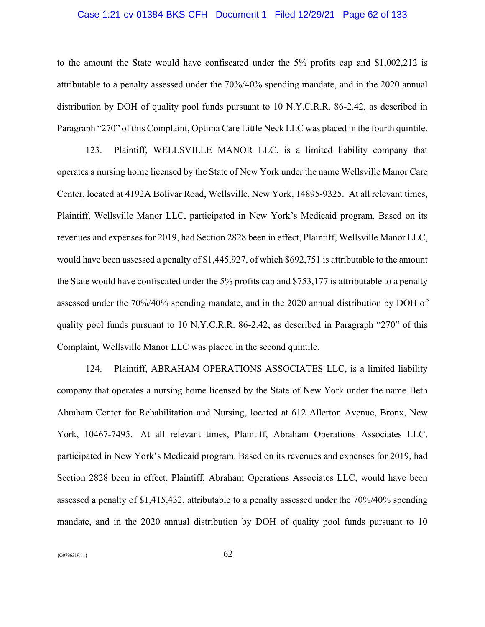# Case 1:21-cv-01384-BKS-CFH Document 1 Filed 12/29/21 Page 62 of 133

to the amount the State would have confiscated under the 5% profits cap and \$1,002,212 is attributable to a penalty assessed under the 70%/40% spending mandate, and in the 2020 annual distribution by DOH of quality pool funds pursuant to 10 N.Y.C.R.R. 86-2.42, as described in Paragraph "270" of this Complaint, Optima Care Little Neck LLC was placed in the fourth quintile.

123. Plaintiff, WELLSVILLE MANOR LLC, is a limited liability company that operates a nursing home licensed by the State of New York under the name Wellsville Manor Care Center, located at 4192A Bolivar Road, Wellsville, New York, 14895-9325. At all relevant times, Plaintiff, Wellsville Manor LLC, participated in New York's Medicaid program. Based on its revenues and expenses for 2019, had Section 2828 been in effect, Plaintiff, Wellsville Manor LLC, would have been assessed a penalty of \$1,445,927, of which \$692,751 is attributable to the amount the State would have confiscated under the 5% profits cap and \$753,177 is attributable to a penalty assessed under the 70%/40% spending mandate, and in the 2020 annual distribution by DOH of quality pool funds pursuant to 10 N.Y.C.R.R. 86-2.42, as described in Paragraph "270" of this Complaint, Wellsville Manor LLC was placed in the second quintile.

124. Plaintiff, ABRAHAM OPERATIONS ASSOCIATES LLC, is a limited liability company that operates a nursing home licensed by the State of New York under the name Beth Abraham Center for Rehabilitation and Nursing, located at 612 Allerton Avenue, Bronx, New York, 10467-7495. At all relevant times, Plaintiff, Abraham Operations Associates LLC, participated in New York's Medicaid program. Based on its revenues and expenses for 2019, had Section 2828 been in effect, Plaintiff, Abraham Operations Associates LLC, would have been assessed a penalty of \$1,415,432, attributable to a penalty assessed under the 70%/40% spending mandate, and in the 2020 annual distribution by DOH of quality pool funds pursuant to 10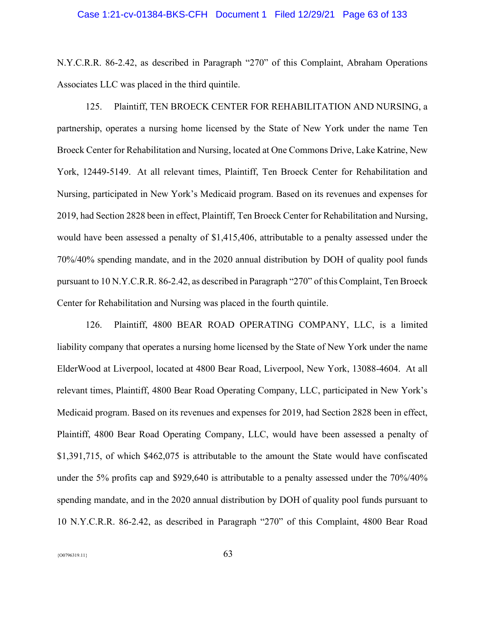# Case 1:21-cv-01384-BKS-CFH Document 1 Filed 12/29/21 Page 63 of 133

N.Y.C.R.R. 86-2.42, as described in Paragraph "270" of this Complaint, Abraham Operations Associates LLC was placed in the third quintile.

125. Plaintiff, TEN BROECK CENTER FOR REHABILITATION AND NURSING, a partnership, operates a nursing home licensed by the State of New York under the name Ten Broeck Center for Rehabilitation and Nursing, located at One Commons Drive, Lake Katrine, New York, 12449-5149. At all relevant times, Plaintiff, Ten Broeck Center for Rehabilitation and Nursing, participated in New York's Medicaid program. Based on its revenues and expenses for 2019, had Section 2828 been in effect, Plaintiff, Ten Broeck Center for Rehabilitation and Nursing, would have been assessed a penalty of \$1,415,406, attributable to a penalty assessed under the 70%/40% spending mandate, and in the 2020 annual distribution by DOH of quality pool funds pursuant to 10 N.Y.C.R.R. 86-2.42, as described in Paragraph "270" of this Complaint, Ten Broeck Center for Rehabilitation and Nursing was placed in the fourth quintile.

126. Plaintiff, 4800 BEAR ROAD OPERATING COMPANY, LLC, is a limited liability company that operates a nursing home licensed by the State of New York under the name ElderWood at Liverpool, located at 4800 Bear Road, Liverpool, New York, 13088-4604. At all relevant times, Plaintiff, 4800 Bear Road Operating Company, LLC, participated in New York's Medicaid program. Based on its revenues and expenses for 2019, had Section 2828 been in effect, Plaintiff, 4800 Bear Road Operating Company, LLC, would have been assessed a penalty of \$1,391,715, of which \$462,075 is attributable to the amount the State would have confiscated under the 5% profits cap and \$929,640 is attributable to a penalty assessed under the 70%/40% spending mandate, and in the 2020 annual distribution by DOH of quality pool funds pursuant to 10 N.Y.C.R.R. 86-2.42, as described in Paragraph "270" of this Complaint, 4800 Bear Road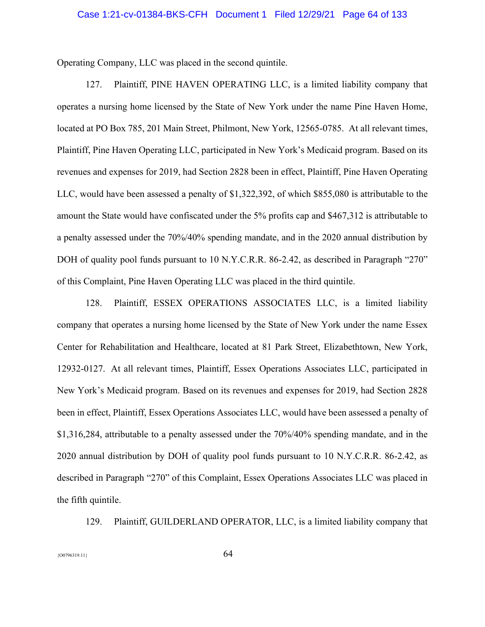Operating Company, LLC was placed in the second quintile.

127. Plaintiff, PINE HAVEN OPERATING LLC, is a limited liability company that operates a nursing home licensed by the State of New York under the name Pine Haven Home, located at PO Box 785, 201 Main Street, Philmont, New York, 12565-0785. At all relevant times, Plaintiff, Pine Haven Operating LLC, participated in New York's Medicaid program. Based on its revenues and expenses for 2019, had Section 2828 been in effect, Plaintiff, Pine Haven Operating LLC, would have been assessed a penalty of \$1,322,392, of which \$855,080 is attributable to the amount the State would have confiscated under the 5% profits cap and \$467,312 is attributable to a penalty assessed under the 70%/40% spending mandate, and in the 2020 annual distribution by DOH of quality pool funds pursuant to 10 N.Y.C.R.R. 86-2.42, as described in Paragraph "270" of this Complaint, Pine Haven Operating LLC was placed in the third quintile.

128. Plaintiff, ESSEX OPERATIONS ASSOCIATES LLC, is a limited liability company that operates a nursing home licensed by the State of New York under the name Essex Center for Rehabilitation and Healthcare, located at 81 Park Street, Elizabethtown, New York, 12932-0127. At all relevant times, Plaintiff, Essex Operations Associates LLC, participated in New York's Medicaid program. Based on its revenues and expenses for 2019, had Section 2828 been in effect, Plaintiff, Essex Operations Associates LLC, would have been assessed a penalty of \$1,316,284, attributable to a penalty assessed under the 70%/40% spending mandate, and in the 2020 annual distribution by DOH of quality pool funds pursuant to 10 N.Y.C.R.R. 86-2.42, as described in Paragraph "270" of this Complaint, Essex Operations Associates LLC was placed in the fifth quintile.

129. Plaintiff, GUILDERLAND OPERATOR, LLC, is a limited liability company that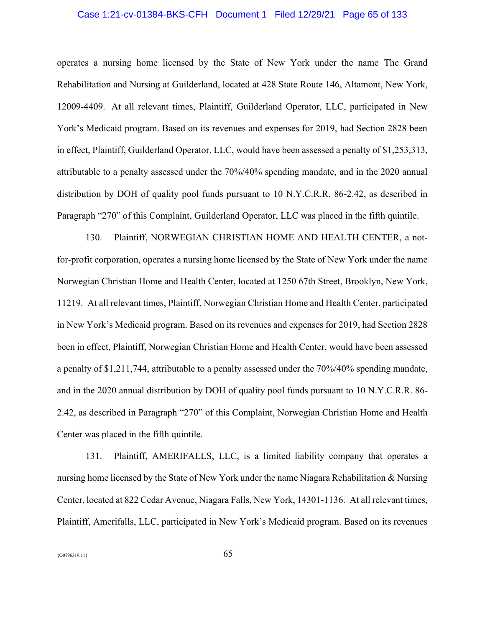# Case 1:21-cv-01384-BKS-CFH Document 1 Filed 12/29/21 Page 65 of 133

operates a nursing home licensed by the State of New York under the name The Grand Rehabilitation and Nursing at Guilderland, located at 428 State Route 146, Altamont, New York, 12009-4409. At all relevant times, Plaintiff, Guilderland Operator, LLC, participated in New York's Medicaid program. Based on its revenues and expenses for 2019, had Section 2828 been in effect, Plaintiff, Guilderland Operator, LLC, would have been assessed a penalty of \$1,253,313, attributable to a penalty assessed under the 70%/40% spending mandate, and in the 2020 annual distribution by DOH of quality pool funds pursuant to 10 N.Y.C.R.R. 86-2.42, as described in Paragraph "270" of this Complaint, Guilderland Operator, LLC was placed in the fifth quintile.

130. Plaintiff, NORWEGIAN CHRISTIAN HOME AND HEALTH CENTER, a notfor-profit corporation, operates a nursing home licensed by the State of New York under the name Norwegian Christian Home and Health Center, located at 1250 67th Street, Brooklyn, New York, 11219. At all relevant times, Plaintiff, Norwegian Christian Home and Health Center, participated in New York's Medicaid program. Based on its revenues and expenses for 2019, had Section 2828 been in effect, Plaintiff, Norwegian Christian Home and Health Center, would have been assessed a penalty of \$1,211,744, attributable to a penalty assessed under the 70%/40% spending mandate, and in the 2020 annual distribution by DOH of quality pool funds pursuant to 10 N.Y.C.R.R. 86- 2.42, as described in Paragraph "270" of this Complaint, Norwegian Christian Home and Health Center was placed in the fifth quintile.

131. Plaintiff, AMERIFALLS, LLC, is a limited liability company that operates a nursing home licensed by the State of New York under the name Niagara Rehabilitation & Nursing Center, located at 822 Cedar Avenue, Niagara Falls, New York, 14301-1136. At all relevant times, Plaintiff, Amerifalls, LLC, participated in New York's Medicaid program. Based on its revenues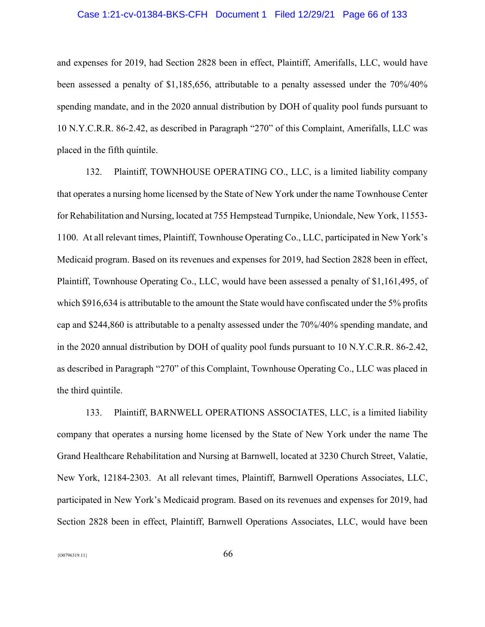# Case 1:21-cv-01384-BKS-CFH Document 1 Filed 12/29/21 Page 66 of 133

and expenses for 2019, had Section 2828 been in effect, Plaintiff, Amerifalls, LLC, would have been assessed a penalty of \$1,185,656, attributable to a penalty assessed under the 70%/40% spending mandate, and in the 2020 annual distribution by DOH of quality pool funds pursuant to 10 N.Y.C.R.R. 86-2.42, as described in Paragraph "270" of this Complaint, Amerifalls, LLC was placed in the fifth quintile.

132. Plaintiff, TOWNHOUSE OPERATING CO., LLC, is a limited liability company that operates a nursing home licensed by the State of New York under the name Townhouse Center for Rehabilitation and Nursing, located at 755 Hempstead Turnpike, Uniondale, New York, 11553- 1100. At all relevant times, Plaintiff, Townhouse Operating Co., LLC, participated in New York's Medicaid program. Based on its revenues and expenses for 2019, had Section 2828 been in effect, Plaintiff, Townhouse Operating Co., LLC, would have been assessed a penalty of \$1,161,495, of which \$916,634 is attributable to the amount the State would have confiscated under the 5% profits cap and \$244,860 is attributable to a penalty assessed under the 70%/40% spending mandate, and in the 2020 annual distribution by DOH of quality pool funds pursuant to 10 N.Y.C.R.R. 86-2.42, as described in Paragraph "270" of this Complaint, Townhouse Operating Co., LLC was placed in the third quintile.

133. Plaintiff, BARNWELL OPERATIONS ASSOCIATES, LLC, is a limited liability company that operates a nursing home licensed by the State of New York under the name The Grand Healthcare Rehabilitation and Nursing at Barnwell, located at 3230 Church Street, Valatie, New York, 12184-2303. At all relevant times, Plaintiff, Barnwell Operations Associates, LLC, participated in New York's Medicaid program. Based on its revenues and expenses for 2019, had Section 2828 been in effect, Plaintiff, Barnwell Operations Associates, LLC, would have been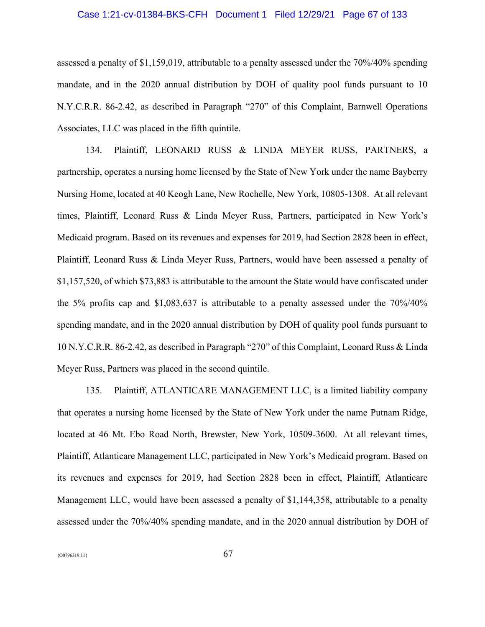# Case 1:21-cv-01384-BKS-CFH Document 1 Filed 12/29/21 Page 67 of 133

assessed a penalty of \$1,159,019, attributable to a penalty assessed under the 70%/40% spending mandate, and in the 2020 annual distribution by DOH of quality pool funds pursuant to 10 N.Y.C.R.R. 86-2.42, as described in Paragraph "270" of this Complaint, Barnwell Operations Associates, LLC was placed in the fifth quintile.

134. Plaintiff, LEONARD RUSS & LINDA MEYER RUSS, PARTNERS, a partnership, operates a nursing home licensed by the State of New York under the name Bayberry Nursing Home, located at 40 Keogh Lane, New Rochelle, New York, 10805-1308. At all relevant times, Plaintiff, Leonard Russ & Linda Meyer Russ, Partners, participated in New York's Medicaid program. Based on its revenues and expenses for 2019, had Section 2828 been in effect, Plaintiff, Leonard Russ & Linda Meyer Russ, Partners, would have been assessed a penalty of \$1,157,520, of which \$73,883 is attributable to the amount the State would have confiscated under the 5% profits cap and \$1,083,637 is attributable to a penalty assessed under the 70%/40% spending mandate, and in the 2020 annual distribution by DOH of quality pool funds pursuant to 10 N.Y.C.R.R. 86-2.42, as described in Paragraph "270" of this Complaint, Leonard Russ & Linda Meyer Russ, Partners was placed in the second quintile.

135. Plaintiff, ATLANTICARE MANAGEMENT LLC, is a limited liability company that operates a nursing home licensed by the State of New York under the name Putnam Ridge, located at 46 Mt. Ebo Road North, Brewster, New York, 10509-3600. At all relevant times, Plaintiff, Atlanticare Management LLC, participated in New York's Medicaid program. Based on its revenues and expenses for 2019, had Section 2828 been in effect, Plaintiff, Atlanticare Management LLC, would have been assessed a penalty of \$1,144,358, attributable to a penalty assessed under the 70%/40% spending mandate, and in the 2020 annual distribution by DOH of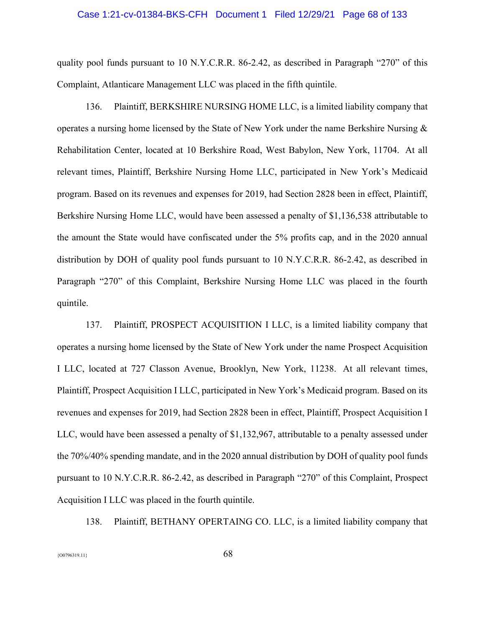### Case 1:21-cv-01384-BKS-CFH Document 1 Filed 12/29/21 Page 68 of 133

quality pool funds pursuant to 10 N.Y.C.R.R. 86-2.42, as described in Paragraph "270" of this Complaint, Atlanticare Management LLC was placed in the fifth quintile.

136. Plaintiff, BERKSHIRE NURSING HOME LLC, is a limited liability company that operates a nursing home licensed by the State of New York under the name Berkshire Nursing & Rehabilitation Center, located at 10 Berkshire Road, West Babylon, New York, 11704. At all relevant times, Plaintiff, Berkshire Nursing Home LLC, participated in New York's Medicaid program. Based on its revenues and expenses for 2019, had Section 2828 been in effect, Plaintiff, Berkshire Nursing Home LLC, would have been assessed a penalty of \$1,136,538 attributable to the amount the State would have confiscated under the 5% profits cap, and in the 2020 annual distribution by DOH of quality pool funds pursuant to 10 N.Y.C.R.R. 86-2.42, as described in Paragraph "270" of this Complaint, Berkshire Nursing Home LLC was placed in the fourth quintile.

137. Plaintiff, PROSPECT ACQUISITION I LLC, is a limited liability company that operates a nursing home licensed by the State of New York under the name Prospect Acquisition I LLC, located at 727 Classon Avenue, Brooklyn, New York, 11238. At all relevant times, Plaintiff, Prospect Acquisition I LLC, participated in New York's Medicaid program. Based on its revenues and expenses for 2019, had Section 2828 been in effect, Plaintiff, Prospect Acquisition I LLC, would have been assessed a penalty of \$1,132,967, attributable to a penalty assessed under the 70%/40% spending mandate, and in the 2020 annual distribution by DOH of quality pool funds pursuant to 10 N.Y.C.R.R. 86-2.42, as described in Paragraph "270" of this Complaint, Prospect Acquisition I LLC was placed in the fourth quintile.

138. Plaintiff, BETHANY OPERTAING CO. LLC, is a limited liability company that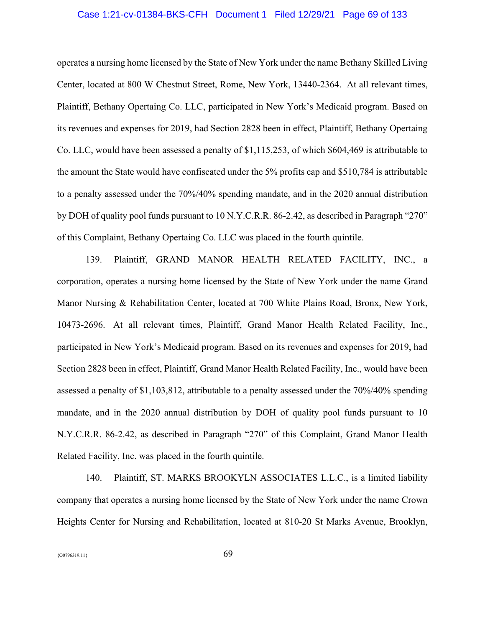# Case 1:21-cv-01384-BKS-CFH Document 1 Filed 12/29/21 Page 69 of 133

operates a nursing home licensed by the State of New York under the name Bethany Skilled Living Center, located at 800 W Chestnut Street, Rome, New York, 13440-2364. At all relevant times, Plaintiff, Bethany Opertaing Co. LLC, participated in New York's Medicaid program. Based on its revenues and expenses for 2019, had Section 2828 been in effect, Plaintiff, Bethany Opertaing Co. LLC, would have been assessed a penalty of \$1,115,253, of which \$604,469 is attributable to the amount the State would have confiscated under the 5% profits cap and \$510,784 is attributable to a penalty assessed under the 70%/40% spending mandate, and in the 2020 annual distribution by DOH of quality pool funds pursuant to 10 N.Y.C.R.R. 86-2.42, as described in Paragraph "270" of this Complaint, Bethany Opertaing Co. LLC was placed in the fourth quintile.

139. Plaintiff, GRAND MANOR HEALTH RELATED FACILITY, INC., a corporation, operates a nursing home licensed by the State of New York under the name Grand Manor Nursing & Rehabilitation Center, located at 700 White Plains Road, Bronx, New York, 10473-2696. At all relevant times, Plaintiff, Grand Manor Health Related Facility, Inc., participated in New York's Medicaid program. Based on its revenues and expenses for 2019, had Section 2828 been in effect, Plaintiff, Grand Manor Health Related Facility, Inc., would have been assessed a penalty of \$1,103,812, attributable to a penalty assessed under the 70%/40% spending mandate, and in the 2020 annual distribution by DOH of quality pool funds pursuant to 10 N.Y.C.R.R. 86-2.42, as described in Paragraph "270" of this Complaint, Grand Manor Health Related Facility, Inc. was placed in the fourth quintile.

140. Plaintiff, ST. MARKS BROOKYLN ASSOCIATES L.L.C., is a limited liability company that operates a nursing home licensed by the State of New York under the name Crown Heights Center for Nursing and Rehabilitation, located at 810-20 St Marks Avenue, Brooklyn,

 ${69}$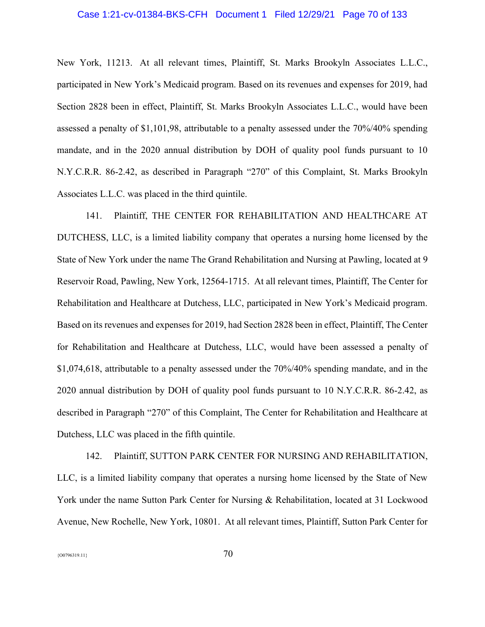# Case 1:21-cv-01384-BKS-CFH Document 1 Filed 12/29/21 Page 70 of 133

New York, 11213. At all relevant times, Plaintiff, St. Marks Brookyln Associates L.L.C., participated in New York's Medicaid program. Based on its revenues and expenses for 2019, had Section 2828 been in effect, Plaintiff, St. Marks Brookyln Associates L.L.C., would have been assessed a penalty of \$1,101,98, attributable to a penalty assessed under the 70%/40% spending mandate, and in the 2020 annual distribution by DOH of quality pool funds pursuant to 10 N.Y.C.R.R. 86-2.42, as described in Paragraph "270" of this Complaint, St. Marks Brookyln Associates L.L.C. was placed in the third quintile.

141. Plaintiff, THE CENTER FOR REHABILITATION AND HEALTHCARE AT DUTCHESS, LLC, is a limited liability company that operates a nursing home licensed by the State of New York under the name The Grand Rehabilitation and Nursing at Pawling, located at 9 Reservoir Road, Pawling, New York, 12564-1715. At all relevant times, Plaintiff, The Center for Rehabilitation and Healthcare at Dutchess, LLC, participated in New York's Medicaid program. Based on its revenues and expenses for 2019, had Section 2828 been in effect, Plaintiff, The Center for Rehabilitation and Healthcare at Dutchess, LLC, would have been assessed a penalty of \$1,074,618, attributable to a penalty assessed under the 70%/40% spending mandate, and in the 2020 annual distribution by DOH of quality pool funds pursuant to 10 N.Y.C.R.R. 86-2.42, as described in Paragraph "270" of this Complaint, The Center for Rehabilitation and Healthcare at Dutchess, LLC was placed in the fifth quintile.

142. Plaintiff, SUTTON PARK CENTER FOR NURSING AND REHABILITATION, LLC, is a limited liability company that operates a nursing home licensed by the State of New York under the name Sutton Park Center for Nursing & Rehabilitation, located at 31 Lockwood Avenue, New Rochelle, New York, 10801. At all relevant times, Plaintiff, Sutton Park Center for

 ${500796319.11}$   $70$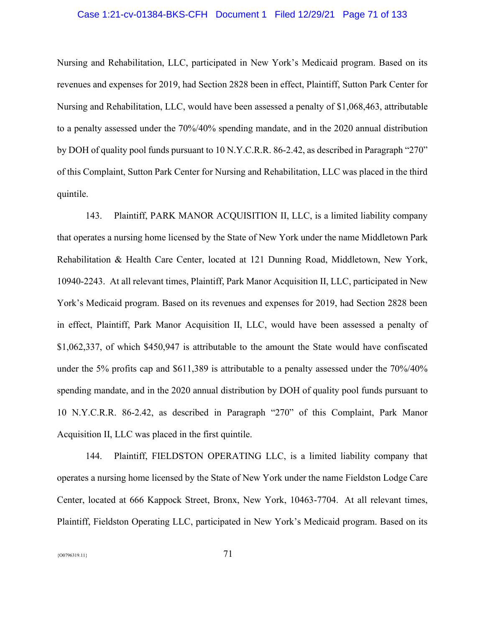# Case 1:21-cv-01384-BKS-CFH Document 1 Filed 12/29/21 Page 71 of 133

Nursing and Rehabilitation, LLC, participated in New York's Medicaid program. Based on its revenues and expenses for 2019, had Section 2828 been in effect, Plaintiff, Sutton Park Center for Nursing and Rehabilitation, LLC, would have been assessed a penalty of \$1,068,463, attributable to a penalty assessed under the 70%/40% spending mandate, and in the 2020 annual distribution by DOH of quality pool funds pursuant to 10 N.Y.C.R.R. 86-2.42, as described in Paragraph "270" of this Complaint, Sutton Park Center for Nursing and Rehabilitation, LLC was placed in the third quintile.

143. Plaintiff, PARK MANOR ACQUISITION II, LLC, is a limited liability company that operates a nursing home licensed by the State of New York under the name Middletown Park Rehabilitation & Health Care Center, located at 121 Dunning Road, Middletown, New York, 10940-2243. At all relevant times, Plaintiff, Park Manor Acquisition II, LLC, participated in New York's Medicaid program. Based on its revenues and expenses for 2019, had Section 2828 been in effect, Plaintiff, Park Manor Acquisition II, LLC, would have been assessed a penalty of \$1,062,337, of which \$450,947 is attributable to the amount the State would have confiscated under the 5% profits cap and \$611,389 is attributable to a penalty assessed under the 70%/40% spending mandate, and in the 2020 annual distribution by DOH of quality pool funds pursuant to 10 N.Y.C.R.R. 86-2.42, as described in Paragraph "270" of this Complaint, Park Manor Acquisition II, LLC was placed in the first quintile.

144. Plaintiff, FIELDSTON OPERATING LLC, is a limited liability company that operates a nursing home licensed by the State of New York under the name Fieldston Lodge Care Center, located at 666 Kappock Street, Bronx, New York, 10463-7704. At all relevant times, Plaintiff, Fieldston Operating LLC, participated in New York's Medicaid program. Based on its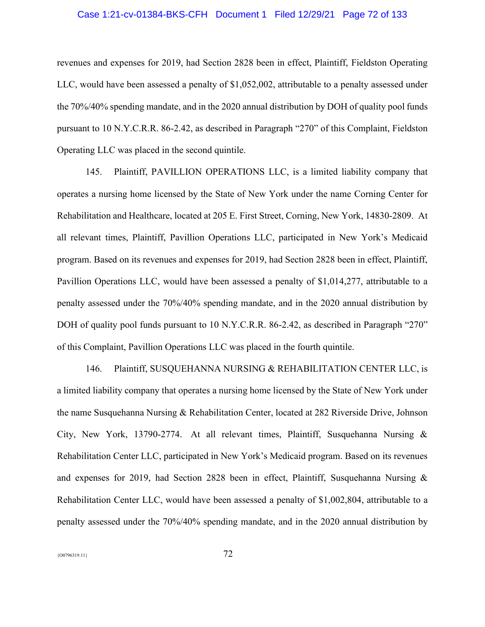# Case 1:21-cv-01384-BKS-CFH Document 1 Filed 12/29/21 Page 72 of 133

revenues and expenses for 2019, had Section 2828 been in effect, Plaintiff, Fieldston Operating LLC, would have been assessed a penalty of \$1,052,002, attributable to a penalty assessed under the 70%/40% spending mandate, and in the 2020 annual distribution by DOH of quality pool funds pursuant to 10 N.Y.C.R.R. 86-2.42, as described in Paragraph "270" of this Complaint, Fieldston Operating LLC was placed in the second quintile.

145. Plaintiff, PAVILLION OPERATIONS LLC, is a limited liability company that operates a nursing home licensed by the State of New York under the name Corning Center for Rehabilitation and Healthcare, located at 205 E. First Street, Corning, New York, 14830-2809. At all relevant times, Plaintiff, Pavillion Operations LLC, participated in New York's Medicaid program. Based on its revenues and expenses for 2019, had Section 2828 been in effect, Plaintiff, Pavillion Operations LLC, would have been assessed a penalty of \$1,014,277, attributable to a penalty assessed under the 70%/40% spending mandate, and in the 2020 annual distribution by DOH of quality pool funds pursuant to 10 N.Y.C.R.R. 86-2.42, as described in Paragraph "270" of this Complaint, Pavillion Operations LLC was placed in the fourth quintile.

146. Plaintiff, SUSQUEHANNA NURSING & REHABILITATION CENTER LLC, is a limited liability company that operates a nursing home licensed by the State of New York under the name Susquehanna Nursing & Rehabilitation Center, located at 282 Riverside Drive, Johnson City, New York, 13790-2774. At all relevant times, Plaintiff, Susquehanna Nursing & Rehabilitation Center LLC, participated in New York's Medicaid program. Based on its revenues and expenses for 2019, had Section 2828 been in effect, Plaintiff, Susquehanna Nursing & Rehabilitation Center LLC, would have been assessed a penalty of \$1,002,804, attributable to a penalty assessed under the 70%/40% spending mandate, and in the 2020 annual distribution by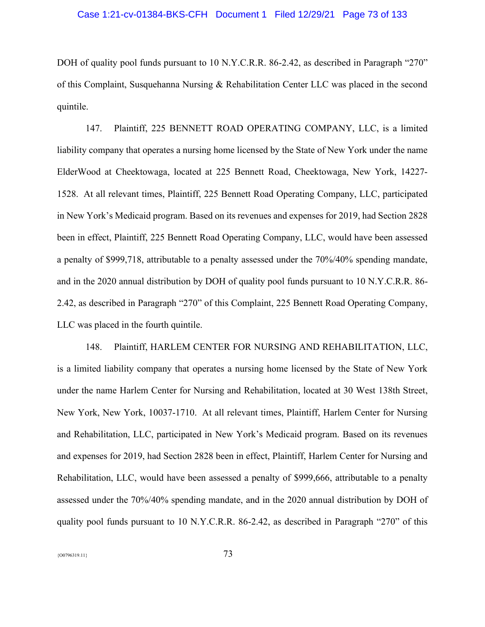# Case 1:21-cv-01384-BKS-CFH Document 1 Filed 12/29/21 Page 73 of 133

DOH of quality pool funds pursuant to 10 N.Y.C.R.R. 86-2.42, as described in Paragraph "270" of this Complaint, Susquehanna Nursing & Rehabilitation Center LLC was placed in the second quintile.

147. Plaintiff, 225 BENNETT ROAD OPERATING COMPANY, LLC, is a limited liability company that operates a nursing home licensed by the State of New York under the name ElderWood at Cheektowaga, located at 225 Bennett Road, Cheektowaga, New York, 14227- 1528. At all relevant times, Plaintiff, 225 Bennett Road Operating Company, LLC, participated in New York's Medicaid program. Based on its revenues and expenses for 2019, had Section 2828 been in effect, Plaintiff, 225 Bennett Road Operating Company, LLC, would have been assessed a penalty of \$999,718, attributable to a penalty assessed under the 70%/40% spending mandate, and in the 2020 annual distribution by DOH of quality pool funds pursuant to 10 N.Y.C.R.R. 86- 2.42, as described in Paragraph "270" of this Complaint, 225 Bennett Road Operating Company, LLC was placed in the fourth quintile.

148. Plaintiff, HARLEM CENTER FOR NURSING AND REHABILITATION, LLC, is a limited liability company that operates a nursing home licensed by the State of New York under the name Harlem Center for Nursing and Rehabilitation, located at 30 West 138th Street, New York, New York, 10037-1710. At all relevant times, Plaintiff, Harlem Center for Nursing and Rehabilitation, LLC, participated in New York's Medicaid program. Based on its revenues and expenses for 2019, had Section 2828 been in effect, Plaintiff, Harlem Center for Nursing and Rehabilitation, LLC, would have been assessed a penalty of \$999,666, attributable to a penalty assessed under the 70%/40% spending mandate, and in the 2020 annual distribution by DOH of quality pool funds pursuant to 10 N.Y.C.R.R. 86-2.42, as described in Paragraph "270" of this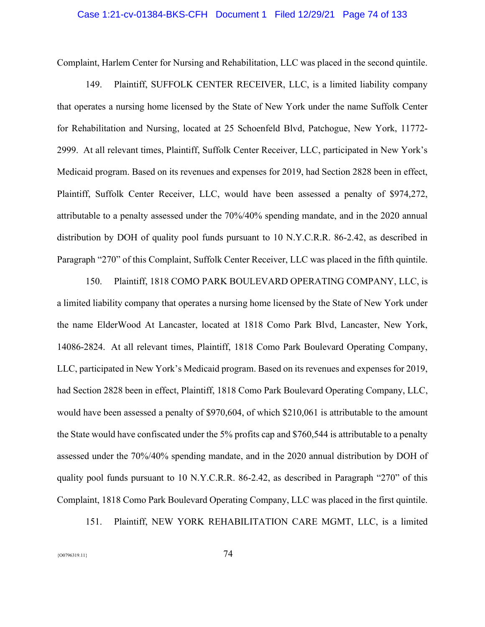# Case 1:21-cv-01384-BKS-CFH Document 1 Filed 12/29/21 Page 74 of 133

Complaint, Harlem Center for Nursing and Rehabilitation, LLC was placed in the second quintile.

149. Plaintiff, SUFFOLK CENTER RECEIVER, LLC, is a limited liability company that operates a nursing home licensed by the State of New York under the name Suffolk Center for Rehabilitation and Nursing, located at 25 Schoenfeld Blvd, Patchogue, New York, 11772- 2999. At all relevant times, Plaintiff, Suffolk Center Receiver, LLC, participated in New York's Medicaid program. Based on its revenues and expenses for 2019, had Section 2828 been in effect, Plaintiff, Suffolk Center Receiver, LLC, would have been assessed a penalty of \$974,272, attributable to a penalty assessed under the 70%/40% spending mandate, and in the 2020 annual distribution by DOH of quality pool funds pursuant to 10 N.Y.C.R.R. 86-2.42, as described in Paragraph "270" of this Complaint, Suffolk Center Receiver, LLC was placed in the fifth quintile.

150. Plaintiff, 1818 COMO PARK BOULEVARD OPERATING COMPANY, LLC, is a limited liability company that operates a nursing home licensed by the State of New York under the name ElderWood At Lancaster, located at 1818 Como Park Blvd, Lancaster, New York, 14086-2824. At all relevant times, Plaintiff, 1818 Como Park Boulevard Operating Company, LLC, participated in New York's Medicaid program. Based on its revenues and expenses for 2019, had Section 2828 been in effect, Plaintiff, 1818 Como Park Boulevard Operating Company, LLC, would have been assessed a penalty of \$970,604, of which \$210,061 is attributable to the amount the State would have confiscated under the 5% profits cap and \$760,544 is attributable to a penalty assessed under the 70%/40% spending mandate, and in the 2020 annual distribution by DOH of quality pool funds pursuant to 10 N.Y.C.R.R. 86-2.42, as described in Paragraph "270" of this Complaint, 1818 Como Park Boulevard Operating Company, LLC was placed in the first quintile.

151. Plaintiff, NEW YORK REHABILITATION CARE MGMT, LLC, is a limited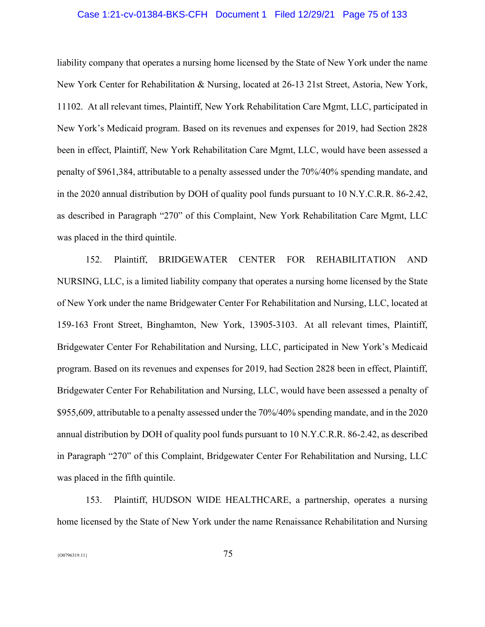# Case 1:21-cv-01384-BKS-CFH Document 1 Filed 12/29/21 Page 75 of 133

liability company that operates a nursing home licensed by the State of New York under the name New York Center for Rehabilitation & Nursing, located at 26-13 21st Street, Astoria, New York, 11102. At all relevant times, Plaintiff, New York Rehabilitation Care Mgmt, LLC, participated in New York's Medicaid program. Based on its revenues and expenses for 2019, had Section 2828 been in effect, Plaintiff, New York Rehabilitation Care Mgmt, LLC, would have been assessed a penalty of \$961,384, attributable to a penalty assessed under the 70%/40% spending mandate, and in the 2020 annual distribution by DOH of quality pool funds pursuant to 10 N.Y.C.R.R. 86-2.42, as described in Paragraph "270" of this Complaint, New York Rehabilitation Care Mgmt, LLC was placed in the third quintile.

152. Plaintiff, BRIDGEWATER CENTER FOR REHABILITATION AND NURSING, LLC, is a limited liability company that operates a nursing home licensed by the State of New York under the name Bridgewater Center For Rehabilitation and Nursing, LLC, located at 159-163 Front Street, Binghamton, New York, 13905-3103. At all relevant times, Plaintiff, Bridgewater Center For Rehabilitation and Nursing, LLC, participated in New York's Medicaid program. Based on its revenues and expenses for 2019, had Section 2828 been in effect, Plaintiff, Bridgewater Center For Rehabilitation and Nursing, LLC, would have been assessed a penalty of \$955,609, attributable to a penalty assessed under the 70%/40% spending mandate, and in the 2020 annual distribution by DOH of quality pool funds pursuant to 10 N.Y.C.R.R. 86-2.42, as described in Paragraph "270" of this Complaint, Bridgewater Center For Rehabilitation and Nursing, LLC was placed in the fifth quintile.

153. Plaintiff, HUDSON WIDE HEALTHCARE, a partnership, operates a nursing home licensed by the State of New York under the name Renaissance Rehabilitation and Nursing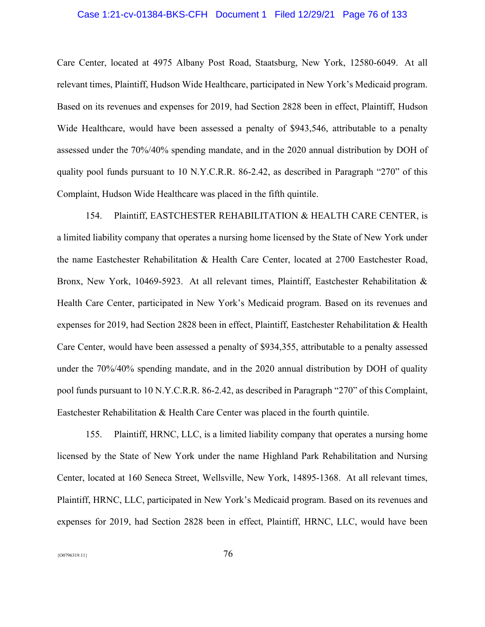# Case 1:21-cv-01384-BKS-CFH Document 1 Filed 12/29/21 Page 76 of 133

Care Center, located at 4975 Albany Post Road, Staatsburg, New York, 12580-6049. At all relevant times, Plaintiff, Hudson Wide Healthcare, participated in New York's Medicaid program. Based on its revenues and expenses for 2019, had Section 2828 been in effect, Plaintiff, Hudson Wide Healthcare, would have been assessed a penalty of \$943,546, attributable to a penalty assessed under the 70%/40% spending mandate, and in the 2020 annual distribution by DOH of quality pool funds pursuant to 10 N.Y.C.R.R. 86-2.42, as described in Paragraph "270" of this Complaint, Hudson Wide Healthcare was placed in the fifth quintile.

154. Plaintiff, EASTCHESTER REHABILITATION & HEALTH CARE CENTER, is a limited liability company that operates a nursing home licensed by the State of New York under the name Eastchester Rehabilitation & Health Care Center, located at 2700 Eastchester Road, Bronx, New York, 10469-5923. At all relevant times, Plaintiff, Eastchester Rehabilitation & Health Care Center, participated in New York's Medicaid program. Based on its revenues and expenses for 2019, had Section 2828 been in effect, Plaintiff, Eastchester Rehabilitation & Health Care Center, would have been assessed a penalty of \$934,355, attributable to a penalty assessed under the 70%/40% spending mandate, and in the 2020 annual distribution by DOH of quality pool funds pursuant to 10 N.Y.C.R.R. 86-2.42, as described in Paragraph "270" of this Complaint, Eastchester Rehabilitation & Health Care Center was placed in the fourth quintile.

155. Plaintiff, HRNC, LLC, is a limited liability company that operates a nursing home licensed by the State of New York under the name Highland Park Rehabilitation and Nursing Center, located at 160 Seneca Street, Wellsville, New York, 14895-1368. At all relevant times, Plaintiff, HRNC, LLC, participated in New York's Medicaid program. Based on its revenues and expenses for 2019, had Section 2828 been in effect, Plaintiff, HRNC, LLC, would have been

 ${76}$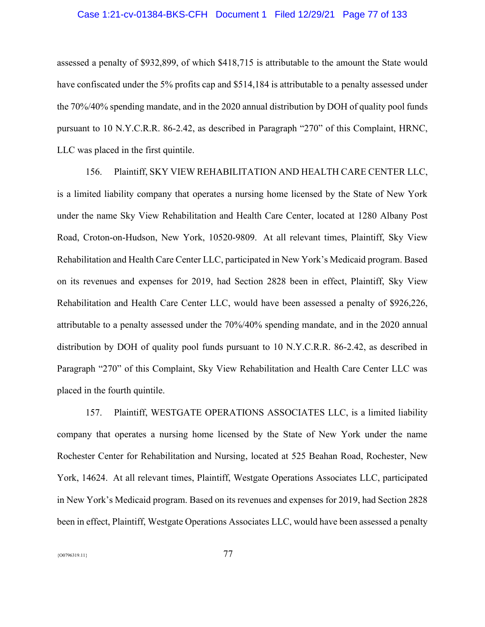## Case 1:21-cv-01384-BKS-CFH Document 1 Filed 12/29/21 Page 77 of 133

assessed a penalty of \$932,899, of which \$418,715 is attributable to the amount the State would have confiscated under the 5% profits cap and \$514,184 is attributable to a penalty assessed under the 70%/40% spending mandate, and in the 2020 annual distribution by DOH of quality pool funds pursuant to 10 N.Y.C.R.R. 86-2.42, as described in Paragraph "270" of this Complaint, HRNC, LLC was placed in the first quintile.

156. Plaintiff, SKY VIEW REHABILITATION AND HEALTH CARE CENTER LLC, is a limited liability company that operates a nursing home licensed by the State of New York under the name Sky View Rehabilitation and Health Care Center, located at 1280 Albany Post Road, Croton-on-Hudson, New York, 10520-9809. At all relevant times, Plaintiff, Sky View Rehabilitation and Health Care Center LLC, participated in New York's Medicaid program. Based on its revenues and expenses for 2019, had Section 2828 been in effect, Plaintiff, Sky View Rehabilitation and Health Care Center LLC, would have been assessed a penalty of \$926,226, attributable to a penalty assessed under the 70%/40% spending mandate, and in the 2020 annual distribution by DOH of quality pool funds pursuant to 10 N.Y.C.R.R. 86-2.42, as described in Paragraph "270" of this Complaint, Sky View Rehabilitation and Health Care Center LLC was placed in the fourth quintile.

157. Plaintiff, WESTGATE OPERATIONS ASSOCIATES LLC, is a limited liability company that operates a nursing home licensed by the State of New York under the name Rochester Center for Rehabilitation and Nursing, located at 525 Beahan Road, Rochester, New York, 14624. At all relevant times, Plaintiff, Westgate Operations Associates LLC, participated in New York's Medicaid program. Based on its revenues and expenses for 2019, had Section 2828 been in effect, Plaintiff, Westgate Operations Associates LLC, would have been assessed a penalty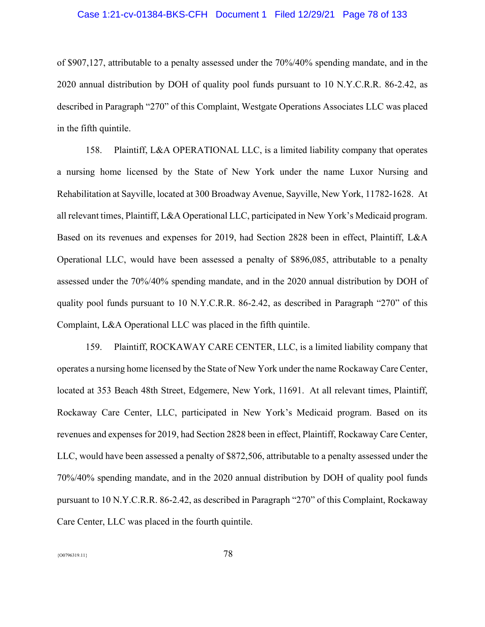# Case 1:21-cv-01384-BKS-CFH Document 1 Filed 12/29/21 Page 78 of 133

of \$907,127, attributable to a penalty assessed under the 70%/40% spending mandate, and in the 2020 annual distribution by DOH of quality pool funds pursuant to 10 N.Y.C.R.R. 86-2.42, as described in Paragraph "270" of this Complaint, Westgate Operations Associates LLC was placed in the fifth quintile.

158. Plaintiff, L&A OPERATIONAL LLC, is a limited liability company that operates a nursing home licensed by the State of New York under the name Luxor Nursing and Rehabilitation at Sayville, located at 300 Broadway Avenue, Sayville, New York, 11782-1628. At all relevant times, Plaintiff, L&A Operational LLC, participated in New York's Medicaid program. Based on its revenues and expenses for 2019, had Section 2828 been in effect, Plaintiff, L&A Operational LLC, would have been assessed a penalty of \$896,085, attributable to a penalty assessed under the 70%/40% spending mandate, and in the 2020 annual distribution by DOH of quality pool funds pursuant to 10 N.Y.C.R.R. 86-2.42, as described in Paragraph "270" of this Complaint, L&A Operational LLC was placed in the fifth quintile.

159. Plaintiff, ROCKAWAY CARE CENTER, LLC, is a limited liability company that operates a nursing home licensed by the State of New York under the name Rockaway Care Center, located at 353 Beach 48th Street, Edgemere, New York, 11691. At all relevant times, Plaintiff, Rockaway Care Center, LLC, participated in New York's Medicaid program. Based on its revenues and expenses for 2019, had Section 2828 been in effect, Plaintiff, Rockaway Care Center, LLC, would have been assessed a penalty of \$872,506, attributable to a penalty assessed under the 70%/40% spending mandate, and in the 2020 annual distribution by DOH of quality pool funds pursuant to 10 N.Y.C.R.R. 86-2.42, as described in Paragraph "270" of this Complaint, Rockaway Care Center, LLC was placed in the fourth quintile.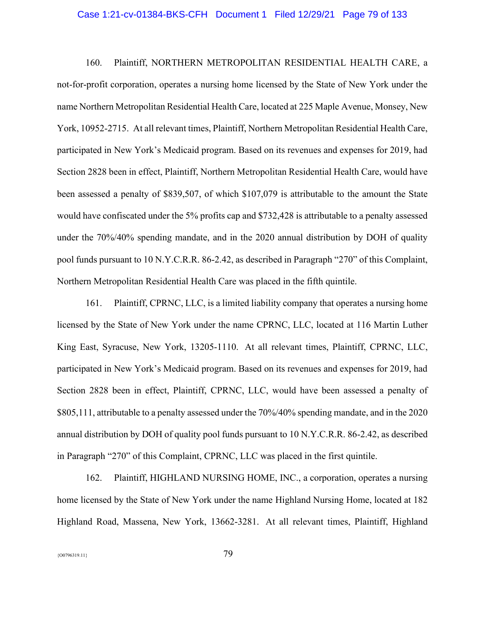#### Case 1:21-cv-01384-BKS-CFH Document 1 Filed 12/29/21 Page 79 of 133

160. Plaintiff, NORTHERN METROPOLITAN RESIDENTIAL HEALTH CARE, a not-for-profit corporation, operates a nursing home licensed by the State of New York under the name Northern Metropolitan Residential Health Care, located at 225 Maple Avenue, Monsey, New York, 10952-2715. At all relevant times, Plaintiff, Northern Metropolitan Residential Health Care, participated in New York's Medicaid program. Based on its revenues and expenses for 2019, had Section 2828 been in effect, Plaintiff, Northern Metropolitan Residential Health Care, would have been assessed a penalty of \$839,507, of which \$107,079 is attributable to the amount the State would have confiscated under the 5% profits cap and \$732,428 is attributable to a penalty assessed under the 70%/40% spending mandate, and in the 2020 annual distribution by DOH of quality pool funds pursuant to 10 N.Y.C.R.R. 86-2.42, as described in Paragraph "270" of this Complaint, Northern Metropolitan Residential Health Care was placed in the fifth quintile.

161. Plaintiff, CPRNC, LLC, is a limited liability company that operates a nursing home licensed by the State of New York under the name CPRNC, LLC, located at 116 Martin Luther King East, Syracuse, New York, 13205-1110. At all relevant times, Plaintiff, CPRNC, LLC, participated in New York's Medicaid program. Based on its revenues and expenses for 2019, had Section 2828 been in effect, Plaintiff, CPRNC, LLC, would have been assessed a penalty of \$805,111, attributable to a penalty assessed under the 70%/40% spending mandate, and in the 2020 annual distribution by DOH of quality pool funds pursuant to 10 N.Y.C.R.R. 86-2.42, as described in Paragraph "270" of this Complaint, CPRNC, LLC was placed in the first quintile.

162. Plaintiff, HIGHLAND NURSING HOME, INC., a corporation, operates a nursing home licensed by the State of New York under the name Highland Nursing Home, located at 182 Highland Road, Massena, New York, 13662-3281. At all relevant times, Plaintiff, Highland

{O0796319.11} 79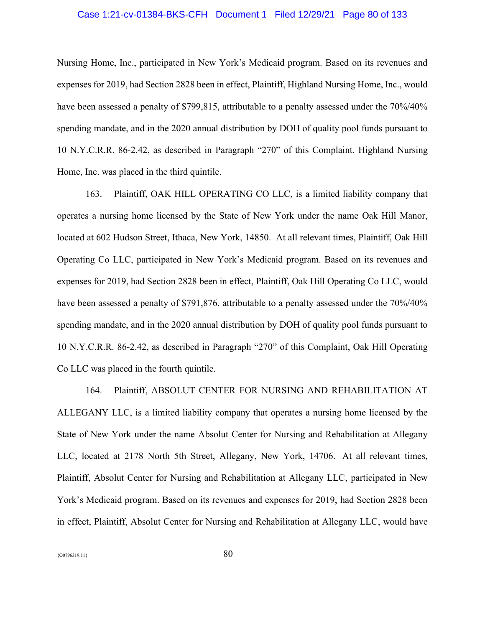# Case 1:21-cv-01384-BKS-CFH Document 1 Filed 12/29/21 Page 80 of 133

Nursing Home, Inc., participated in New York's Medicaid program. Based on its revenues and expenses for 2019, had Section 2828 been in effect, Plaintiff, Highland Nursing Home, Inc., would have been assessed a penalty of \$799,815, attributable to a penalty assessed under the  $70\%/40\%$ spending mandate, and in the 2020 annual distribution by DOH of quality pool funds pursuant to 10 N.Y.C.R.R. 86-2.42, as described in Paragraph "270" of this Complaint, Highland Nursing Home, Inc. was placed in the third quintile.

163. Plaintiff, OAK HILL OPERATING CO LLC, is a limited liability company that operates a nursing home licensed by the State of New York under the name Oak Hill Manor, located at 602 Hudson Street, Ithaca, New York, 14850. At all relevant times, Plaintiff, Oak Hill Operating Co LLC, participated in New York's Medicaid program. Based on its revenues and expenses for 2019, had Section 2828 been in effect, Plaintiff, Oak Hill Operating Co LLC, would have been assessed a penalty of \$791,876, attributable to a penalty assessed under the 70%/40% spending mandate, and in the 2020 annual distribution by DOH of quality pool funds pursuant to 10 N.Y.C.R.R. 86-2.42, as described in Paragraph "270" of this Complaint, Oak Hill Operating Co LLC was placed in the fourth quintile.

164. Plaintiff, ABSOLUT CENTER FOR NURSING AND REHABILITATION AT ALLEGANY LLC, is a limited liability company that operates a nursing home licensed by the State of New York under the name Absolut Center for Nursing and Rehabilitation at Allegany LLC, located at 2178 North 5th Street, Allegany, New York, 14706. At all relevant times, Plaintiff, Absolut Center for Nursing and Rehabilitation at Allegany LLC, participated in New York's Medicaid program. Based on its revenues and expenses for 2019, had Section 2828 been in effect, Plaintiff, Absolut Center for Nursing and Rehabilitation at Allegany LLC, would have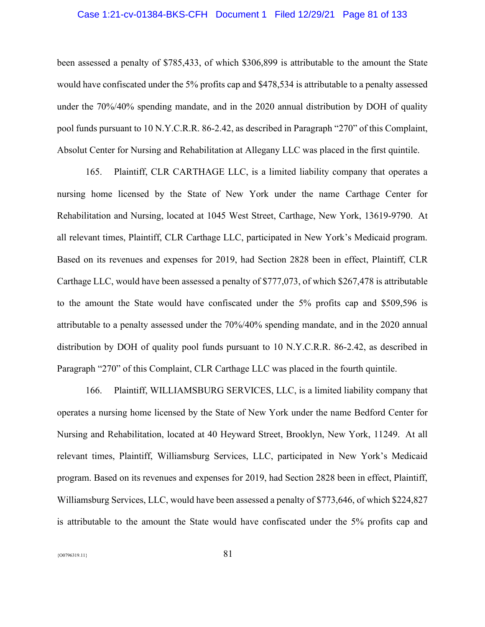# Case 1:21-cv-01384-BKS-CFH Document 1 Filed 12/29/21 Page 81 of 133

been assessed a penalty of \$785,433, of which \$306,899 is attributable to the amount the State would have confiscated under the 5% profits cap and \$478,534 is attributable to a penalty assessed under the 70%/40% spending mandate, and in the 2020 annual distribution by DOH of quality pool funds pursuant to 10 N.Y.C.R.R. 86-2.42, as described in Paragraph "270" of this Complaint, Absolut Center for Nursing and Rehabilitation at Allegany LLC was placed in the first quintile.

165. Plaintiff, CLR CARTHAGE LLC, is a limited liability company that operates a nursing home licensed by the State of New York under the name Carthage Center for Rehabilitation and Nursing, located at 1045 West Street, Carthage, New York, 13619-9790. At all relevant times, Plaintiff, CLR Carthage LLC, participated in New York's Medicaid program. Based on its revenues and expenses for 2019, had Section 2828 been in effect, Plaintiff, CLR Carthage LLC, would have been assessed a penalty of \$777,073, of which \$267,478 is attributable to the amount the State would have confiscated under the 5% profits cap and \$509,596 is attributable to a penalty assessed under the 70%/40% spending mandate, and in the 2020 annual distribution by DOH of quality pool funds pursuant to 10 N.Y.C.R.R. 86-2.42, as described in Paragraph "270" of this Complaint, CLR Carthage LLC was placed in the fourth quintile.

166. Plaintiff, WILLIAMSBURG SERVICES, LLC, is a limited liability company that operates a nursing home licensed by the State of New York under the name Bedford Center for Nursing and Rehabilitation, located at 40 Heyward Street, Brooklyn, New York, 11249. At all relevant times, Plaintiff, Williamsburg Services, LLC, participated in New York's Medicaid program. Based on its revenues and expenses for 2019, had Section 2828 been in effect, Plaintiff, Williamsburg Services, LLC, would have been assessed a penalty of \$773,646, of which \$224,827 is attributable to the amount the State would have confiscated under the 5% profits cap and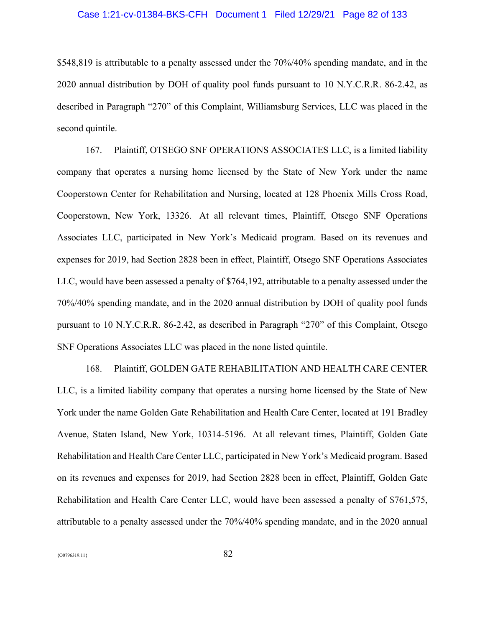# Case 1:21-cv-01384-BKS-CFH Document 1 Filed 12/29/21 Page 82 of 133

\$548,819 is attributable to a penalty assessed under the 70%/40% spending mandate, and in the 2020 annual distribution by DOH of quality pool funds pursuant to 10 N.Y.C.R.R. 86-2.42, as described in Paragraph "270" of this Complaint, Williamsburg Services, LLC was placed in the second quintile.

167. Plaintiff, OTSEGO SNF OPERATIONS ASSOCIATES LLC, is a limited liability company that operates a nursing home licensed by the State of New York under the name Cooperstown Center for Rehabilitation and Nursing, located at 128 Phoenix Mills Cross Road, Cooperstown, New York, 13326. At all relevant times, Plaintiff, Otsego SNF Operations Associates LLC, participated in New York's Medicaid program. Based on its revenues and expenses for 2019, had Section 2828 been in effect, Plaintiff, Otsego SNF Operations Associates LLC, would have been assessed a penalty of \$764,192, attributable to a penalty assessed under the 70%/40% spending mandate, and in the 2020 annual distribution by DOH of quality pool funds pursuant to 10 N.Y.C.R.R. 86-2.42, as described in Paragraph "270" of this Complaint, Otsego SNF Operations Associates LLC was placed in the none listed quintile.

168. Plaintiff, GOLDEN GATE REHABILITATION AND HEALTH CARE CENTER LLC, is a limited liability company that operates a nursing home licensed by the State of New York under the name Golden Gate Rehabilitation and Health Care Center, located at 191 Bradley Avenue, Staten Island, New York, 10314-5196. At all relevant times, Plaintiff, Golden Gate Rehabilitation and Health Care Center LLC, participated in New York's Medicaid program. Based on its revenues and expenses for 2019, had Section 2828 been in effect, Plaintiff, Golden Gate Rehabilitation and Health Care Center LLC, would have been assessed a penalty of \$761,575, attributable to a penalty assessed under the 70%/40% spending mandate, and in the 2020 annual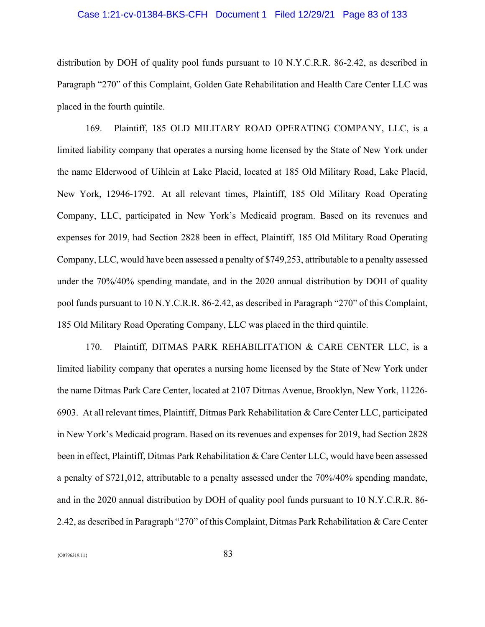# Case 1:21-cv-01384-BKS-CFH Document 1 Filed 12/29/21 Page 83 of 133

distribution by DOH of quality pool funds pursuant to 10 N.Y.C.R.R. 86-2.42, as described in Paragraph "270" of this Complaint, Golden Gate Rehabilitation and Health Care Center LLC was placed in the fourth quintile.

169. Plaintiff, 185 OLD MILITARY ROAD OPERATING COMPANY, LLC, is a limited liability company that operates a nursing home licensed by the State of New York under the name Elderwood of Uihlein at Lake Placid, located at 185 Old Military Road, Lake Placid, New York, 12946-1792. At all relevant times, Plaintiff, 185 Old Military Road Operating Company, LLC, participated in New York's Medicaid program. Based on its revenues and expenses for 2019, had Section 2828 been in effect, Plaintiff, 185 Old Military Road Operating Company, LLC, would have been assessed a penalty of \$749,253, attributable to a penalty assessed under the 70%/40% spending mandate, and in the 2020 annual distribution by DOH of quality pool funds pursuant to 10 N.Y.C.R.R. 86-2.42, as described in Paragraph "270" of this Complaint, 185 Old Military Road Operating Company, LLC was placed in the third quintile.

170. Plaintiff, DITMAS PARK REHABILITATION & CARE CENTER LLC, is a limited liability company that operates a nursing home licensed by the State of New York under the name Ditmas Park Care Center, located at 2107 Ditmas Avenue, Brooklyn, New York, 11226- 6903. At all relevant times, Plaintiff, Ditmas Park Rehabilitation & Care Center LLC, participated in New York's Medicaid program. Based on its revenues and expenses for 2019, had Section 2828 been in effect, Plaintiff, Ditmas Park Rehabilitation & Care Center LLC, would have been assessed a penalty of \$721,012, attributable to a penalty assessed under the 70%/40% spending mandate, and in the 2020 annual distribution by DOH of quality pool funds pursuant to 10 N.Y.C.R.R. 86- 2.42, as described in Paragraph "270" of this Complaint, Ditmas Park Rehabilitation & Care Center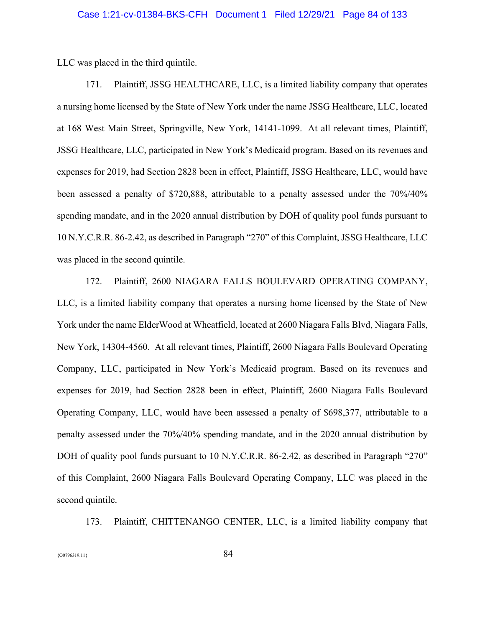LLC was placed in the third quintile.

171. Plaintiff, JSSG HEALTHCARE, LLC, is a limited liability company that operates a nursing home licensed by the State of New York under the name JSSG Healthcare, LLC, located at 168 West Main Street, Springville, New York, 14141-1099. At all relevant times, Plaintiff, JSSG Healthcare, LLC, participated in New York's Medicaid program. Based on its revenues and expenses for 2019, had Section 2828 been in effect, Plaintiff, JSSG Healthcare, LLC, would have been assessed a penalty of \$720,888, attributable to a penalty assessed under the 70%/40% spending mandate, and in the 2020 annual distribution by DOH of quality pool funds pursuant to 10 N.Y.C.R.R. 86-2.42, as described in Paragraph "270" of this Complaint, JSSG Healthcare, LLC was placed in the second quintile.

172. Plaintiff, 2600 NIAGARA FALLS BOULEVARD OPERATING COMPANY, LLC, is a limited liability company that operates a nursing home licensed by the State of New York under the name ElderWood at Wheatfield, located at 2600 Niagara Falls Blvd, Niagara Falls, New York, 14304-4560. At all relevant times, Plaintiff, 2600 Niagara Falls Boulevard Operating Company, LLC, participated in New York's Medicaid program. Based on its revenues and expenses for 2019, had Section 2828 been in effect, Plaintiff, 2600 Niagara Falls Boulevard Operating Company, LLC, would have been assessed a penalty of \$698,377, attributable to a penalty assessed under the 70%/40% spending mandate, and in the 2020 annual distribution by DOH of quality pool funds pursuant to 10 N.Y.C.R.R. 86-2.42, as described in Paragraph "270" of this Complaint, 2600 Niagara Falls Boulevard Operating Company, LLC was placed in the second quintile.

173. Plaintiff, CHITTENANGO CENTER, LLC, is a limited liability company that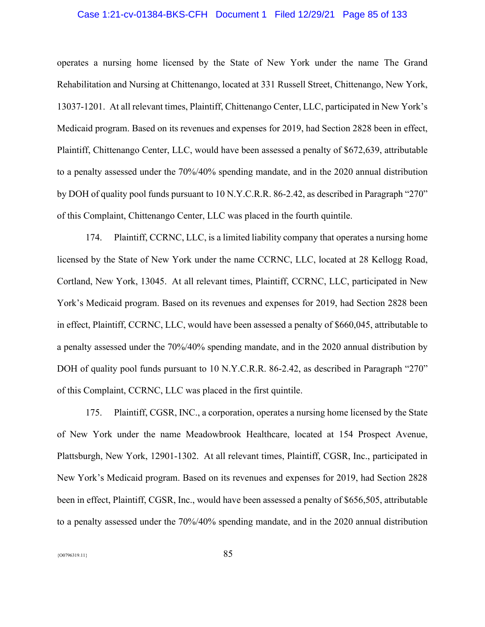# Case 1:21-cv-01384-BKS-CFH Document 1 Filed 12/29/21 Page 85 of 133

operates a nursing home licensed by the State of New York under the name The Grand Rehabilitation and Nursing at Chittenango, located at 331 Russell Street, Chittenango, New York, 13037-1201. At all relevant times, Plaintiff, Chittenango Center, LLC, participated in New York's Medicaid program. Based on its revenues and expenses for 2019, had Section 2828 been in effect, Plaintiff, Chittenango Center, LLC, would have been assessed a penalty of \$672,639, attributable to a penalty assessed under the 70%/40% spending mandate, and in the 2020 annual distribution by DOH of quality pool funds pursuant to 10 N.Y.C.R.R. 86-2.42, as described in Paragraph "270" of this Complaint, Chittenango Center, LLC was placed in the fourth quintile.

174. Plaintiff, CCRNC, LLC, is a limited liability company that operates a nursing home licensed by the State of New York under the name CCRNC, LLC, located at 28 Kellogg Road, Cortland, New York, 13045. At all relevant times, Plaintiff, CCRNC, LLC, participated in New York's Medicaid program. Based on its revenues and expenses for 2019, had Section 2828 been in effect, Plaintiff, CCRNC, LLC, would have been assessed a penalty of \$660,045, attributable to a penalty assessed under the 70%/40% spending mandate, and in the 2020 annual distribution by DOH of quality pool funds pursuant to 10 N.Y.C.R.R. 86-2.42, as described in Paragraph "270" of this Complaint, CCRNC, LLC was placed in the first quintile.

175. Plaintiff, CGSR, INC., a corporation, operates a nursing home licensed by the State of New York under the name Meadowbrook Healthcare, located at 154 Prospect Avenue, Plattsburgh, New York, 12901-1302. At all relevant times, Plaintiff, CGSR, Inc., participated in New York's Medicaid program. Based on its revenues and expenses for 2019, had Section 2828 been in effect, Plaintiff, CGSR, Inc., would have been assessed a penalty of \$656,505, attributable to a penalty assessed under the 70%/40% spending mandate, and in the 2020 annual distribution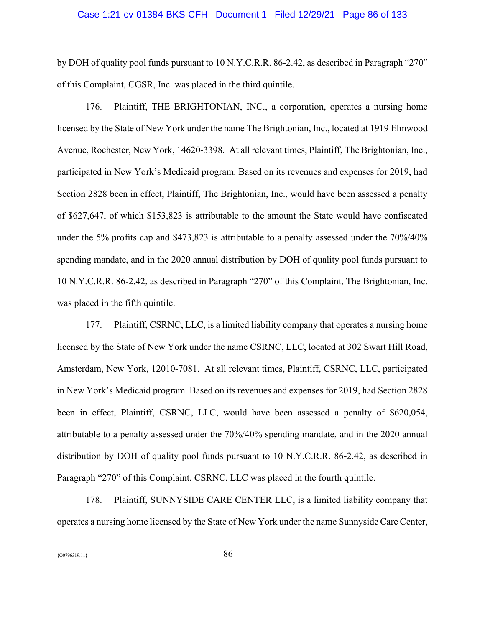#### Case 1:21-cv-01384-BKS-CFH Document 1 Filed 12/29/21 Page 86 of 133

by DOH of quality pool funds pursuant to 10 N.Y.C.R.R. 86-2.42, as described in Paragraph "270" of this Complaint, CGSR, Inc. was placed in the third quintile.

176. Plaintiff, THE BRIGHTONIAN, INC., a corporation, operates a nursing home licensed by the State of New York under the name The Brightonian, Inc., located at 1919 Elmwood Avenue, Rochester, New York, 14620-3398. At all relevant times, Plaintiff, The Brightonian, Inc., participated in New York's Medicaid program. Based on its revenues and expenses for 2019, had Section 2828 been in effect, Plaintiff, The Brightonian, Inc., would have been assessed a penalty of \$627,647, of which \$153,823 is attributable to the amount the State would have confiscated under the 5% profits cap and \$473,823 is attributable to a penalty assessed under the 70%/40% spending mandate, and in the 2020 annual distribution by DOH of quality pool funds pursuant to 10 N.Y.C.R.R. 86-2.42, as described in Paragraph "270" of this Complaint, The Brightonian, Inc. was placed in the fifth quintile.

177. Plaintiff, CSRNC, LLC, is a limited liability company that operates a nursing home licensed by the State of New York under the name CSRNC, LLC, located at 302 Swart Hill Road, Amsterdam, New York, 12010-7081. At all relevant times, Plaintiff, CSRNC, LLC, participated in New York's Medicaid program. Based on its revenues and expenses for 2019, had Section 2828 been in effect, Plaintiff, CSRNC, LLC, would have been assessed a penalty of \$620,054, attributable to a penalty assessed under the 70%/40% spending mandate, and in the 2020 annual distribution by DOH of quality pool funds pursuant to 10 N.Y.C.R.R. 86-2.42, as described in Paragraph "270" of this Complaint, CSRNC, LLC was placed in the fourth quintile.

178. Plaintiff, SUNNYSIDE CARE CENTER LLC, is a limited liability company that operates a nursing home licensed by the State of New York under the name Sunnyside Care Center,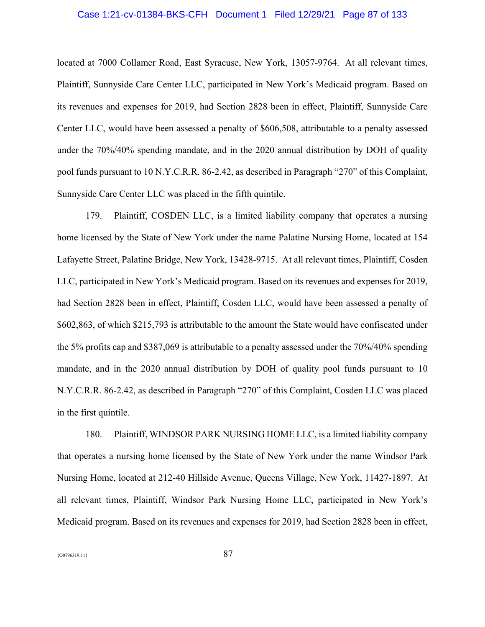# Case 1:21-cv-01384-BKS-CFH Document 1 Filed 12/29/21 Page 87 of 133

located at 7000 Collamer Road, East Syracuse, New York, 13057-9764. At all relevant times, Plaintiff, Sunnyside Care Center LLC, participated in New York's Medicaid program. Based on its revenues and expenses for 2019, had Section 2828 been in effect, Plaintiff, Sunnyside Care Center LLC, would have been assessed a penalty of \$606,508, attributable to a penalty assessed under the 70%/40% spending mandate, and in the 2020 annual distribution by DOH of quality pool funds pursuant to 10 N.Y.C.R.R. 86-2.42, as described in Paragraph "270" of this Complaint, Sunnyside Care Center LLC was placed in the fifth quintile.

179. Plaintiff, COSDEN LLC, is a limited liability company that operates a nursing home licensed by the State of New York under the name Palatine Nursing Home, located at 154 Lafayette Street, Palatine Bridge, New York, 13428-9715. At all relevant times, Plaintiff, Cosden LLC, participated in New York's Medicaid program. Based on its revenues and expenses for 2019, had Section 2828 been in effect, Plaintiff, Cosden LLC, would have been assessed a penalty of \$602,863, of which \$215,793 is attributable to the amount the State would have confiscated under the 5% profits cap and \$387,069 is attributable to a penalty assessed under the 70%/40% spending mandate, and in the 2020 annual distribution by DOH of quality pool funds pursuant to 10 N.Y.C.R.R. 86-2.42, as described in Paragraph "270" of this Complaint, Cosden LLC was placed in the first quintile.

180. Plaintiff, WINDSOR PARK NURSING HOME LLC, is a limited liability company that operates a nursing home licensed by the State of New York under the name Windsor Park Nursing Home, located at 212-40 Hillside Avenue, Queens Village, New York, 11427-1897. At all relevant times, Plaintiff, Windsor Park Nursing Home LLC, participated in New York's Medicaid program. Based on its revenues and expenses for 2019, had Section 2828 been in effect,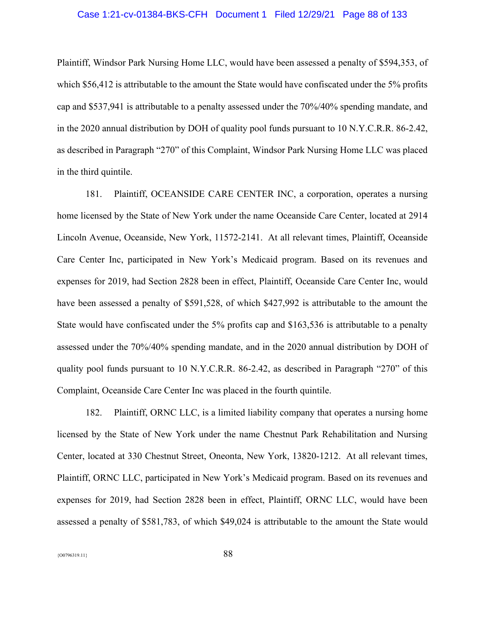# Case 1:21-cv-01384-BKS-CFH Document 1 Filed 12/29/21 Page 88 of 133

Plaintiff, Windsor Park Nursing Home LLC, would have been assessed a penalty of \$594,353, of which \$56,412 is attributable to the amount the State would have confiscated under the 5% profits cap and \$537,941 is attributable to a penalty assessed under the 70%/40% spending mandate, and in the 2020 annual distribution by DOH of quality pool funds pursuant to 10 N.Y.C.R.R. 86-2.42, as described in Paragraph "270" of this Complaint, Windsor Park Nursing Home LLC was placed in the third quintile.

181. Plaintiff, OCEANSIDE CARE CENTER INC, a corporation, operates a nursing home licensed by the State of New York under the name Oceanside Care Center, located at 2914 Lincoln Avenue, Oceanside, New York, 11572-2141. At all relevant times, Plaintiff, Oceanside Care Center Inc, participated in New York's Medicaid program. Based on its revenues and expenses for 2019, had Section 2828 been in effect, Plaintiff, Oceanside Care Center Inc, would have been assessed a penalty of \$591,528, of which \$427,992 is attributable to the amount the State would have confiscated under the 5% profits cap and \$163,536 is attributable to a penalty assessed under the 70%/40% spending mandate, and in the 2020 annual distribution by DOH of quality pool funds pursuant to 10 N.Y.C.R.R. 86-2.42, as described in Paragraph "270" of this Complaint, Oceanside Care Center Inc was placed in the fourth quintile.

182. Plaintiff, ORNC LLC, is a limited liability company that operates a nursing home licensed by the State of New York under the name Chestnut Park Rehabilitation and Nursing Center, located at 330 Chestnut Street, Oneonta, New York, 13820-1212. At all relevant times, Plaintiff, ORNC LLC, participated in New York's Medicaid program. Based on its revenues and expenses for 2019, had Section 2828 been in effect, Plaintiff, ORNC LLC, would have been assessed a penalty of \$581,783, of which \$49,024 is attributable to the amount the State would

 ${88}$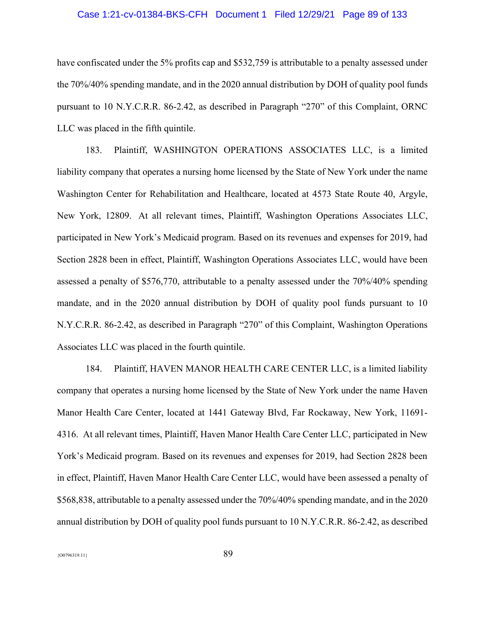# Case 1:21-cv-01384-BKS-CFH Document 1 Filed 12/29/21 Page 89 of 133

have confiscated under the 5% profits cap and \$532,759 is attributable to a penalty assessed under the 70%/40% spending mandate, and in the 2020 annual distribution by DOH of quality pool funds pursuant to 10 N.Y.C.R.R. 86-2.42, as described in Paragraph "270" of this Complaint, ORNC LLC was placed in the fifth quintile.

183. Plaintiff, WASHINGTON OPERATIONS ASSOCIATES LLC, is a limited liability company that operates a nursing home licensed by the State of New York under the name Washington Center for Rehabilitation and Healthcare, located at 4573 State Route 40, Argyle, New York, 12809. At all relevant times, Plaintiff, Washington Operations Associates LLC, participated in New York's Medicaid program. Based on its revenues and expenses for 2019, had Section 2828 been in effect, Plaintiff, Washington Operations Associates LLC, would have been assessed a penalty of \$576,770, attributable to a penalty assessed under the 70%/40% spending mandate, and in the 2020 annual distribution by DOH of quality pool funds pursuant to 10 N.Y.C.R.R. 86-2.42, as described in Paragraph "270" of this Complaint, Washington Operations Associates LLC was placed in the fourth quintile.

184. Plaintiff, HAVEN MANOR HEALTH CARE CENTER LLC, is a limited liability company that operates a nursing home licensed by the State of New York under the name Haven Manor Health Care Center, located at 1441 Gateway Blvd, Far Rockaway, New York, 11691- 4316. At all relevant times, Plaintiff, Haven Manor Health Care Center LLC, participated in New York's Medicaid program. Based on its revenues and expenses for 2019, had Section 2828 been in effect, Plaintiff, Haven Manor Health Care Center LLC, would have been assessed a penalty of \$568,838, attributable to a penalty assessed under the 70%/40% spending mandate, and in the 2020 annual distribution by DOH of quality pool funds pursuant to 10 N.Y.C.R.R. 86-2.42, as described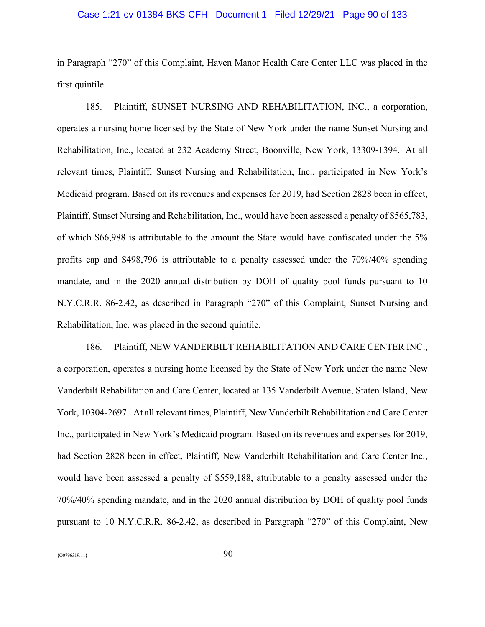### Case 1:21-cv-01384-BKS-CFH Document 1 Filed 12/29/21 Page 90 of 133

in Paragraph "270" of this Complaint, Haven Manor Health Care Center LLC was placed in the first quintile.

185. Plaintiff, SUNSET NURSING AND REHABILITATION, INC., a corporation, operates a nursing home licensed by the State of New York under the name Sunset Nursing and Rehabilitation, Inc., located at 232 Academy Street, Boonville, New York, 13309-1394. At all relevant times, Plaintiff, Sunset Nursing and Rehabilitation, Inc., participated in New York's Medicaid program. Based on its revenues and expenses for 2019, had Section 2828 been in effect, Plaintiff, Sunset Nursing and Rehabilitation, Inc., would have been assessed a penalty of \$565,783, of which \$66,988 is attributable to the amount the State would have confiscated under the 5% profits cap and \$498,796 is attributable to a penalty assessed under the 70%/40% spending mandate, and in the 2020 annual distribution by DOH of quality pool funds pursuant to 10 N.Y.C.R.R. 86-2.42, as described in Paragraph "270" of this Complaint, Sunset Nursing and Rehabilitation, Inc. was placed in the second quintile.

186. Plaintiff, NEW VANDERBILT REHABILITATION AND CARE CENTER INC., a corporation, operates a nursing home licensed by the State of New York under the name New Vanderbilt Rehabilitation and Care Center, located at 135 Vanderbilt Avenue, Staten Island, New York, 10304-2697. At all relevant times, Plaintiff, New Vanderbilt Rehabilitation and Care Center Inc., participated in New York's Medicaid program. Based on its revenues and expenses for 2019, had Section 2828 been in effect, Plaintiff, New Vanderbilt Rehabilitation and Care Center Inc., would have been assessed a penalty of \$559,188, attributable to a penalty assessed under the 70%/40% spending mandate, and in the 2020 annual distribution by DOH of quality pool funds pursuant to 10 N.Y.C.R.R. 86-2.42, as described in Paragraph "270" of this Complaint, New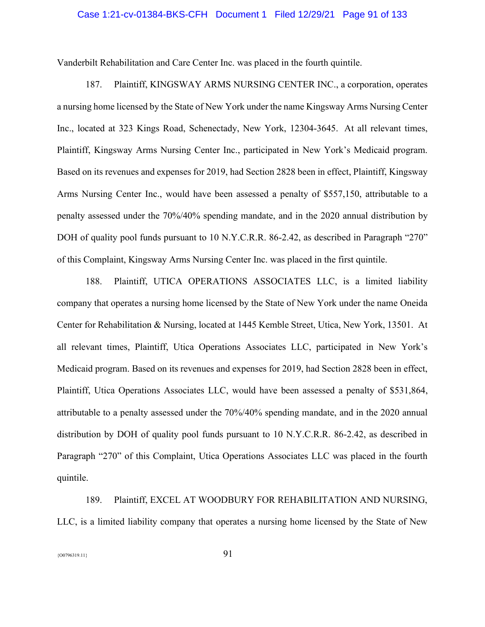### Case 1:21-cv-01384-BKS-CFH Document 1 Filed 12/29/21 Page 91 of 133

Vanderbilt Rehabilitation and Care Center Inc. was placed in the fourth quintile.

187. Plaintiff, KINGSWAY ARMS NURSING CENTER INC., a corporation, operates a nursing home licensed by the State of New York under the name Kingsway Arms Nursing Center Inc., located at 323 Kings Road, Schenectady, New York, 12304-3645. At all relevant times, Plaintiff, Kingsway Arms Nursing Center Inc., participated in New York's Medicaid program. Based on its revenues and expenses for 2019, had Section 2828 been in effect, Plaintiff, Kingsway Arms Nursing Center Inc., would have been assessed a penalty of \$557,150, attributable to a penalty assessed under the 70%/40% spending mandate, and in the 2020 annual distribution by DOH of quality pool funds pursuant to 10 N.Y.C.R.R. 86-2.42, as described in Paragraph "270" of this Complaint, Kingsway Arms Nursing Center Inc. was placed in the first quintile.

188. Plaintiff, UTICA OPERATIONS ASSOCIATES LLC, is a limited liability company that operates a nursing home licensed by the State of New York under the name Oneida Center for Rehabilitation & Nursing, located at 1445 Kemble Street, Utica, New York, 13501. At all relevant times, Plaintiff, Utica Operations Associates LLC, participated in New York's Medicaid program. Based on its revenues and expenses for 2019, had Section 2828 been in effect, Plaintiff, Utica Operations Associates LLC, would have been assessed a penalty of \$531,864, attributable to a penalty assessed under the 70%/40% spending mandate, and in the 2020 annual distribution by DOH of quality pool funds pursuant to 10 N.Y.C.R.R. 86-2.42, as described in Paragraph "270" of this Complaint, Utica Operations Associates LLC was placed in the fourth quintile.

189. Plaintiff, EXCEL AT WOODBURY FOR REHABILITATION AND NURSING, LLC, is a limited liability company that operates a nursing home licensed by the State of New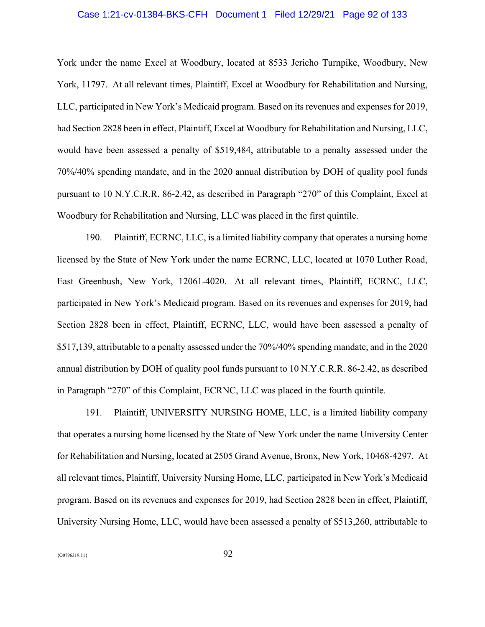# Case 1:21-cv-01384-BKS-CFH Document 1 Filed 12/29/21 Page 92 of 133

York under the name Excel at Woodbury, located at 8533 Jericho Turnpike, Woodbury, New York, 11797. At all relevant times, Plaintiff, Excel at Woodbury for Rehabilitation and Nursing, LLC, participated in New York's Medicaid program. Based on its revenues and expenses for 2019, had Section 2828 been in effect, Plaintiff, Excel at Woodbury for Rehabilitation and Nursing, LLC, would have been assessed a penalty of \$519,484, attributable to a penalty assessed under the 70%/40% spending mandate, and in the 2020 annual distribution by DOH of quality pool funds pursuant to 10 N.Y.C.R.R. 86-2.42, as described in Paragraph "270" of this Complaint, Excel at Woodbury for Rehabilitation and Nursing, LLC was placed in the first quintile.

190. Plaintiff, ECRNC, LLC, is a limited liability company that operates a nursing home licensed by the State of New York under the name ECRNC, LLC, located at 1070 Luther Road, East Greenbush, New York, 12061-4020. At all relevant times, Plaintiff, ECRNC, LLC, participated in New York's Medicaid program. Based on its revenues and expenses for 2019, had Section 2828 been in effect, Plaintiff, ECRNC, LLC, would have been assessed a penalty of \$517,139, attributable to a penalty assessed under the 70%/40% spending mandate, and in the 2020 annual distribution by DOH of quality pool funds pursuant to 10 N.Y.C.R.R. 86-2.42, as described in Paragraph "270" of this Complaint, ECRNC, LLC was placed in the fourth quintile.

191. Plaintiff, UNIVERSITY NURSING HOME, LLC, is a limited liability company that operates a nursing home licensed by the State of New York under the name University Center for Rehabilitation and Nursing, located at 2505 Grand Avenue, Bronx, New York, 10468-4297. At all relevant times, Plaintiff, University Nursing Home, LLC, participated in New York's Medicaid program. Based on its revenues and expenses for 2019, had Section 2828 been in effect, Plaintiff, University Nursing Home, LLC, would have been assessed a penalty of \$513,260, attributable to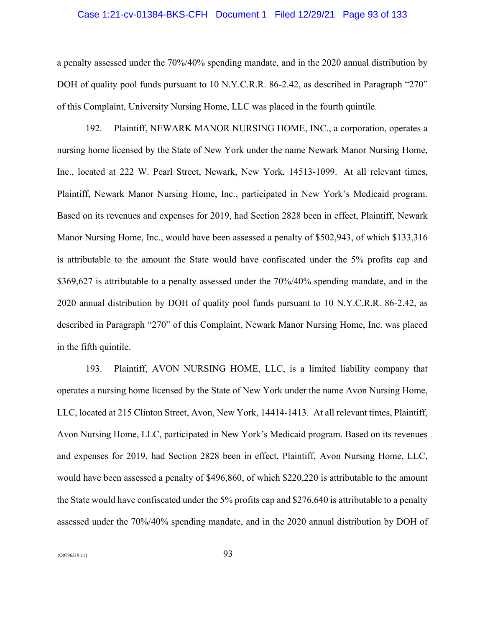### Case 1:21-cv-01384-BKS-CFH Document 1 Filed 12/29/21 Page 93 of 133

a penalty assessed under the 70%/40% spending mandate, and in the 2020 annual distribution by DOH of quality pool funds pursuant to 10 N.Y.C.R.R. 86-2.42, as described in Paragraph "270" of this Complaint, University Nursing Home, LLC was placed in the fourth quintile.

192. Plaintiff, NEWARK MANOR NURSING HOME, INC., a corporation, operates a nursing home licensed by the State of New York under the name Newark Manor Nursing Home, Inc., located at 222 W. Pearl Street, Newark, New York, 14513-1099. At all relevant times, Plaintiff, Newark Manor Nursing Home, Inc., participated in New York's Medicaid program. Based on its revenues and expenses for 2019, had Section 2828 been in effect, Plaintiff, Newark Manor Nursing Home, Inc., would have been assessed a penalty of \$502,943, of which \$133,316 is attributable to the amount the State would have confiscated under the 5% profits cap and \$369,627 is attributable to a penalty assessed under the 70%/40% spending mandate, and in the 2020 annual distribution by DOH of quality pool funds pursuant to 10 N.Y.C.R.R. 86-2.42, as described in Paragraph "270" of this Complaint, Newark Manor Nursing Home, Inc. was placed in the fifth quintile.

193. Plaintiff, AVON NURSING HOME, LLC, is a limited liability company that operates a nursing home licensed by the State of New York under the name Avon Nursing Home, LLC, located at 215 Clinton Street, Avon, New York, 14414-1413. At all relevant times, Plaintiff, Avon Nursing Home, LLC, participated in New York's Medicaid program. Based on its revenues and expenses for 2019, had Section 2828 been in effect, Plaintiff, Avon Nursing Home, LLC, would have been assessed a penalty of \$496,860, of which \$220,220 is attributable to the amount the State would have confiscated under the 5% profits cap and \$276,640 is attributable to a penalty assessed under the 70%/40% spending mandate, and in the 2020 annual distribution by DOH of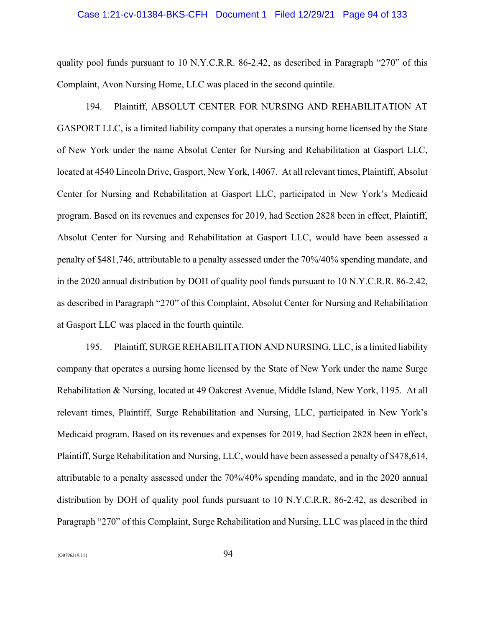### Case 1:21-cv-01384-BKS-CFH Document 1 Filed 12/29/21 Page 94 of 133

quality pool funds pursuant to 10 N.Y.C.R.R. 86-2.42, as described in Paragraph "270" of this Complaint, Avon Nursing Home, LLC was placed in the second quintile.

194. Plaintiff, ABSOLUT CENTER FOR NURSING AND REHABILITATION AT GASPORT LLC, is a limited liability company that operates a nursing home licensed by the State of New York under the name Absolut Center for Nursing and Rehabilitation at Gasport LLC, located at 4540 Lincoln Drive, Gasport, New York, 14067. At all relevant times, Plaintiff, Absolut Center for Nursing and Rehabilitation at Gasport LLC, participated in New York's Medicaid program. Based on its revenues and expenses for 2019, had Section 2828 been in effect, Plaintiff, Absolut Center for Nursing and Rehabilitation at Gasport LLC, would have been assessed a penalty of \$481,746, attributable to a penalty assessed under the 70%/40% spending mandate, and in the 2020 annual distribution by DOH of quality pool funds pursuant to 10 N.Y.C.R.R. 86-2.42, as described in Paragraph "270" of this Complaint, Absolut Center for Nursing and Rehabilitation at Gasport LLC was placed in the fourth quintile.

195. Plaintiff, SURGE REHABILITATION AND NURSING, LLC, is a limited liability company that operates a nursing home licensed by the State of New York under the name Surge Rehabilitation & Nursing, located at 49 Oakcrest Avenue, Middle Island, New York, 1195. At all relevant times, Plaintiff, Surge Rehabilitation and Nursing, LLC, participated in New York's Medicaid program. Based on its revenues and expenses for 2019, had Section 2828 been in effect, Plaintiff, Surge Rehabilitation and Nursing, LLC, would have been assessed a penalty of \$478,614, attributable to a penalty assessed under the 70%/40% spending mandate, and in the 2020 annual distribution by DOH of quality pool funds pursuant to 10 N.Y.C.R.R. 86-2.42, as described in Paragraph "270" of this Complaint, Surge Rehabilitation and Nursing, LLC was placed in the third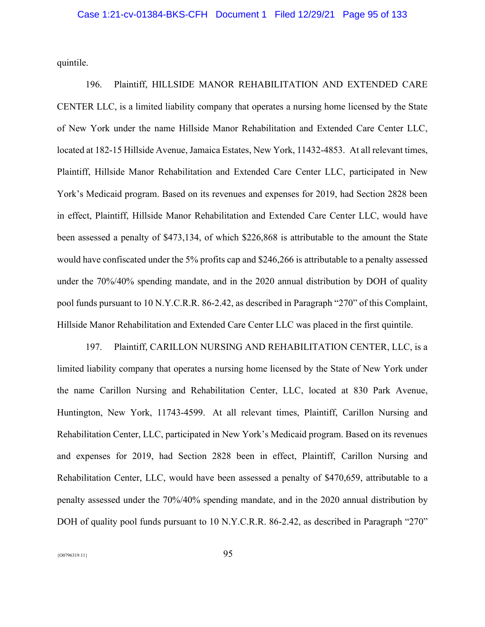quintile.

196. Plaintiff, HILLSIDE MANOR REHABILITATION AND EXTENDED CARE CENTER LLC, is a limited liability company that operates a nursing home licensed by the State of New York under the name Hillside Manor Rehabilitation and Extended Care Center LLC, located at 182-15 Hillside Avenue, Jamaica Estates, New York, 11432-4853. At all relevant times, Plaintiff, Hillside Manor Rehabilitation and Extended Care Center LLC, participated in New York's Medicaid program. Based on its revenues and expenses for 2019, had Section 2828 been in effect, Plaintiff, Hillside Manor Rehabilitation and Extended Care Center LLC, would have been assessed a penalty of \$473,134, of which \$226,868 is attributable to the amount the State would have confiscated under the 5% profits cap and \$246,266 is attributable to a penalty assessed under the 70%/40% spending mandate, and in the 2020 annual distribution by DOH of quality pool funds pursuant to 10 N.Y.C.R.R. 86-2.42, as described in Paragraph "270" of this Complaint, Hillside Manor Rehabilitation and Extended Care Center LLC was placed in the first quintile.

197. Plaintiff, CARILLON NURSING AND REHABILITATION CENTER, LLC, is a limited liability company that operates a nursing home licensed by the State of New York under the name Carillon Nursing and Rehabilitation Center, LLC, located at 830 Park Avenue, Huntington, New York, 11743-4599. At all relevant times, Plaintiff, Carillon Nursing and Rehabilitation Center, LLC, participated in New York's Medicaid program. Based on its revenues and expenses for 2019, had Section 2828 been in effect, Plaintiff, Carillon Nursing and Rehabilitation Center, LLC, would have been assessed a penalty of \$470,659, attributable to a penalty assessed under the 70%/40% spending mandate, and in the 2020 annual distribution by DOH of quality pool funds pursuant to 10 N.Y.C.R.R. 86-2.42, as described in Paragraph "270"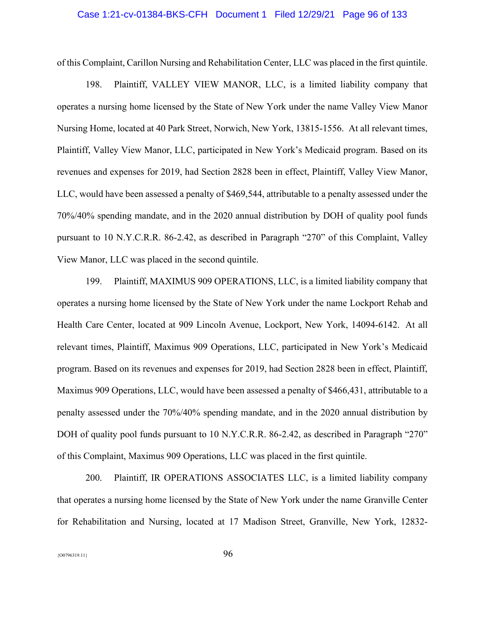### Case 1:21-cv-01384-BKS-CFH Document 1 Filed 12/29/21 Page 96 of 133

of this Complaint, Carillon Nursing and Rehabilitation Center, LLC was placed in the first quintile.

198. Plaintiff, VALLEY VIEW MANOR, LLC, is a limited liability company that operates a nursing home licensed by the State of New York under the name Valley View Manor Nursing Home, located at 40 Park Street, Norwich, New York, 13815-1556. At all relevant times, Plaintiff, Valley View Manor, LLC, participated in New York's Medicaid program. Based on its revenues and expenses for 2019, had Section 2828 been in effect, Plaintiff, Valley View Manor, LLC, would have been assessed a penalty of \$469,544, attributable to a penalty assessed under the 70%/40% spending mandate, and in the 2020 annual distribution by DOH of quality pool funds pursuant to 10 N.Y.C.R.R. 86-2.42, as described in Paragraph "270" of this Complaint, Valley View Manor, LLC was placed in the second quintile.

199. Plaintiff, MAXIMUS 909 OPERATIONS, LLC, is a limited liability company that operates a nursing home licensed by the State of New York under the name Lockport Rehab and Health Care Center, located at 909 Lincoln Avenue, Lockport, New York, 14094-6142. At all relevant times, Plaintiff, Maximus 909 Operations, LLC, participated in New York's Medicaid program. Based on its revenues and expenses for 2019, had Section 2828 been in effect, Plaintiff, Maximus 909 Operations, LLC, would have been assessed a penalty of \$466,431, attributable to a penalty assessed under the 70%/40% spending mandate, and in the 2020 annual distribution by DOH of quality pool funds pursuant to 10 N.Y.C.R.R. 86-2.42, as described in Paragraph "270" of this Complaint, Maximus 909 Operations, LLC was placed in the first quintile.

200. Plaintiff, IR OPERATIONS ASSOCIATES LLC, is a limited liability company that operates a nursing home licensed by the State of New York under the name Granville Center for Rehabilitation and Nursing, located at 17 Madison Street, Granville, New York, 12832-

 ${96}$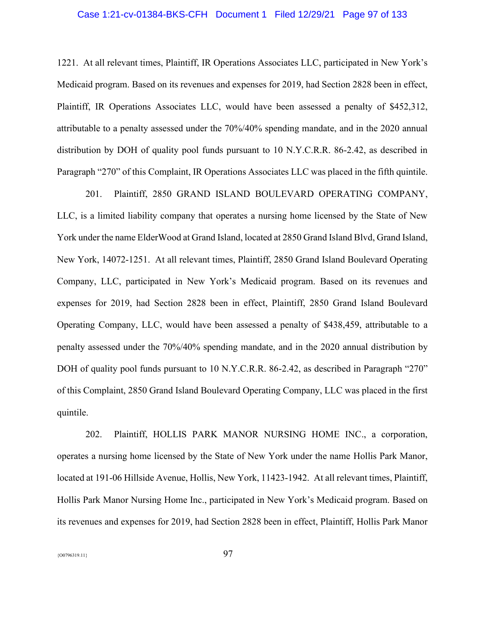# Case 1:21-cv-01384-BKS-CFH Document 1 Filed 12/29/21 Page 97 of 133

1221. At all relevant times, Plaintiff, IR Operations Associates LLC, participated in New York's Medicaid program. Based on its revenues and expenses for 2019, had Section 2828 been in effect, Plaintiff, IR Operations Associates LLC, would have been assessed a penalty of \$452,312, attributable to a penalty assessed under the 70%/40% spending mandate, and in the 2020 annual distribution by DOH of quality pool funds pursuant to 10 N.Y.C.R.R. 86-2.42, as described in Paragraph "270" of this Complaint, IR Operations Associates LLC was placed in the fifth quintile.

201. Plaintiff, 2850 GRAND ISLAND BOULEVARD OPERATING COMPANY, LLC, is a limited liability company that operates a nursing home licensed by the State of New York under the name ElderWood at Grand Island, located at 2850 Grand Island Blvd, Grand Island, New York, 14072-1251. At all relevant times, Plaintiff, 2850 Grand Island Boulevard Operating Company, LLC, participated in New York's Medicaid program. Based on its revenues and expenses for 2019, had Section 2828 been in effect, Plaintiff, 2850 Grand Island Boulevard Operating Company, LLC, would have been assessed a penalty of \$438,459, attributable to a penalty assessed under the 70%/40% spending mandate, and in the 2020 annual distribution by DOH of quality pool funds pursuant to 10 N.Y.C.R.R. 86-2.42, as described in Paragraph "270" of this Complaint, 2850 Grand Island Boulevard Operating Company, LLC was placed in the first quintile.

202. Plaintiff, HOLLIS PARK MANOR NURSING HOME INC., a corporation, operates a nursing home licensed by the State of New York under the name Hollis Park Manor, located at 191-06 Hillside Avenue, Hollis, New York, 11423-1942. At all relevant times, Plaintiff, Hollis Park Manor Nursing Home Inc., participated in New York's Medicaid program. Based on its revenues and expenses for 2019, had Section 2828 been in effect, Plaintiff, Hollis Park Manor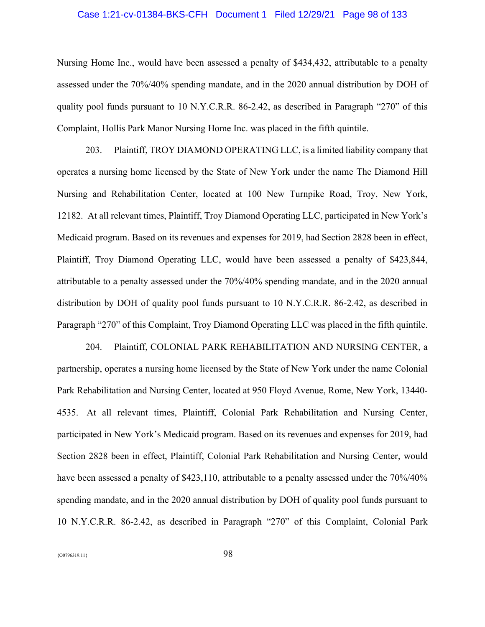# Case 1:21-cv-01384-BKS-CFH Document 1 Filed 12/29/21 Page 98 of 133

Nursing Home Inc., would have been assessed a penalty of \$434,432, attributable to a penalty assessed under the 70%/40% spending mandate, and in the 2020 annual distribution by DOH of quality pool funds pursuant to 10 N.Y.C.R.R. 86-2.42, as described in Paragraph "270" of this Complaint, Hollis Park Manor Nursing Home Inc. was placed in the fifth quintile.

203. Plaintiff, TROY DIAMOND OPERATING LLC, is a limited liability company that operates a nursing home licensed by the State of New York under the name The Diamond Hill Nursing and Rehabilitation Center, located at 100 New Turnpike Road, Troy, New York, 12182. At all relevant times, Plaintiff, Troy Diamond Operating LLC, participated in New York's Medicaid program. Based on its revenues and expenses for 2019, had Section 2828 been in effect, Plaintiff, Troy Diamond Operating LLC, would have been assessed a penalty of \$423,844, attributable to a penalty assessed under the 70%/40% spending mandate, and in the 2020 annual distribution by DOH of quality pool funds pursuant to 10 N.Y.C.R.R. 86-2.42, as described in Paragraph "270" of this Complaint, Troy Diamond Operating LLC was placed in the fifth quintile.

204. Plaintiff, COLONIAL PARK REHABILITATION AND NURSING CENTER, a partnership, operates a nursing home licensed by the State of New York under the name Colonial Park Rehabilitation and Nursing Center, located at 950 Floyd Avenue, Rome, New York, 13440- 4535. At all relevant times, Plaintiff, Colonial Park Rehabilitation and Nursing Center, participated in New York's Medicaid program. Based on its revenues and expenses for 2019, had Section 2828 been in effect, Plaintiff, Colonial Park Rehabilitation and Nursing Center, would have been assessed a penalty of \$423,110, attributable to a penalty assessed under the  $70\%/40\%$ spending mandate, and in the 2020 annual distribution by DOH of quality pool funds pursuant to 10 N.Y.C.R.R. 86-2.42, as described in Paragraph "270" of this Complaint, Colonial Park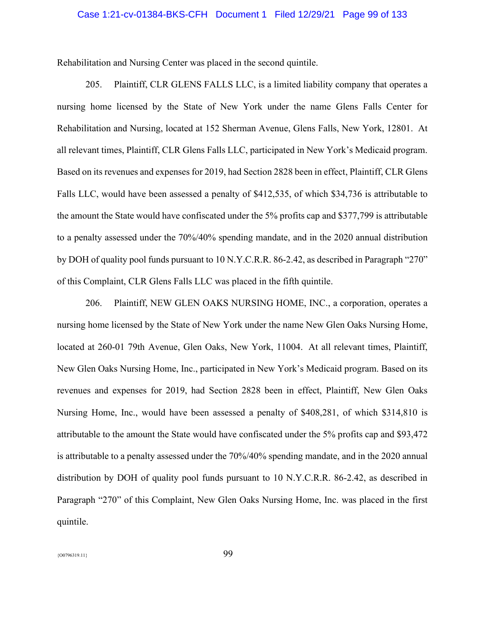### Case 1:21-cv-01384-BKS-CFH Document 1 Filed 12/29/21 Page 99 of 133

Rehabilitation and Nursing Center was placed in the second quintile.

205. Plaintiff, CLR GLENS FALLS LLC, is a limited liability company that operates a nursing home licensed by the State of New York under the name Glens Falls Center for Rehabilitation and Nursing, located at 152 Sherman Avenue, Glens Falls, New York, 12801. At all relevant times, Plaintiff, CLR Glens Falls LLC, participated in New York's Medicaid program. Based on its revenues and expenses for 2019, had Section 2828 been in effect, Plaintiff, CLR Glens Falls LLC, would have been assessed a penalty of \$412,535, of which \$34,736 is attributable to the amount the State would have confiscated under the 5% profits cap and \$377,799 is attributable to a penalty assessed under the 70%/40% spending mandate, and in the 2020 annual distribution by DOH of quality pool funds pursuant to 10 N.Y.C.R.R. 86-2.42, as described in Paragraph "270" of this Complaint, CLR Glens Falls LLC was placed in the fifth quintile.

206. Plaintiff, NEW GLEN OAKS NURSING HOME, INC., a corporation, operates a nursing home licensed by the State of New York under the name New Glen Oaks Nursing Home, located at 260-01 79th Avenue, Glen Oaks, New York, 11004. At all relevant times, Plaintiff, New Glen Oaks Nursing Home, Inc., participated in New York's Medicaid program. Based on its revenues and expenses for 2019, had Section 2828 been in effect, Plaintiff, New Glen Oaks Nursing Home, Inc., would have been assessed a penalty of \$408,281, of which \$314,810 is attributable to the amount the State would have confiscated under the 5% profits cap and \$93,472 is attributable to a penalty assessed under the 70%/40% spending mandate, and in the 2020 annual distribution by DOH of quality pool funds pursuant to 10 N.Y.C.R.R. 86-2.42, as described in Paragraph "270" of this Complaint, New Glen Oaks Nursing Home, Inc. was placed in the first quintile.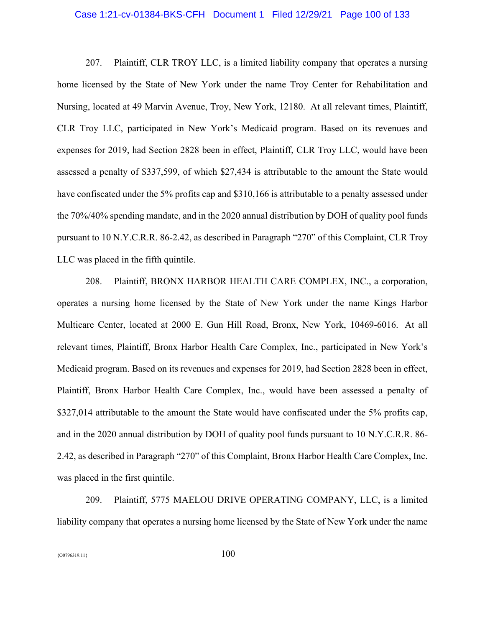### Case 1:21-cv-01384-BKS-CFH Document 1 Filed 12/29/21 Page 100 of 133

207. Plaintiff, CLR TROY LLC, is a limited liability company that operates a nursing home licensed by the State of New York under the name Troy Center for Rehabilitation and Nursing, located at 49 Marvin Avenue, Troy, New York, 12180. At all relevant times, Plaintiff, CLR Troy LLC, participated in New York's Medicaid program. Based on its revenues and expenses for 2019, had Section 2828 been in effect, Plaintiff, CLR Troy LLC, would have been assessed a penalty of \$337,599, of which \$27,434 is attributable to the amount the State would have confiscated under the 5% profits cap and \$310,166 is attributable to a penalty assessed under the 70%/40% spending mandate, and in the 2020 annual distribution by DOH of quality pool funds pursuant to 10 N.Y.C.R.R. 86-2.42, as described in Paragraph "270" of this Complaint, CLR Troy LLC was placed in the fifth quintile.

208. Plaintiff, BRONX HARBOR HEALTH CARE COMPLEX, INC., a corporation, operates a nursing home licensed by the State of New York under the name Kings Harbor Multicare Center, located at 2000 E. Gun Hill Road, Bronx, New York, 10469-6016. At all relevant times, Plaintiff, Bronx Harbor Health Care Complex, Inc., participated in New York's Medicaid program. Based on its revenues and expenses for 2019, had Section 2828 been in effect, Plaintiff, Bronx Harbor Health Care Complex, Inc., would have been assessed a penalty of \$327,014 attributable to the amount the State would have confiscated under the 5% profits cap, and in the 2020 annual distribution by DOH of quality pool funds pursuant to 10 N.Y.C.R.R. 86- 2.42, as described in Paragraph "270" of this Complaint, Bronx Harbor Health Care Complex, Inc. was placed in the first quintile.

209. Plaintiff, 5775 MAELOU DRIVE OPERATING COMPANY, LLC, is a limited liability company that operates a nursing home licensed by the State of New York under the name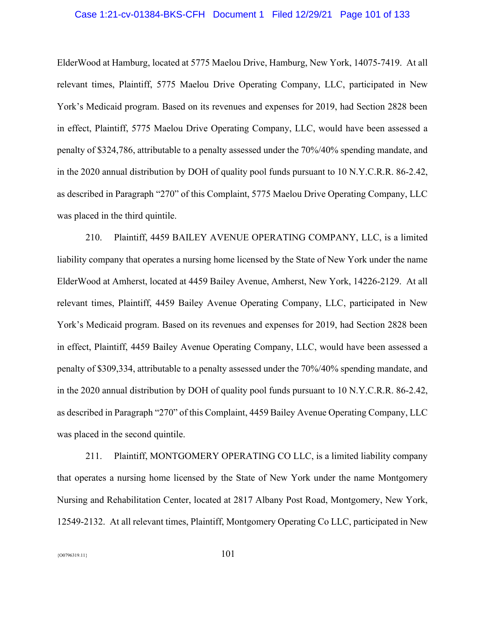### Case 1:21-cv-01384-BKS-CFH Document 1 Filed 12/29/21 Page 101 of 133

ElderWood at Hamburg, located at 5775 Maelou Drive, Hamburg, New York, 14075-7419. At all relevant times, Plaintiff, 5775 Maelou Drive Operating Company, LLC, participated in New York's Medicaid program. Based on its revenues and expenses for 2019, had Section 2828 been in effect, Plaintiff, 5775 Maelou Drive Operating Company, LLC, would have been assessed a penalty of \$324,786, attributable to a penalty assessed under the 70%/40% spending mandate, and in the 2020 annual distribution by DOH of quality pool funds pursuant to 10 N.Y.C.R.R. 86-2.42, as described in Paragraph "270" of this Complaint, 5775 Maelou Drive Operating Company, LLC was placed in the third quintile.

210. Plaintiff, 4459 BAILEY AVENUE OPERATING COMPANY, LLC, is a limited liability company that operates a nursing home licensed by the State of New York under the name ElderWood at Amherst, located at 4459 Bailey Avenue, Amherst, New York, 14226-2129. At all relevant times, Plaintiff, 4459 Bailey Avenue Operating Company, LLC, participated in New York's Medicaid program. Based on its revenues and expenses for 2019, had Section 2828 been in effect, Plaintiff, 4459 Bailey Avenue Operating Company, LLC, would have been assessed a penalty of \$309,334, attributable to a penalty assessed under the 70%/40% spending mandate, and in the 2020 annual distribution by DOH of quality pool funds pursuant to 10 N.Y.C.R.R. 86-2.42, as described in Paragraph "270" of this Complaint, 4459 Bailey Avenue Operating Company, LLC was placed in the second quintile.

211. Plaintiff, MONTGOMERY OPERATING CO LLC, is a limited liability company that operates a nursing home licensed by the State of New York under the name Montgomery Nursing and Rehabilitation Center, located at 2817 Albany Post Road, Montgomery, New York, 12549-2132. At all relevant times, Plaintiff, Montgomery Operating Co LLC, participated in New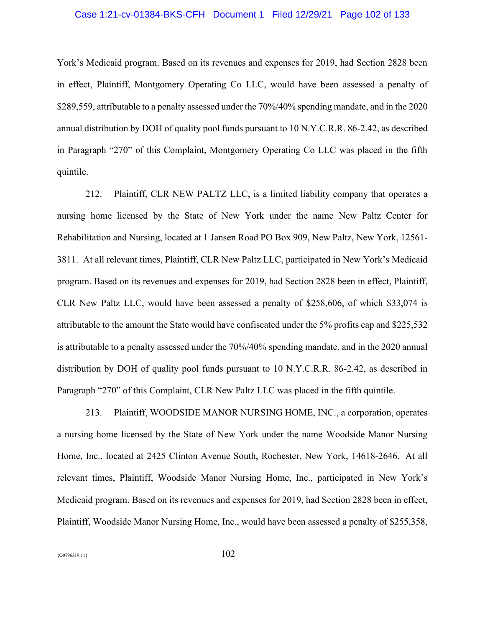# Case 1:21-cv-01384-BKS-CFH Document 1 Filed 12/29/21 Page 102 of 133

York's Medicaid program. Based on its revenues and expenses for 2019, had Section 2828 been in effect, Plaintiff, Montgomery Operating Co LLC, would have been assessed a penalty of \$289,559, attributable to a penalty assessed under the 70%/40% spending mandate, and in the 2020 annual distribution by DOH of quality pool funds pursuant to 10 N.Y.C.R.R. 86-2.42, as described in Paragraph "270" of this Complaint, Montgomery Operating Co LLC was placed in the fifth quintile.

212. Plaintiff, CLR NEW PALTZ LLC, is a limited liability company that operates a nursing home licensed by the State of New York under the name New Paltz Center for Rehabilitation and Nursing, located at 1 Jansen Road PO Box 909, New Paltz, New York, 12561- 3811. At all relevant times, Plaintiff, CLR New Paltz LLC, participated in New York's Medicaid program. Based on its revenues and expenses for 2019, had Section 2828 been in effect, Plaintiff, CLR New Paltz LLC, would have been assessed a penalty of \$258,606, of which \$33,074 is attributable to the amount the State would have confiscated under the 5% profits cap and \$225,532 is attributable to a penalty assessed under the 70%/40% spending mandate, and in the 2020 annual distribution by DOH of quality pool funds pursuant to 10 N.Y.C.R.R. 86-2.42, as described in Paragraph "270" of this Complaint, CLR New Paltz LLC was placed in the fifth quintile.

213. Plaintiff, WOODSIDE MANOR NURSING HOME, INC., a corporation, operates a nursing home licensed by the State of New York under the name Woodside Manor Nursing Home, Inc., located at 2425 Clinton Avenue South, Rochester, New York, 14618-2646. At all relevant times, Plaintiff, Woodside Manor Nursing Home, Inc., participated in New York's Medicaid program. Based on its revenues and expenses for 2019, had Section 2828 been in effect, Plaintiff, Woodside Manor Nursing Home, Inc., would have been assessed a penalty of \$255,358,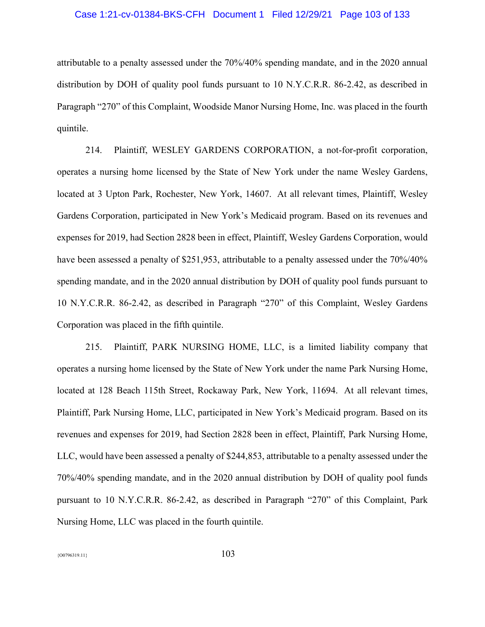### Case 1:21-cv-01384-BKS-CFH Document 1 Filed 12/29/21 Page 103 of 133

attributable to a penalty assessed under the 70%/40% spending mandate, and in the 2020 annual distribution by DOH of quality pool funds pursuant to 10 N.Y.C.R.R. 86-2.42, as described in Paragraph "270" of this Complaint, Woodside Manor Nursing Home, Inc. was placed in the fourth quintile.

214. Plaintiff, WESLEY GARDENS CORPORATION, a not-for-profit corporation, operates a nursing home licensed by the State of New York under the name Wesley Gardens, located at 3 Upton Park, Rochester, New York, 14607. At all relevant times, Plaintiff, Wesley Gardens Corporation, participated in New York's Medicaid program. Based on its revenues and expenses for 2019, had Section 2828 been in effect, Plaintiff, Wesley Gardens Corporation, would have been assessed a penalty of \$251,953, attributable to a penalty assessed under the 70%/40% spending mandate, and in the 2020 annual distribution by DOH of quality pool funds pursuant to 10 N.Y.C.R.R. 86-2.42, as described in Paragraph "270" of this Complaint, Wesley Gardens Corporation was placed in the fifth quintile.

215. Plaintiff, PARK NURSING HOME, LLC, is a limited liability company that operates a nursing home licensed by the State of New York under the name Park Nursing Home, located at 128 Beach 115th Street, Rockaway Park, New York, 11694. At all relevant times, Plaintiff, Park Nursing Home, LLC, participated in New York's Medicaid program. Based on its revenues and expenses for 2019, had Section 2828 been in effect, Plaintiff, Park Nursing Home, LLC, would have been assessed a penalty of \$244,853, attributable to a penalty assessed under the 70%/40% spending mandate, and in the 2020 annual distribution by DOH of quality pool funds pursuant to 10 N.Y.C.R.R. 86-2.42, as described in Paragraph "270" of this Complaint, Park Nursing Home, LLC was placed in the fourth quintile.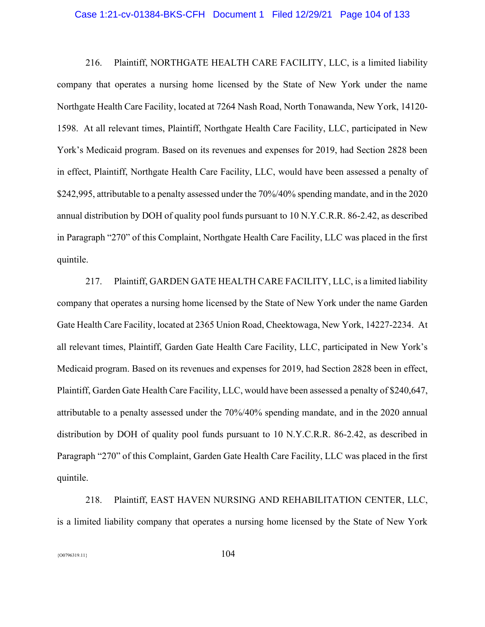#### Case 1:21-cv-01384-BKS-CFH Document 1 Filed 12/29/21 Page 104 of 133

216. Plaintiff, NORTHGATE HEALTH CARE FACILITY, LLC, is a limited liability company that operates a nursing home licensed by the State of New York under the name Northgate Health Care Facility, located at 7264 Nash Road, North Tonawanda, New York, 14120- 1598. At all relevant times, Plaintiff, Northgate Health Care Facility, LLC, participated in New York's Medicaid program. Based on its revenues and expenses for 2019, had Section 2828 been in effect, Plaintiff, Northgate Health Care Facility, LLC, would have been assessed a penalty of \$242,995, attributable to a penalty assessed under the 70%/40% spending mandate, and in the 2020 annual distribution by DOH of quality pool funds pursuant to 10 N.Y.C.R.R. 86-2.42, as described in Paragraph "270" of this Complaint, Northgate Health Care Facility, LLC was placed in the first quintile.

217. Plaintiff, GARDEN GATE HEALTH CARE FACILITY, LLC, is a limited liability company that operates a nursing home licensed by the State of New York under the name Garden Gate Health Care Facility, located at 2365 Union Road, Cheektowaga, New York, 14227-2234. At all relevant times, Plaintiff, Garden Gate Health Care Facility, LLC, participated in New York's Medicaid program. Based on its revenues and expenses for 2019, had Section 2828 been in effect, Plaintiff, Garden Gate Health Care Facility, LLC, would have been assessed a penalty of \$240,647, attributable to a penalty assessed under the 70%/40% spending mandate, and in the 2020 annual distribution by DOH of quality pool funds pursuant to 10 N.Y.C.R.R. 86-2.42, as described in Paragraph "270" of this Complaint, Garden Gate Health Care Facility, LLC was placed in the first quintile.

218. Plaintiff, EAST HAVEN NURSING AND REHABILITATION CENTER, LLC, is a limited liability company that operates a nursing home licensed by the State of New York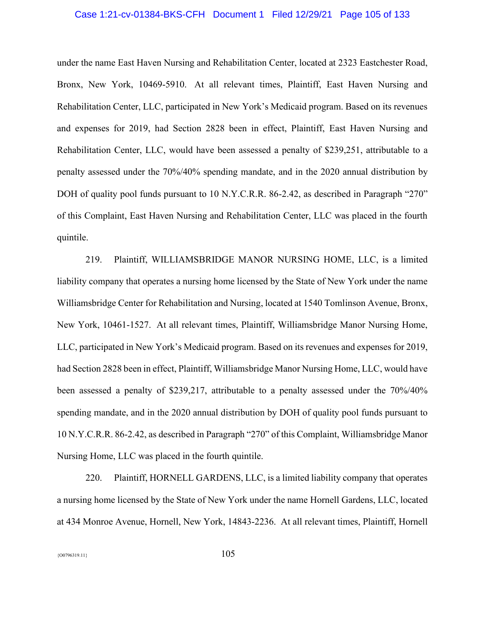# Case 1:21-cv-01384-BKS-CFH Document 1 Filed 12/29/21 Page 105 of 133

under the name East Haven Nursing and Rehabilitation Center, located at 2323 Eastchester Road, Bronx, New York, 10469-5910. At all relevant times, Plaintiff, East Haven Nursing and Rehabilitation Center, LLC, participated in New York's Medicaid program. Based on its revenues and expenses for 2019, had Section 2828 been in effect, Plaintiff, East Haven Nursing and Rehabilitation Center, LLC, would have been assessed a penalty of \$239,251, attributable to a penalty assessed under the 70%/40% spending mandate, and in the 2020 annual distribution by DOH of quality pool funds pursuant to 10 N.Y.C.R.R. 86-2.42, as described in Paragraph "270" of this Complaint, East Haven Nursing and Rehabilitation Center, LLC was placed in the fourth quintile.

219. Plaintiff, WILLIAMSBRIDGE MANOR NURSING HOME, LLC, is a limited liability company that operates a nursing home licensed by the State of New York under the name Williamsbridge Center for Rehabilitation and Nursing, located at 1540 Tomlinson Avenue, Bronx, New York, 10461-1527. At all relevant times, Plaintiff, Williamsbridge Manor Nursing Home, LLC, participated in New York's Medicaid program. Based on its revenues and expenses for 2019, had Section 2828 been in effect, Plaintiff, Williamsbridge Manor Nursing Home, LLC, would have been assessed a penalty of \$239,217, attributable to a penalty assessed under the 70%/40% spending mandate, and in the 2020 annual distribution by DOH of quality pool funds pursuant to 10 N.Y.C.R.R. 86-2.42, as described in Paragraph "270" of this Complaint, Williamsbridge Manor Nursing Home, LLC was placed in the fourth quintile.

220. Plaintiff, HORNELL GARDENS, LLC, is a limited liability company that operates a nursing home licensed by the State of New York under the name Hornell Gardens, LLC, located at 434 Monroe Avenue, Hornell, New York, 14843-2236. At all relevant times, Plaintiff, Hornell

 ${105}$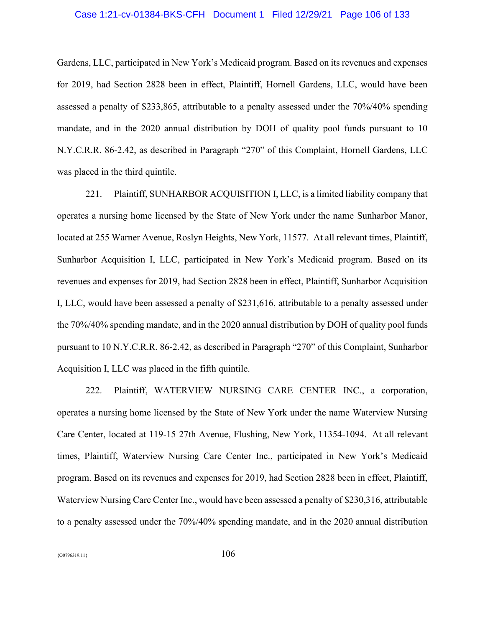# Case 1:21-cv-01384-BKS-CFH Document 1 Filed 12/29/21 Page 106 of 133

Gardens, LLC, participated in New York's Medicaid program. Based on its revenues and expenses for 2019, had Section 2828 been in effect, Plaintiff, Hornell Gardens, LLC, would have been assessed a penalty of \$233,865, attributable to a penalty assessed under the 70%/40% spending mandate, and in the 2020 annual distribution by DOH of quality pool funds pursuant to 10 N.Y.C.R.R. 86-2.42, as described in Paragraph "270" of this Complaint, Hornell Gardens, LLC was placed in the third quintile.

221. Plaintiff, SUNHARBOR ACQUISITION I, LLC, is a limited liability company that operates a nursing home licensed by the State of New York under the name Sunharbor Manor, located at 255 Warner Avenue, Roslyn Heights, New York, 11577. At all relevant times, Plaintiff, Sunharbor Acquisition I, LLC, participated in New York's Medicaid program. Based on its revenues and expenses for 2019, had Section 2828 been in effect, Plaintiff, Sunharbor Acquisition I, LLC, would have been assessed a penalty of \$231,616, attributable to a penalty assessed under the 70%/40% spending mandate, and in the 2020 annual distribution by DOH of quality pool funds pursuant to 10 N.Y.C.R.R. 86-2.42, as described in Paragraph "270" of this Complaint, Sunharbor Acquisition I, LLC was placed in the fifth quintile.

222. Plaintiff, WATERVIEW NURSING CARE CENTER INC., a corporation, operates a nursing home licensed by the State of New York under the name Waterview Nursing Care Center, located at 119-15 27th Avenue, Flushing, New York, 11354-1094. At all relevant times, Plaintiff, Waterview Nursing Care Center Inc., participated in New York's Medicaid program. Based on its revenues and expenses for 2019, had Section 2828 been in effect, Plaintiff, Waterview Nursing Care Center Inc., would have been assessed a penalty of \$230,316, attributable to a penalty assessed under the 70%/40% spending mandate, and in the 2020 annual distribution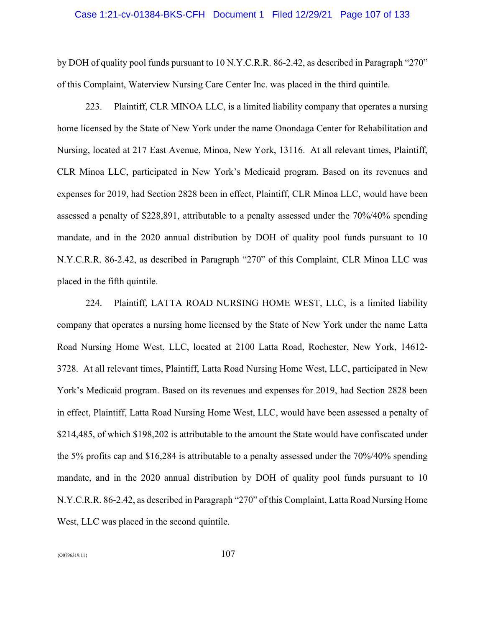#### Case 1:21-cv-01384-BKS-CFH Document 1 Filed 12/29/21 Page 107 of 133

by DOH of quality pool funds pursuant to 10 N.Y.C.R.R. 86-2.42, as described in Paragraph "270" of this Complaint, Waterview Nursing Care Center Inc. was placed in the third quintile.

223. Plaintiff, CLR MINOA LLC, is a limited liability company that operates a nursing home licensed by the State of New York under the name Onondaga Center for Rehabilitation and Nursing, located at 217 East Avenue, Minoa, New York, 13116. At all relevant times, Plaintiff, CLR Minoa LLC, participated in New York's Medicaid program. Based on its revenues and expenses for 2019, had Section 2828 been in effect, Plaintiff, CLR Minoa LLC, would have been assessed a penalty of \$228,891, attributable to a penalty assessed under the 70%/40% spending mandate, and in the 2020 annual distribution by DOH of quality pool funds pursuant to 10 N.Y.C.R.R. 86-2.42, as described in Paragraph "270" of this Complaint, CLR Minoa LLC was placed in the fifth quintile.

224. Plaintiff, LATTA ROAD NURSING HOME WEST, LLC, is a limited liability company that operates a nursing home licensed by the State of New York under the name Latta Road Nursing Home West, LLC, located at 2100 Latta Road, Rochester, New York, 14612- 3728. At all relevant times, Plaintiff, Latta Road Nursing Home West, LLC, participated in New York's Medicaid program. Based on its revenues and expenses for 2019, had Section 2828 been in effect, Plaintiff, Latta Road Nursing Home West, LLC, would have been assessed a penalty of \$214,485, of which \$198,202 is attributable to the amount the State would have confiscated under the 5% profits cap and \$16,284 is attributable to a penalty assessed under the 70%/40% spending mandate, and in the 2020 annual distribution by DOH of quality pool funds pursuant to 10 N.Y.C.R.R. 86-2.42, as described in Paragraph "270" of this Complaint, Latta Road Nursing Home West, LLC was placed in the second quintile.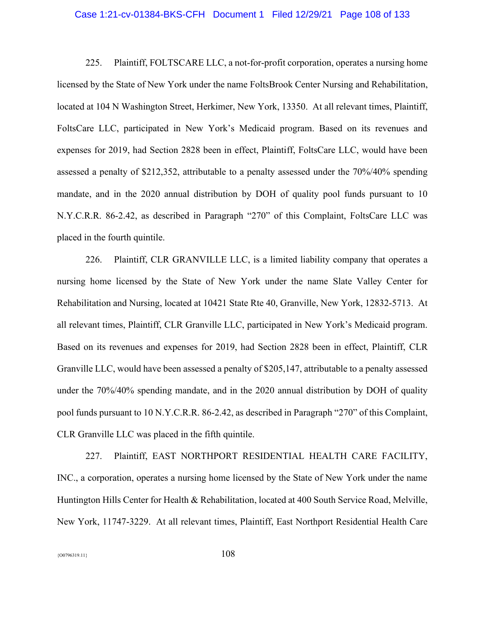### Case 1:21-cv-01384-BKS-CFH Document 1 Filed 12/29/21 Page 108 of 133

225. Plaintiff, FOLTSCARE LLC, a not-for-profit corporation, operates a nursing home licensed by the State of New York under the name FoltsBrook Center Nursing and Rehabilitation, located at 104 N Washington Street, Herkimer, New York, 13350. At all relevant times, Plaintiff, FoltsCare LLC, participated in New York's Medicaid program. Based on its revenues and expenses for 2019, had Section 2828 been in effect, Plaintiff, FoltsCare LLC, would have been assessed a penalty of \$212,352, attributable to a penalty assessed under the 70%/40% spending mandate, and in the 2020 annual distribution by DOH of quality pool funds pursuant to 10 N.Y.C.R.R. 86-2.42, as described in Paragraph "270" of this Complaint, FoltsCare LLC was placed in the fourth quintile.

226. Plaintiff, CLR GRANVILLE LLC, is a limited liability company that operates a nursing home licensed by the State of New York under the name Slate Valley Center for Rehabilitation and Nursing, located at 10421 State Rte 40, Granville, New York, 12832-5713. At all relevant times, Plaintiff, CLR Granville LLC, participated in New York's Medicaid program. Based on its revenues and expenses for 2019, had Section 2828 been in effect, Plaintiff, CLR Granville LLC, would have been assessed a penalty of \$205,147, attributable to a penalty assessed under the 70%/40% spending mandate, and in the 2020 annual distribution by DOH of quality pool funds pursuant to 10 N.Y.C.R.R. 86-2.42, as described in Paragraph "270" of this Complaint, CLR Granville LLC was placed in the fifth quintile.

227. Plaintiff, EAST NORTHPORT RESIDENTIAL HEALTH CARE FACILITY, INC., a corporation, operates a nursing home licensed by the State of New York under the name Huntington Hills Center for Health & Rehabilitation, located at 400 South Service Road, Melville, New York, 11747-3229. At all relevant times, Plaintiff, East Northport Residential Health Care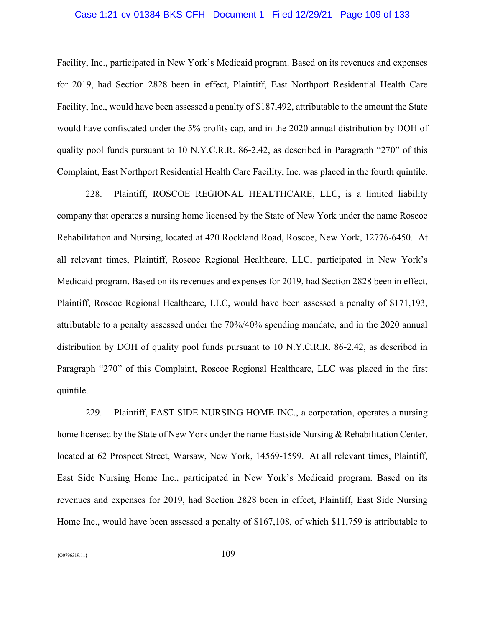### Case 1:21-cv-01384-BKS-CFH Document 1 Filed 12/29/21 Page 109 of 133

Facility, Inc., participated in New York's Medicaid program. Based on its revenues and expenses for 2019, had Section 2828 been in effect, Plaintiff, East Northport Residential Health Care Facility, Inc., would have been assessed a penalty of \$187,492, attributable to the amount the State would have confiscated under the 5% profits cap, and in the 2020 annual distribution by DOH of quality pool funds pursuant to 10 N.Y.C.R.R. 86-2.42, as described in Paragraph "270" of this Complaint, East Northport Residential Health Care Facility, Inc. was placed in the fourth quintile.

228. Plaintiff, ROSCOE REGIONAL HEALTHCARE, LLC, is a limited liability company that operates a nursing home licensed by the State of New York under the name Roscoe Rehabilitation and Nursing, located at 420 Rockland Road, Roscoe, New York, 12776-6450. At all relevant times, Plaintiff, Roscoe Regional Healthcare, LLC, participated in New York's Medicaid program. Based on its revenues and expenses for 2019, had Section 2828 been in effect, Plaintiff, Roscoe Regional Healthcare, LLC, would have been assessed a penalty of \$171,193, attributable to a penalty assessed under the 70%/40% spending mandate, and in the 2020 annual distribution by DOH of quality pool funds pursuant to 10 N.Y.C.R.R. 86-2.42, as described in Paragraph "270" of this Complaint, Roscoe Regional Healthcare, LLC was placed in the first quintile.

229. Plaintiff, EAST SIDE NURSING HOME INC., a corporation, operates a nursing home licensed by the State of New York under the name Eastside Nursing & Rehabilitation Center, located at 62 Prospect Street, Warsaw, New York, 14569-1599. At all relevant times, Plaintiff, East Side Nursing Home Inc., participated in New York's Medicaid program. Based on its revenues and expenses for 2019, had Section 2828 been in effect, Plaintiff, East Side Nursing Home Inc., would have been assessed a penalty of \$167,108, of which \$11,759 is attributable to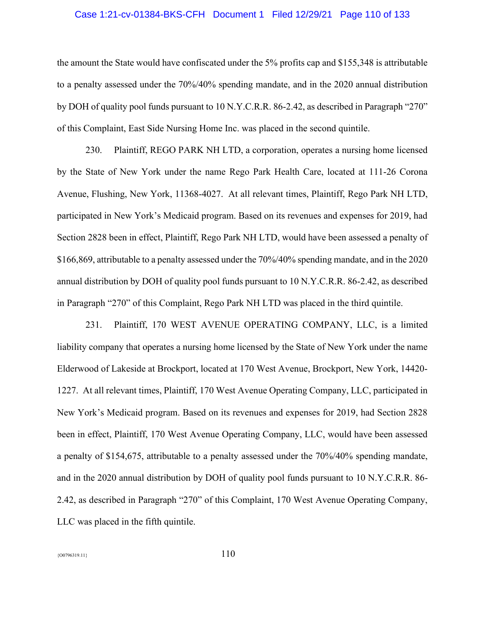### Case 1:21-cv-01384-BKS-CFH Document 1 Filed 12/29/21 Page 110 of 133

the amount the State would have confiscated under the 5% profits cap and \$155,348 is attributable to a penalty assessed under the 70%/40% spending mandate, and in the 2020 annual distribution by DOH of quality pool funds pursuant to 10 N.Y.C.R.R. 86-2.42, as described in Paragraph "270" of this Complaint, East Side Nursing Home Inc. was placed in the second quintile.

230. Plaintiff, REGO PARK NH LTD, a corporation, operates a nursing home licensed by the State of New York under the name Rego Park Health Care, located at 111-26 Corona Avenue, Flushing, New York, 11368-4027. At all relevant times, Plaintiff, Rego Park NH LTD, participated in New York's Medicaid program. Based on its revenues and expenses for 2019, had Section 2828 been in effect, Plaintiff, Rego Park NH LTD, would have been assessed a penalty of \$166,869, attributable to a penalty assessed under the 70%/40% spending mandate, and in the 2020 annual distribution by DOH of quality pool funds pursuant to 10 N.Y.C.R.R. 86-2.42, as described in Paragraph "270" of this Complaint, Rego Park NH LTD was placed in the third quintile.

231. Plaintiff, 170 WEST AVENUE OPERATING COMPANY, LLC, is a limited liability company that operates a nursing home licensed by the State of New York under the name Elderwood of Lakeside at Brockport, located at 170 West Avenue, Brockport, New York, 14420- 1227. At all relevant times, Plaintiff, 170 West Avenue Operating Company, LLC, participated in New York's Medicaid program. Based on its revenues and expenses for 2019, had Section 2828 been in effect, Plaintiff, 170 West Avenue Operating Company, LLC, would have been assessed a penalty of \$154,675, attributable to a penalty assessed under the 70%/40% spending mandate, and in the 2020 annual distribution by DOH of quality pool funds pursuant to 10 N.Y.C.R.R. 86- 2.42, as described in Paragraph "270" of this Complaint, 170 West Avenue Operating Company, LLC was placed in the fifth quintile.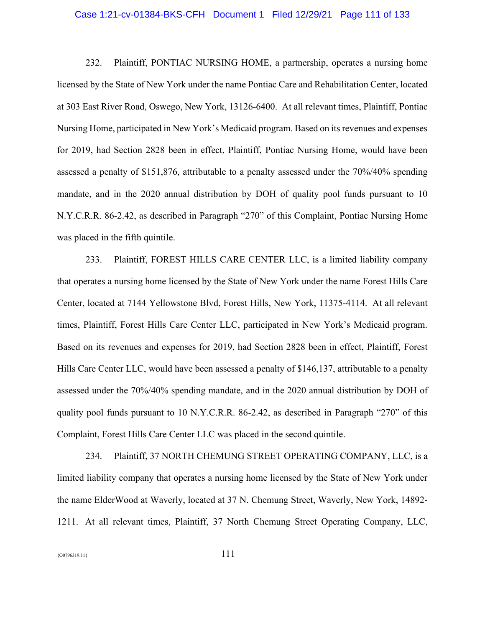#### Case 1:21-cv-01384-BKS-CFH Document 1 Filed 12/29/21 Page 111 of 133

232. Plaintiff, PONTIAC NURSING HOME, a partnership, operates a nursing home licensed by the State of New York under the name Pontiac Care and Rehabilitation Center, located at 303 East River Road, Oswego, New York, 13126-6400. At all relevant times, Plaintiff, Pontiac Nursing Home, participated in New York's Medicaid program. Based on its revenues and expenses for 2019, had Section 2828 been in effect, Plaintiff, Pontiac Nursing Home, would have been assessed a penalty of \$151,876, attributable to a penalty assessed under the 70%/40% spending mandate, and in the 2020 annual distribution by DOH of quality pool funds pursuant to 10 N.Y.C.R.R. 86-2.42, as described in Paragraph "270" of this Complaint, Pontiac Nursing Home was placed in the fifth quintile.

233. Plaintiff, FOREST HILLS CARE CENTER LLC, is a limited liability company that operates a nursing home licensed by the State of New York under the name Forest Hills Care Center, located at 7144 Yellowstone Blvd, Forest Hills, New York, 11375-4114. At all relevant times, Plaintiff, Forest Hills Care Center LLC, participated in New York's Medicaid program. Based on its revenues and expenses for 2019, had Section 2828 been in effect, Plaintiff, Forest Hills Care Center LLC, would have been assessed a penalty of \$146,137, attributable to a penalty assessed under the 70%/40% spending mandate, and in the 2020 annual distribution by DOH of quality pool funds pursuant to 10 N.Y.C.R.R. 86-2.42, as described in Paragraph "270" of this Complaint, Forest Hills Care Center LLC was placed in the second quintile.

234. Plaintiff, 37 NORTH CHEMUNG STREET OPERATING COMPANY, LLC, is a limited liability company that operates a nursing home licensed by the State of New York under the name ElderWood at Waverly, located at 37 N. Chemung Street, Waverly, New York, 14892- 1211. At all relevant times, Plaintiff, 37 North Chemung Street Operating Company, LLC,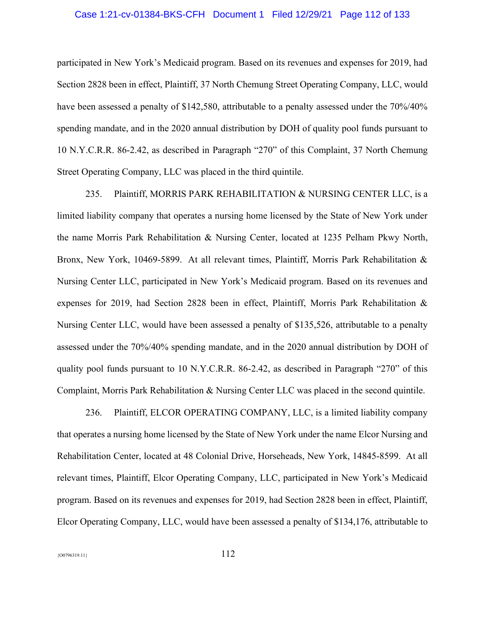### Case 1:21-cv-01384-BKS-CFH Document 1 Filed 12/29/21 Page 112 of 133

participated in New York's Medicaid program. Based on its revenues and expenses for 2019, had Section 2828 been in effect, Plaintiff, 37 North Chemung Street Operating Company, LLC, would have been assessed a penalty of \$142,580, attributable to a penalty assessed under the  $70\%/40\%$ spending mandate, and in the 2020 annual distribution by DOH of quality pool funds pursuant to 10 N.Y.C.R.R. 86-2.42, as described in Paragraph "270" of this Complaint, 37 North Chemung Street Operating Company, LLC was placed in the third quintile.

235. Plaintiff, MORRIS PARK REHABILITATION & NURSING CENTER LLC, is a limited liability company that operates a nursing home licensed by the State of New York under the name Morris Park Rehabilitation & Nursing Center, located at 1235 Pelham Pkwy North, Bronx, New York, 10469-5899. At all relevant times, Plaintiff, Morris Park Rehabilitation & Nursing Center LLC, participated in New York's Medicaid program. Based on its revenues and expenses for 2019, had Section 2828 been in effect, Plaintiff, Morris Park Rehabilitation & Nursing Center LLC, would have been assessed a penalty of \$135,526, attributable to a penalty assessed under the 70%/40% spending mandate, and in the 2020 annual distribution by DOH of quality pool funds pursuant to 10 N.Y.C.R.R. 86-2.42, as described in Paragraph "270" of this Complaint, Morris Park Rehabilitation & Nursing Center LLC was placed in the second quintile.

236. Plaintiff, ELCOR OPERATING COMPANY, LLC, is a limited liability company that operates a nursing home licensed by the State of New York under the name Elcor Nursing and Rehabilitation Center, located at 48 Colonial Drive, Horseheads, New York, 14845-8599. At all relevant times, Plaintiff, Elcor Operating Company, LLC, participated in New York's Medicaid program. Based on its revenues and expenses for 2019, had Section 2828 been in effect, Plaintiff, Elcor Operating Company, LLC, would have been assessed a penalty of \$134,176, attributable to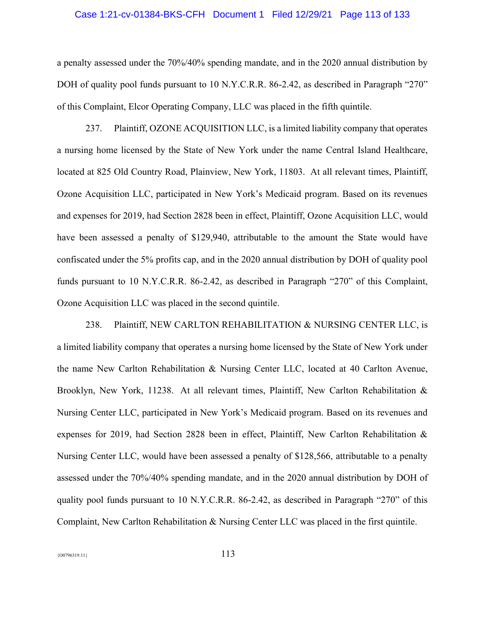#### Case 1:21-cv-01384-BKS-CFH Document 1 Filed 12/29/21 Page 113 of 133

a penalty assessed under the 70%/40% spending mandate, and in the 2020 annual distribution by DOH of quality pool funds pursuant to 10 N.Y.C.R.R. 86-2.42, as described in Paragraph "270" of this Complaint, Elcor Operating Company, LLC was placed in the fifth quintile.

237. Plaintiff, OZONE ACQUISITION LLC, is a limited liability company that operates a nursing home licensed by the State of New York under the name Central Island Healthcare, located at 825 Old Country Road, Plainview, New York, 11803. At all relevant times, Plaintiff, Ozone Acquisition LLC, participated in New York's Medicaid program. Based on its revenues and expenses for 2019, had Section 2828 been in effect, Plaintiff, Ozone Acquisition LLC, would have been assessed a penalty of \$129,940, attributable to the amount the State would have confiscated under the 5% profits cap, and in the 2020 annual distribution by DOH of quality pool funds pursuant to 10 N.Y.C.R.R. 86-2.42, as described in Paragraph "270" of this Complaint, Ozone Acquisition LLC was placed in the second quintile.

238. Plaintiff, NEW CARLTON REHABILITATION & NURSING CENTER LLC, is a limited liability company that operates a nursing home licensed by the State of New York under the name New Carlton Rehabilitation & Nursing Center LLC, located at 40 Carlton Avenue, Brooklyn, New York, 11238. At all relevant times, Plaintiff, New Carlton Rehabilitation & Nursing Center LLC, participated in New York's Medicaid program. Based on its revenues and expenses for 2019, had Section 2828 been in effect, Plaintiff, New Carlton Rehabilitation & Nursing Center LLC, would have been assessed a penalty of \$128,566, attributable to a penalty assessed under the 70%/40% spending mandate, and in the 2020 annual distribution by DOH of quality pool funds pursuant to 10 N.Y.C.R.R. 86-2.42, as described in Paragraph "270" of this Complaint, New Carlton Rehabilitation & Nursing Center LLC was placed in the first quintile.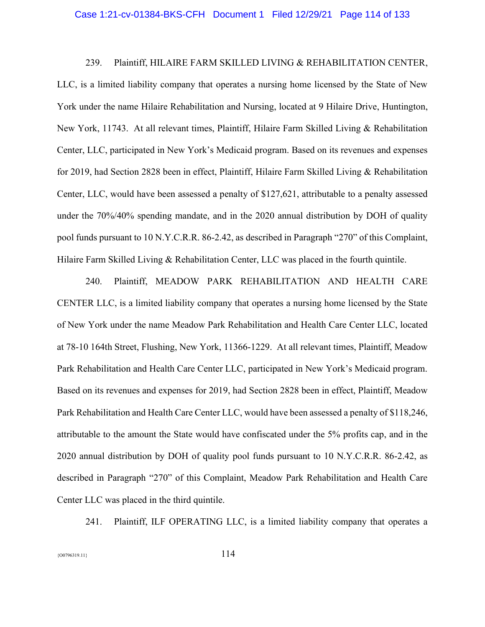#### Case 1:21-cv-01384-BKS-CFH Document 1 Filed 12/29/21 Page 114 of 133

239. Plaintiff, HILAIRE FARM SKILLED LIVING & REHABILITATION CENTER, LLC, is a limited liability company that operates a nursing home licensed by the State of New York under the name Hilaire Rehabilitation and Nursing, located at 9 Hilaire Drive, Huntington, New York, 11743. At all relevant times, Plaintiff, Hilaire Farm Skilled Living & Rehabilitation Center, LLC, participated in New York's Medicaid program. Based on its revenues and expenses for 2019, had Section 2828 been in effect, Plaintiff, Hilaire Farm Skilled Living & Rehabilitation Center, LLC, would have been assessed a penalty of \$127,621, attributable to a penalty assessed under the 70%/40% spending mandate, and in the 2020 annual distribution by DOH of quality pool funds pursuant to 10 N.Y.C.R.R. 86-2.42, as described in Paragraph "270" of this Complaint, Hilaire Farm Skilled Living & Rehabilitation Center, LLC was placed in the fourth quintile.

240. Plaintiff, MEADOW PARK REHABILITATION AND HEALTH CARE CENTER LLC, is a limited liability company that operates a nursing home licensed by the State of New York under the name Meadow Park Rehabilitation and Health Care Center LLC, located at 78-10 164th Street, Flushing, New York, 11366-1229. At all relevant times, Plaintiff, Meadow Park Rehabilitation and Health Care Center LLC, participated in New York's Medicaid program. Based on its revenues and expenses for 2019, had Section 2828 been in effect, Plaintiff, Meadow Park Rehabilitation and Health Care Center LLC, would have been assessed a penalty of \$118,246, attributable to the amount the State would have confiscated under the 5% profits cap, and in the 2020 annual distribution by DOH of quality pool funds pursuant to 10 N.Y.C.R.R. 86-2.42, as described in Paragraph "270" of this Complaint, Meadow Park Rehabilitation and Health Care Center LLC was placed in the third quintile.

241. Plaintiff, ILF OPERATING LLC, is a limited liability company that operates a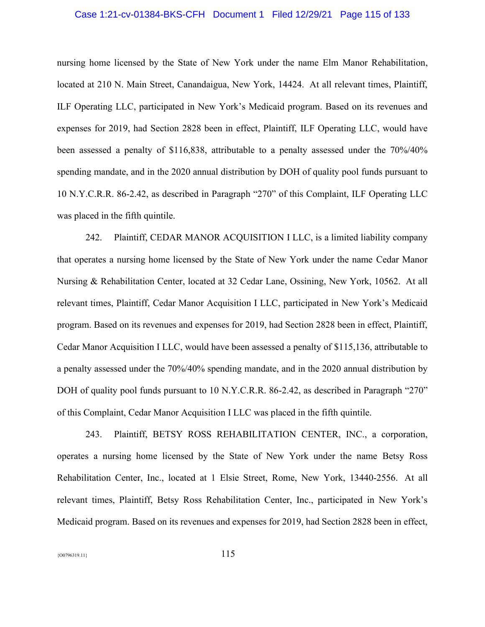### Case 1:21-cv-01384-BKS-CFH Document 1 Filed 12/29/21 Page 115 of 133

nursing home licensed by the State of New York under the name Elm Manor Rehabilitation, located at 210 N. Main Street, Canandaigua, New York, 14424. At all relevant times, Plaintiff, ILF Operating LLC, participated in New York's Medicaid program. Based on its revenues and expenses for 2019, had Section 2828 been in effect, Plaintiff, ILF Operating LLC, would have been assessed a penalty of \$116,838, attributable to a penalty assessed under the 70%/40% spending mandate, and in the 2020 annual distribution by DOH of quality pool funds pursuant to 10 N.Y.C.R.R. 86-2.42, as described in Paragraph "270" of this Complaint, ILF Operating LLC was placed in the fifth quintile.

242. Plaintiff, CEDAR MANOR ACQUISITION I LLC, is a limited liability company that operates a nursing home licensed by the State of New York under the name Cedar Manor Nursing & Rehabilitation Center, located at 32 Cedar Lane, Ossining, New York, 10562. At all relevant times, Plaintiff, Cedar Manor Acquisition I LLC, participated in New York's Medicaid program. Based on its revenues and expenses for 2019, had Section 2828 been in effect, Plaintiff, Cedar Manor Acquisition I LLC, would have been assessed a penalty of \$115,136, attributable to a penalty assessed under the 70%/40% spending mandate, and in the 2020 annual distribution by DOH of quality pool funds pursuant to 10 N.Y.C.R.R. 86-2.42, as described in Paragraph "270" of this Complaint, Cedar Manor Acquisition I LLC was placed in the fifth quintile.

243. Plaintiff, BETSY ROSS REHABILITATION CENTER, INC., a corporation, operates a nursing home licensed by the State of New York under the name Betsy Ross Rehabilitation Center, Inc., located at 1 Elsie Street, Rome, New York, 13440-2556. At all relevant times, Plaintiff, Betsy Ross Rehabilitation Center, Inc., participated in New York's Medicaid program. Based on its revenues and expenses for 2019, had Section 2828 been in effect,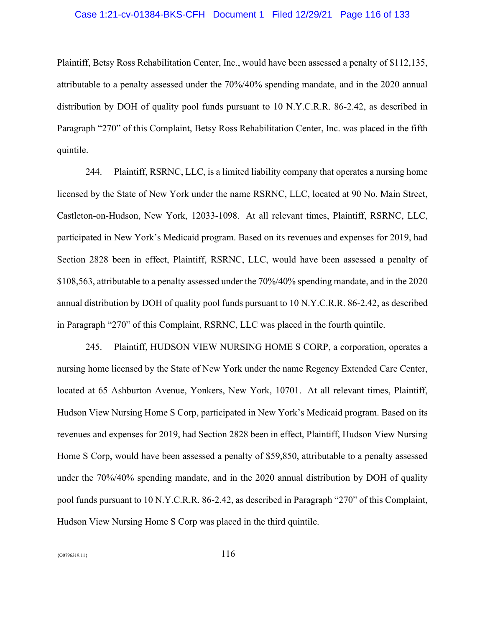### Case 1:21-cv-01384-BKS-CFH Document 1 Filed 12/29/21 Page 116 of 133

Plaintiff, Betsy Ross Rehabilitation Center, Inc., would have been assessed a penalty of \$112,135, attributable to a penalty assessed under the 70%/40% spending mandate, and in the 2020 annual distribution by DOH of quality pool funds pursuant to 10 N.Y.C.R.R. 86-2.42, as described in Paragraph "270" of this Complaint, Betsy Ross Rehabilitation Center, Inc. was placed in the fifth quintile.

244. Plaintiff, RSRNC, LLC, is a limited liability company that operates a nursing home licensed by the State of New York under the name RSRNC, LLC, located at 90 No. Main Street, Castleton-on-Hudson, New York, 12033-1098. At all relevant times, Plaintiff, RSRNC, LLC, participated in New York's Medicaid program. Based on its revenues and expenses for 2019, had Section 2828 been in effect, Plaintiff, RSRNC, LLC, would have been assessed a penalty of \$108,563, attributable to a penalty assessed under the 70%/40% spending mandate, and in the 2020 annual distribution by DOH of quality pool funds pursuant to 10 N.Y.C.R.R. 86-2.42, as described in Paragraph "270" of this Complaint, RSRNC, LLC was placed in the fourth quintile.

245. Plaintiff, HUDSON VIEW NURSING HOME S CORP, a corporation, operates a nursing home licensed by the State of New York under the name Regency Extended Care Center, located at 65 Ashburton Avenue, Yonkers, New York, 10701. At all relevant times, Plaintiff, Hudson View Nursing Home S Corp, participated in New York's Medicaid program. Based on its revenues and expenses for 2019, had Section 2828 been in effect, Plaintiff, Hudson View Nursing Home S Corp, would have been assessed a penalty of \$59,850, attributable to a penalty assessed under the 70%/40% spending mandate, and in the 2020 annual distribution by DOH of quality pool funds pursuant to 10 N.Y.C.R.R. 86-2.42, as described in Paragraph "270" of this Complaint, Hudson View Nursing Home S Corp was placed in the third quintile.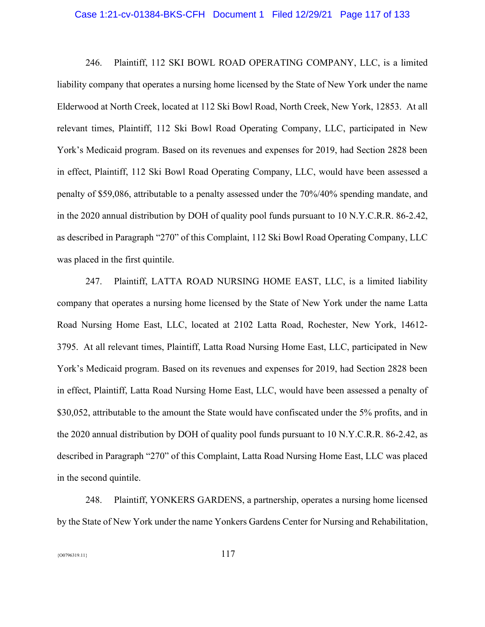#### Case 1:21-cv-01384-BKS-CFH Document 1 Filed 12/29/21 Page 117 of 133

246. Plaintiff, 112 SKI BOWL ROAD OPERATING COMPANY, LLC, is a limited liability company that operates a nursing home licensed by the State of New York under the name Elderwood at North Creek, located at 112 Ski Bowl Road, North Creek, New York, 12853. At all relevant times, Plaintiff, 112 Ski Bowl Road Operating Company, LLC, participated in New York's Medicaid program. Based on its revenues and expenses for 2019, had Section 2828 been in effect, Plaintiff, 112 Ski Bowl Road Operating Company, LLC, would have been assessed a penalty of \$59,086, attributable to a penalty assessed under the 70%/40% spending mandate, and in the 2020 annual distribution by DOH of quality pool funds pursuant to 10 N.Y.C.R.R. 86-2.42, as described in Paragraph "270" of this Complaint, 112 Ski Bowl Road Operating Company, LLC was placed in the first quintile.

247. Plaintiff, LATTA ROAD NURSING HOME EAST, LLC, is a limited liability company that operates a nursing home licensed by the State of New York under the name Latta Road Nursing Home East, LLC, located at 2102 Latta Road, Rochester, New York, 14612- 3795. At all relevant times, Plaintiff, Latta Road Nursing Home East, LLC, participated in New York's Medicaid program. Based on its revenues and expenses for 2019, had Section 2828 been in effect, Plaintiff, Latta Road Nursing Home East, LLC, would have been assessed a penalty of \$30,052, attributable to the amount the State would have confiscated under the 5% profits, and in the 2020 annual distribution by DOH of quality pool funds pursuant to 10 N.Y.C.R.R. 86-2.42, as described in Paragraph "270" of this Complaint, Latta Road Nursing Home East, LLC was placed in the second quintile.

248. Plaintiff, YONKERS GARDENS, a partnership, operates a nursing home licensed by the State of New York under the name Yonkers Gardens Center for Nursing and Rehabilitation,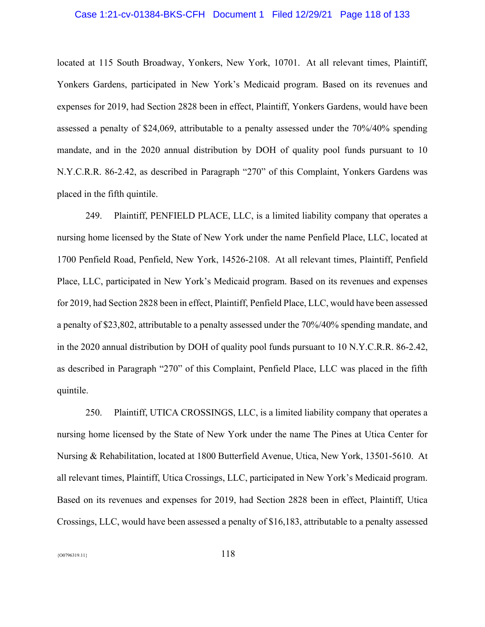### Case 1:21-cv-01384-BKS-CFH Document 1 Filed 12/29/21 Page 118 of 133

located at 115 South Broadway, Yonkers, New York, 10701. At all relevant times, Plaintiff, Yonkers Gardens, participated in New York's Medicaid program. Based on its revenues and expenses for 2019, had Section 2828 been in effect, Plaintiff, Yonkers Gardens, would have been assessed a penalty of \$24,069, attributable to a penalty assessed under the 70%/40% spending mandate, and in the 2020 annual distribution by DOH of quality pool funds pursuant to 10 N.Y.C.R.R. 86-2.42, as described in Paragraph "270" of this Complaint, Yonkers Gardens was placed in the fifth quintile.

249. Plaintiff, PENFIELD PLACE, LLC, is a limited liability company that operates a nursing home licensed by the State of New York under the name Penfield Place, LLC, located at 1700 Penfield Road, Penfield, New York, 14526-2108. At all relevant times, Plaintiff, Penfield Place, LLC, participated in New York's Medicaid program. Based on its revenues and expenses for 2019, had Section 2828 been in effect, Plaintiff, Penfield Place, LLC, would have been assessed a penalty of \$23,802, attributable to a penalty assessed under the 70%/40% spending mandate, and in the 2020 annual distribution by DOH of quality pool funds pursuant to 10 N.Y.C.R.R. 86-2.42, as described in Paragraph "270" of this Complaint, Penfield Place, LLC was placed in the fifth quintile.

250. Plaintiff, UTICA CROSSINGS, LLC, is a limited liability company that operates a nursing home licensed by the State of New York under the name The Pines at Utica Center for Nursing & Rehabilitation, located at 1800 Butterfield Avenue, Utica, New York, 13501-5610. At all relevant times, Plaintiff, Utica Crossings, LLC, participated in New York's Medicaid program. Based on its revenues and expenses for 2019, had Section 2828 been in effect, Plaintiff, Utica Crossings, LLC, would have been assessed a penalty of \$16,183, attributable to a penalty assessed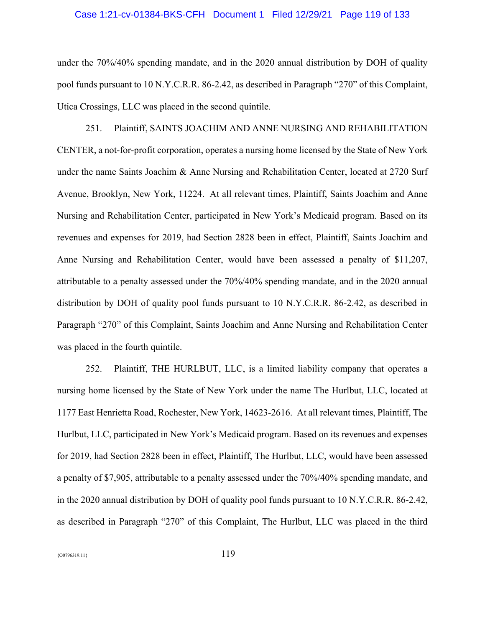#### Case 1:21-cv-01384-BKS-CFH Document 1 Filed 12/29/21 Page 119 of 133

under the 70%/40% spending mandate, and in the 2020 annual distribution by DOH of quality pool funds pursuant to 10 N.Y.C.R.R. 86-2.42, as described in Paragraph "270" of this Complaint, Utica Crossings, LLC was placed in the second quintile.

251. Plaintiff, SAINTS JOACHIM AND ANNE NURSING AND REHABILITATION CENTER, a not-for-profit corporation, operates a nursing home licensed by the State of New York under the name Saints Joachim & Anne Nursing and Rehabilitation Center, located at 2720 Surf Avenue, Brooklyn, New York, 11224. At all relevant times, Plaintiff, Saints Joachim and Anne Nursing and Rehabilitation Center, participated in New York's Medicaid program. Based on its revenues and expenses for 2019, had Section 2828 been in effect, Plaintiff, Saints Joachim and Anne Nursing and Rehabilitation Center, would have been assessed a penalty of \$11,207, attributable to a penalty assessed under the 70%/40% spending mandate, and in the 2020 annual distribution by DOH of quality pool funds pursuant to 10 N.Y.C.R.R. 86-2.42, as described in Paragraph "270" of this Complaint, Saints Joachim and Anne Nursing and Rehabilitation Center was placed in the fourth quintile.

252. Plaintiff, THE HURLBUT, LLC, is a limited liability company that operates a nursing home licensed by the State of New York under the name The Hurlbut, LLC, located at 1177 East Henrietta Road, Rochester, New York, 14623-2616. At all relevant times, Plaintiff, The Hurlbut, LLC, participated in New York's Medicaid program. Based on its revenues and expenses for 2019, had Section 2828 been in effect, Plaintiff, The Hurlbut, LLC, would have been assessed a penalty of \$7,905, attributable to a penalty assessed under the 70%/40% spending mandate, and in the 2020 annual distribution by DOH of quality pool funds pursuant to 10 N.Y.C.R.R. 86-2.42, as described in Paragraph "270" of this Complaint, The Hurlbut, LLC was placed in the third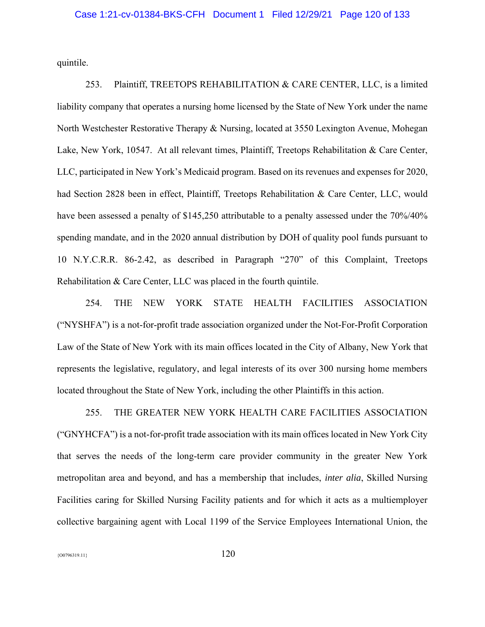quintile.

253. Plaintiff, TREETOPS REHABILITATION & CARE CENTER, LLC, is a limited liability company that operates a nursing home licensed by the State of New York under the name North Westchester Restorative Therapy & Nursing, located at 3550 Lexington Avenue, Mohegan Lake, New York, 10547. At all relevant times, Plaintiff, Treetops Rehabilitation & Care Center, LLC, participated in New York's Medicaid program. Based on its revenues and expenses for 2020, had Section 2828 been in effect, Plaintiff, Treetops Rehabilitation & Care Center, LLC, would have been assessed a penalty of \$145,250 attributable to a penalty assessed under the 70%/40% spending mandate, and in the 2020 annual distribution by DOH of quality pool funds pursuant to 10 N.Y.C.R.R. 86-2.42, as described in Paragraph "270" of this Complaint, Treetops Rehabilitation & Care Center, LLC was placed in the fourth quintile.

254. THE NEW YORK STATE HEALTH FACILITIES ASSOCIATION ("NYSHFA") is a not-for-profit trade association organized under the Not-For-Profit Corporation Law of the State of New York with its main offices located in the City of Albany, New York that represents the legislative, regulatory, and legal interests of its over 300 nursing home members located throughout the State of New York, including the other Plaintiffs in this action.

255. THE GREATER NEW YORK HEALTH CARE FACILITIES ASSOCIATION ("GNYHCFA") is a not-for-profit trade association with its main offices located in New York City that serves the needs of the long-term care provider community in the greater New York metropolitan area and beyond, and has a membership that includes, *inter alia*, Skilled Nursing Facilities caring for Skilled Nursing Facility patients and for which it acts as a multiemployer collective bargaining agent with Local 1199 of the Service Employees International Union, the

 ${120}$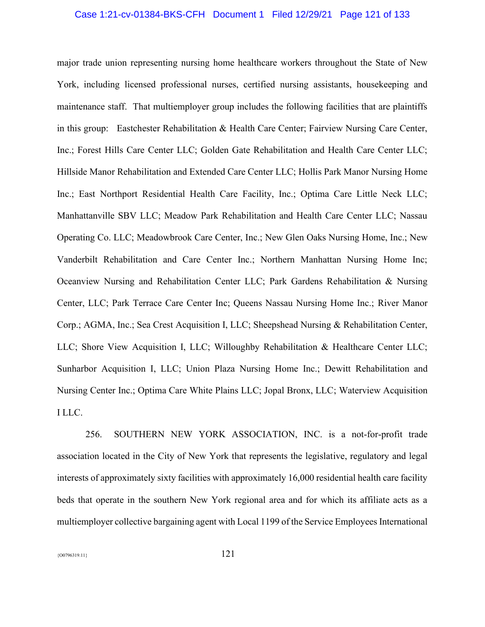#### Case 1:21-cv-01384-BKS-CFH Document 1 Filed 12/29/21 Page 121 of 133

major trade union representing nursing home healthcare workers throughout the State of New York, including licensed professional nurses, certified nursing assistants, housekeeping and maintenance staff. That multiemployer group includes the following facilities that are plaintiffs in this group: Eastchester Rehabilitation & Health Care Center; Fairview Nursing Care Center, Inc.; Forest Hills Care Center LLC; Golden Gate Rehabilitation and Health Care Center LLC; Hillside Manor Rehabilitation and Extended Care Center LLC; Hollis Park Manor Nursing Home Inc.; East Northport Residential Health Care Facility, Inc.; Optima Care Little Neck LLC; Manhattanville SBV LLC; Meadow Park Rehabilitation and Health Care Center LLC; Nassau Operating Co. LLC; Meadowbrook Care Center, Inc.; New Glen Oaks Nursing Home, Inc.; New Vanderbilt Rehabilitation and Care Center Inc.; Northern Manhattan Nursing Home Inc; Oceanview Nursing and Rehabilitation Center LLC; Park Gardens Rehabilitation & Nursing Center, LLC; Park Terrace Care Center Inc; Queens Nassau Nursing Home Inc.; River Manor Corp.; AGMA, Inc.; Sea Crest Acquisition I, LLC; Sheepshead Nursing & Rehabilitation Center, LLC; Shore View Acquisition I, LLC; Willoughby Rehabilitation & Healthcare Center LLC; Sunharbor Acquisition I, LLC; Union Plaza Nursing Home Inc.; Dewitt Rehabilitation and Nursing Center Inc.; Optima Care White Plains LLC; Jopal Bronx, LLC; Waterview Acquisition I LLC.

256. SOUTHERN NEW YORK ASSOCIATION, INC. is a not-for-profit trade association located in the City of New York that represents the legislative, regulatory and legal interests of approximately sixty facilities with approximately 16,000 residential health care facility beds that operate in the southern New York regional area and for which its affiliate acts as a multiemployer collective bargaining agent with Local 1199 of the Service Employees International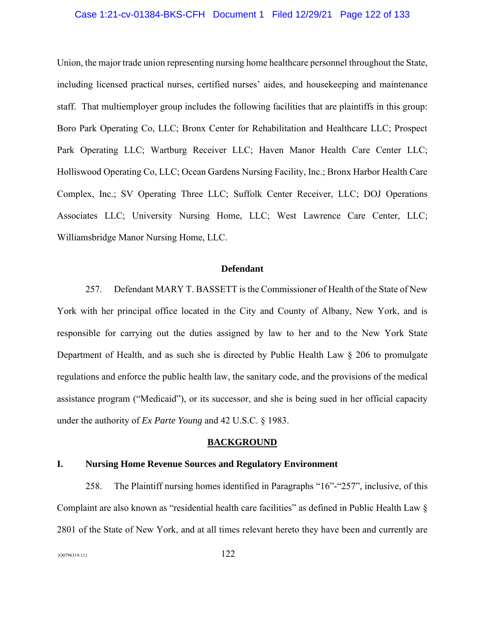### Case 1:21-cv-01384-BKS-CFH Document 1 Filed 12/29/21 Page 122 of 133

Union, the major trade union representing nursing home healthcare personnel throughout the State, including licensed practical nurses, certified nurses' aides, and housekeeping and maintenance staff. That multiemployer group includes the following facilities that are plaintiffs in this group: Boro Park Operating Co, LLC; Bronx Center for Rehabilitation and Healthcare LLC; Prospect Park Operating LLC; Wartburg Receiver LLC; Haven Manor Health Care Center LLC; Holliswood Operating Co, LLC; Ocean Gardens Nursing Facility, Inc.; Bronx Harbor Health Care Complex, Inc.; SV Operating Three LLC; Suffolk Center Receiver, LLC; DOJ Operations Associates LLC; University Nursing Home, LLC; West Lawrence Care Center, LLC; Williamsbridge Manor Nursing Home, LLC.

#### **Defendant**

257. Defendant MARY T. BASSETT is the Commissioner of Health of the State of New York with her principal office located in the City and County of Albany, New York, and is responsible for carrying out the duties assigned by law to her and to the New York State Department of Health, and as such she is directed by Public Health Law § 206 to promulgate regulations and enforce the public health law, the sanitary code, and the provisions of the medical assistance program ("Medicaid"), or its successor, and she is being sued in her official capacity under the authority of *Ex Parte Young* and 42 U.S.C. § 1983.

#### **BACKGROUND**

#### **I. Nursing Home Revenue Sources and Regulatory Environment**

258. The Plaintiff nursing homes identified in Paragraphs "16"-"257", inclusive, of this Complaint are also known as "residential health care facilities" as defined in Public Health Law § 2801 of the State of New York, and at all times relevant hereto they have been and currently are

 ${^{(00796319.11}}$  122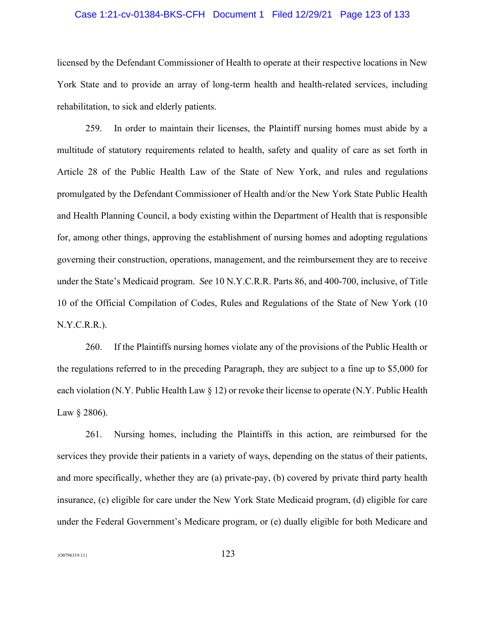### Case 1:21-cv-01384-BKS-CFH Document 1 Filed 12/29/21 Page 123 of 133

licensed by the Defendant Commissioner of Health to operate at their respective locations in New York State and to provide an array of long-term health and health-related services, including rehabilitation, to sick and elderly patients.

259. In order to maintain their licenses, the Plaintiff nursing homes must abide by a multitude of statutory requirements related to health, safety and quality of care as set forth in Article 28 of the Public Health Law of the State of New York, and rules and regulations promulgated by the Defendant Commissioner of Health and/or the New York State Public Health and Health Planning Council, a body existing within the Department of Health that is responsible for, among other things, approving the establishment of nursing homes and adopting regulations governing their construction, operations, management, and the reimbursement they are to receive under the State's Medicaid program. *See* 10 N.Y.C.R.R. Parts 86, and 400-700, inclusive, of Title 10 of the Official Compilation of Codes, Rules and Regulations of the State of New York (10 N.Y.C.R.R.).

260. If the Plaintiffs nursing homes violate any of the provisions of the Public Health or the regulations referred to in the preceding Paragraph, they are subject to a fine up to \$5,000 for each violation (N.Y. Public Health Law § 12) or revoke their license to operate (N.Y. Public Health Law § 2806).

261. Nursing homes, including the Plaintiffs in this action, are reimbursed for the services they provide their patients in a variety of ways, depending on the status of their patients, and more specifically, whether they are (a) private-pay, (b) covered by private third party health insurance, (c) eligible for care under the New York State Medicaid program, (d) eligible for care under the Federal Government's Medicare program, or (e) dually eligible for both Medicare and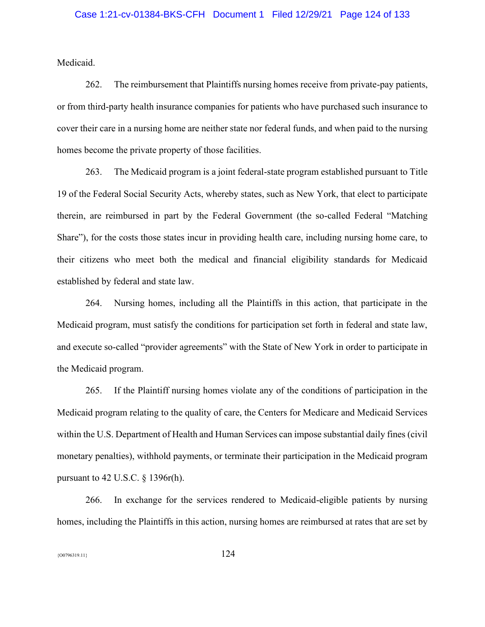Medicaid.

262. The reimbursement that Plaintiffs nursing homes receive from private-pay patients, or from third-party health insurance companies for patients who have purchased such insurance to cover their care in a nursing home are neither state nor federal funds, and when paid to the nursing homes become the private property of those facilities.

263. The Medicaid program is a joint federal-state program established pursuant to Title 19 of the Federal Social Security Acts, whereby states, such as New York, that elect to participate therein, are reimbursed in part by the Federal Government (the so-called Federal "Matching Share"), for the costs those states incur in providing health care, including nursing home care, to their citizens who meet both the medical and financial eligibility standards for Medicaid established by federal and state law.

264. Nursing homes, including all the Plaintiffs in this action, that participate in the Medicaid program, must satisfy the conditions for participation set forth in federal and state law, and execute so-called "provider agreements" with the State of New York in order to participate in the Medicaid program.

265. If the Plaintiff nursing homes violate any of the conditions of participation in the Medicaid program relating to the quality of care, the Centers for Medicare and Medicaid Services within the U.S. Department of Health and Human Services can impose substantial daily fines (civil monetary penalties), withhold payments, or terminate their participation in the Medicaid program pursuant to 42 U.S.C. § 1396r(h).

266. In exchange for the services rendered to Medicaid-eligible patients by nursing homes, including the Plaintiffs in this action, nursing homes are reimbursed at rates that are set by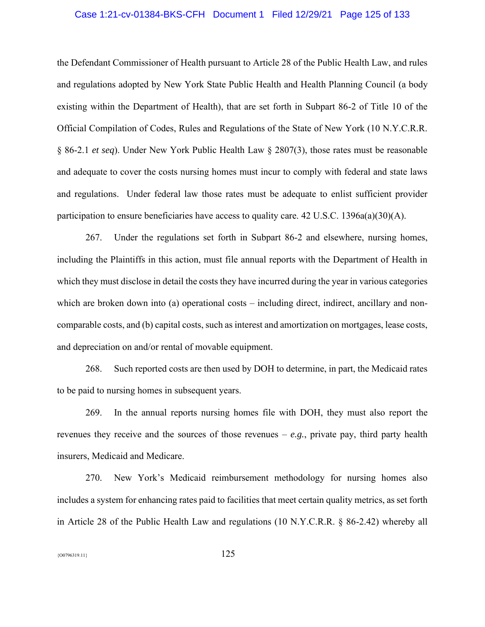### Case 1:21-cv-01384-BKS-CFH Document 1 Filed 12/29/21 Page 125 of 133

the Defendant Commissioner of Health pursuant to Article 28 of the Public Health Law, and rules and regulations adopted by New York State Public Health and Health Planning Council (a body existing within the Department of Health), that are set forth in Subpart 86-2 of Title 10 of the Official Compilation of Codes, Rules and Regulations of the State of New York (10 N.Y.C.R.R. § 86-2.1 *et seq*). Under New York Public Health Law § 2807(3), those rates must be reasonable and adequate to cover the costs nursing homes must incur to comply with federal and state laws and regulations. Under federal law those rates must be adequate to enlist sufficient provider participation to ensure beneficiaries have access to quality care.  $42 \text{ U.S.C. } 1396a(a)(30)(\text{A})$ .

267. Under the regulations set forth in Subpart 86-2 and elsewhere, nursing homes, including the Plaintiffs in this action, must file annual reports with the Department of Health in which they must disclose in detail the costs they have incurred during the year in various categories which are broken down into (a) operational costs – including direct, indirect, ancillary and noncomparable costs, and (b) capital costs, such as interest and amortization on mortgages, lease costs, and depreciation on and/or rental of movable equipment.

268. Such reported costs are then used by DOH to determine, in part, the Medicaid rates to be paid to nursing homes in subsequent years.

269. In the annual reports nursing homes file with DOH, they must also report the revenues they receive and the sources of those revenues – *e.g.*, private pay, third party health insurers, Medicaid and Medicare.

270. New York's Medicaid reimbursement methodology for nursing homes also includes a system for enhancing rates paid to facilities that meet certain quality metrics, as set forth in Article 28 of the Public Health Law and regulations (10 N.Y.C.R.R. § 86-2.42) whereby all

 ${^{(00796319.11}}$  125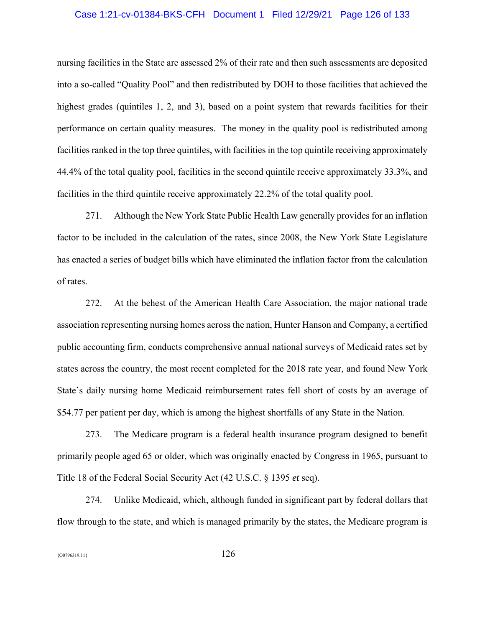### Case 1:21-cv-01384-BKS-CFH Document 1 Filed 12/29/21 Page 126 of 133

nursing facilities in the State are assessed 2% of their rate and then such assessments are deposited into a so-called "Quality Pool" and then redistributed by DOH to those facilities that achieved the highest grades (quintiles 1, 2, and 3), based on a point system that rewards facilities for their performance on certain quality measures. The money in the quality pool is redistributed among facilities ranked in the top three quintiles, with facilities in the top quintile receiving approximately 44.4% of the total quality pool, facilities in the second quintile receive approximately 33.3%, and facilities in the third quintile receive approximately 22.2% of the total quality pool.

271. Although the New York State Public Health Law generally provides for an inflation factor to be included in the calculation of the rates, since 2008, the New York State Legislature has enacted a series of budget bills which have eliminated the inflation factor from the calculation of rates.

272. At the behest of the American Health Care Association, the major national trade association representing nursing homes across the nation, Hunter Hanson and Company, a certified public accounting firm, conducts comprehensive annual national surveys of Medicaid rates set by states across the country, the most recent completed for the 2018 rate year, and found New York State's daily nursing home Medicaid reimbursement rates fell short of costs by an average of \$54.77 per patient per day, which is among the highest shortfalls of any State in the Nation.

273. The Medicare program is a federal health insurance program designed to benefit primarily people aged 65 or older, which was originally enacted by Congress in 1965, pursuant to Title 18 of the Federal Social Security Act (42 U.S.C. § 1395 *et* seq).

274. Unlike Medicaid, which, although funded in significant part by federal dollars that flow through to the state, and which is managed primarily by the states, the Medicare program is

 ${126}$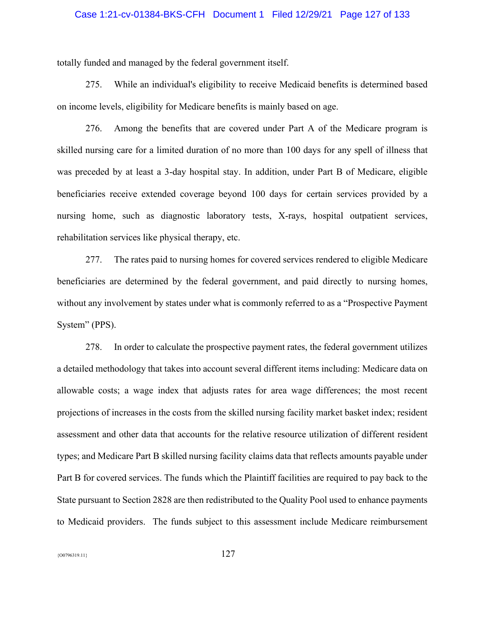### Case 1:21-cv-01384-BKS-CFH Document 1 Filed 12/29/21 Page 127 of 133

totally funded and managed by the federal government itself.

275. While an individual's eligibility to receive Medicaid benefits is determined based on income levels, eligibility for Medicare benefits is mainly based on age.

276. Among the benefits that are covered under Part A of the Medicare program is skilled nursing care for a limited duration of no more than 100 days for any spell of illness that was preceded by at least a 3-day hospital stay. In addition, under Part B of Medicare, eligible beneficiaries receive extended coverage beyond 100 days for certain services provided by a nursing home, such as diagnostic laboratory tests, X-rays, hospital outpatient services, rehabilitation services like physical therapy, etc.

277. The rates paid to nursing homes for covered services rendered to eligible Medicare beneficiaries are determined by the federal government, and paid directly to nursing homes, without any involvement by states under what is commonly referred to as a "Prospective Payment System" (PPS).

278. In order to calculate the prospective payment rates, the federal government utilizes a detailed methodology that takes into account several different items including: Medicare data on allowable costs; a wage index that adjusts rates for area wage differences; the most recent projections of increases in the costs from the skilled nursing facility market basket index; resident assessment and other data that accounts for the relative resource utilization of different resident types; and Medicare Part B skilled nursing facility claims data that reflects amounts payable under Part B for covered services. The funds which the Plaintiff facilities are required to pay back to the State pursuant to Section 2828 are then redistributed to the Quality Pool used to enhance payments to Medicaid providers. The funds subject to this assessment include Medicare reimbursement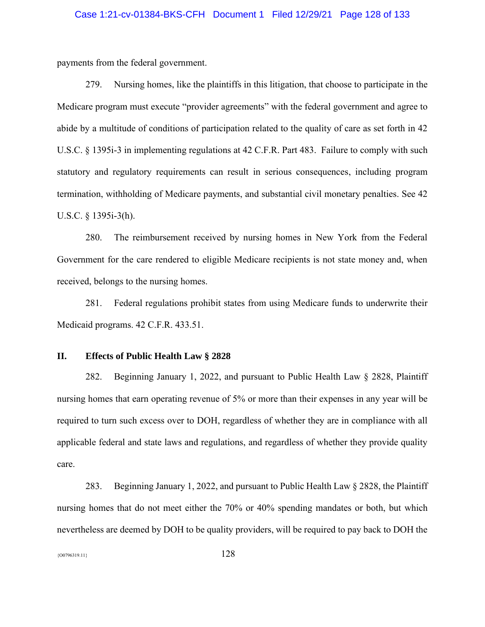### Case 1:21-cv-01384-BKS-CFH Document 1 Filed 12/29/21 Page 128 of 133

payments from the federal government.

279. Nursing homes, like the plaintiffs in this litigation, that choose to participate in the Medicare program must execute "provider agreements" with the federal government and agree to abide by a multitude of conditions of participation related to the quality of care as set forth in 42 U.S.C. § 1395i-3 in implementing regulations at 42 C.F.R. Part 483. Failure to comply with such statutory and regulatory requirements can result in serious consequences, including program termination, withholding of Medicare payments, and substantial civil monetary penalties. See 42 U.S.C. § 1395i-3(h).

280. The reimbursement received by nursing homes in New York from the Federal Government for the care rendered to eligible Medicare recipients is not state money and, when received, belongs to the nursing homes.

281. Federal regulations prohibit states from using Medicare funds to underwrite their Medicaid programs. 42 C.F.R. 433.51.

#### **II. Effects of Public Health Law § 2828**

282. Beginning January 1, 2022, and pursuant to Public Health Law § 2828, Plaintiff nursing homes that earn operating revenue of 5% or more than their expenses in any year will be required to turn such excess over to DOH, regardless of whether they are in compliance with all applicable federal and state laws and regulations, and regardless of whether they provide quality care.

283. Beginning January 1, 2022, and pursuant to Public Health Law § 2828, the Plaintiff nursing homes that do not meet either the 70% or 40% spending mandates or both, but which nevertheless are deemed by DOH to be quality providers, will be required to pay back to DOH the

 ${^{(00796319.11}}$  128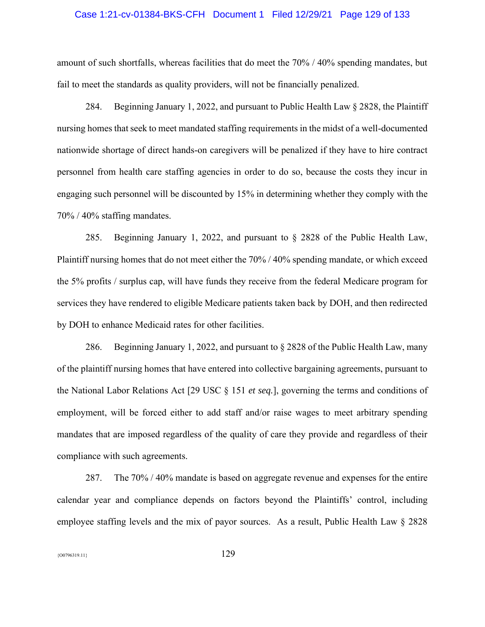### Case 1:21-cv-01384-BKS-CFH Document 1 Filed 12/29/21 Page 129 of 133

amount of such shortfalls, whereas facilities that do meet the 70% / 40% spending mandates, but fail to meet the standards as quality providers, will not be financially penalized.

284. Beginning January 1, 2022, and pursuant to Public Health Law § 2828, the Plaintiff nursing homes that seek to meet mandated staffing requirements in the midst of a well-documented nationwide shortage of direct hands-on caregivers will be penalized if they have to hire contract personnel from health care staffing agencies in order to do so, because the costs they incur in engaging such personnel will be discounted by 15% in determining whether they comply with the 70% / 40% staffing mandates.

285. Beginning January 1, 2022, and pursuant to § 2828 of the Public Health Law, Plaintiff nursing homes that do not meet either the 70% / 40% spending mandate, or which exceed the 5% profits / surplus cap, will have funds they receive from the federal Medicare program for services they have rendered to eligible Medicare patients taken back by DOH, and then redirected by DOH to enhance Medicaid rates for other facilities.

286. Beginning January 1, 2022, and pursuant to § 2828 of the Public Health Law, many of the plaintiff nursing homes that have entered into collective bargaining agreements, pursuant to the National Labor Relations Act [29 USC § 151 *et seq.*], governing the terms and conditions of employment, will be forced either to add staff and/or raise wages to meet arbitrary spending mandates that are imposed regardless of the quality of care they provide and regardless of their compliance with such agreements.

287. The 70% / 40% mandate is based on aggregate revenue and expenses for the entire calendar year and compliance depends on factors beyond the Plaintiffs' control, including employee staffing levels and the mix of payor sources. As a result, Public Health Law § 2828

 ${^{(00796319.11)}}$  129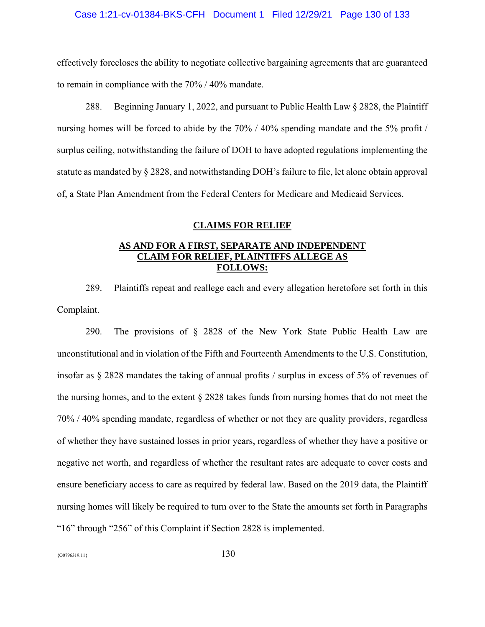### Case 1:21-cv-01384-BKS-CFH Document 1 Filed 12/29/21 Page 130 of 133

effectively forecloses the ability to negotiate collective bargaining agreements that are guaranteed to remain in compliance with the 70% / 40% mandate.

288. Beginning January 1, 2022, and pursuant to Public Health Law § 2828, the Plaintiff nursing homes will be forced to abide by the 70% / 40% spending mandate and the 5% profit / surplus ceiling, notwithstanding the failure of DOH to have adopted regulations implementing the statute as mandated by § 2828, and notwithstanding DOH's failure to file, let alone obtain approval of, a State Plan Amendment from the Federal Centers for Medicare and Medicaid Services.

#### **CLAIMS FOR RELIEF**

# **AS AND FOR A FIRST, SEPARATE AND INDEPENDENT CLAIM FOR RELIEF, PLAINTIFFS ALLEGE AS FOLLOWS:**

289. Plaintiffs repeat and reallege each and every allegation heretofore set forth in this Complaint.

290. The provisions of § 2828 of the New York State Public Health Law are unconstitutional and in violation of the Fifth and Fourteenth Amendments to the U.S. Constitution, insofar as § 2828 mandates the taking of annual profits / surplus in excess of 5% of revenues of the nursing homes, and to the extent § 2828 takes funds from nursing homes that do not meet the 70% / 40% spending mandate, regardless of whether or not they are quality providers, regardless of whether they have sustained losses in prior years, regardless of whether they have a positive or negative net worth, and regardless of whether the resultant rates are adequate to cover costs and ensure beneficiary access to care as required by federal law. Based on the 2019 data, the Plaintiff nursing homes will likely be required to turn over to the State the amounts set forth in Paragraphs "16" through "256" of this Complaint if Section 2828 is implemented.

 ${130}$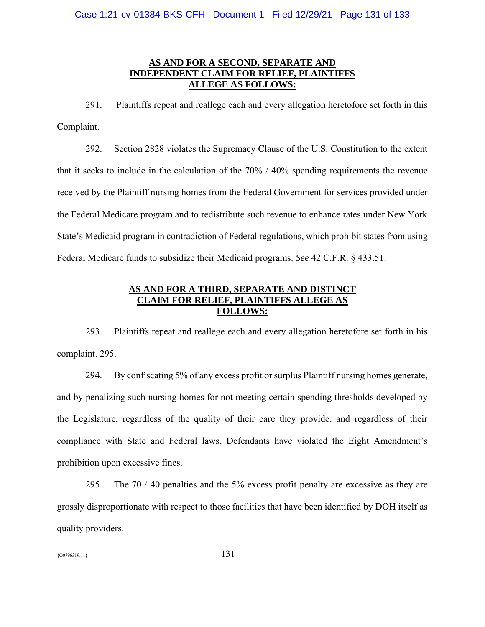# **AS AND FOR A SECOND, SEPARATE AND INDEPENDENT CLAIM FOR RELIEF, PLAINTIFFS ALLEGE AS FOLLOWS:**

291. Plaintiffs repeat and reallege each and every allegation heretofore set forth in this Complaint.

292. Section 2828 violates the Supremacy Clause of the U.S. Constitution to the extent that it seeks to include in the calculation of the 70% / 40% spending requirements the revenue received by the Plaintiff nursing homes from the Federal Government for services provided under the Federal Medicare program and to redistribute such revenue to enhance rates under New York State's Medicaid program in contradiction of Federal regulations, which prohibit states from using Federal Medicare funds to subsidize their Medicaid programs. *See* 42 C.F.R. § 433.51.

## **AS AND FOR A THIRD, SEPARATE AND DISTINCT CLAIM FOR RELIEF, PLAINTIFFS ALLEGE AS FOLLOWS:**

293. Plaintiffs repeat and reallege each and every allegation heretofore set forth in his complaint. 295.

294. By confiscating 5% of any excess profit or surplus Plaintiff nursing homes generate, and by penalizing such nursing homes for not meeting certain spending thresholds developed by the Legislature, regardless of the quality of their care they provide, and regardless of their compliance with State and Federal laws, Defendants have violated the Eight Amendment's prohibition upon excessive fines.

295. The 70 / 40 penalties and the 5% excess profit penalty are excessive as they are grossly disproportionate with respect to those facilities that have been identified by DOH itself as quality providers.

 ${131}$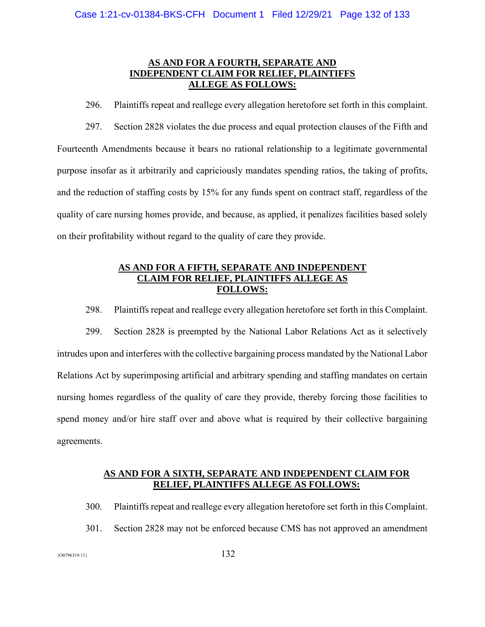# **AS AND FOR A FOURTH, SEPARATE AND INDEPENDENT CLAIM FOR RELIEF, PLAINTIFFS ALLEGE AS FOLLOWS:**

296. Plaintiffs repeat and reallege every allegation heretofore set forth in this complaint. 297. Section 2828 violates the due process and equal protection clauses of the Fifth and Fourteenth Amendments because it bears no rational relationship to a legitimate governmental purpose insofar as it arbitrarily and capriciously mandates spending ratios, the taking of profits, and the reduction of staffing costs by 15% for any funds spent on contract staff, regardless of the quality of care nursing homes provide, and because, as applied, it penalizes facilities based solely on their profitability without regard to the quality of care they provide.

# **AS AND FOR A FIFTH, SEPARATE AND INDEPENDENT CLAIM FOR RELIEF, PLAINTIFFS ALLEGE AS FOLLOWS:**

298. Plaintiffs repeat and reallege every allegation heretofore set forth in this Complaint.

299. Section 2828 is preempted by the National Labor Relations Act as it selectively intrudes upon and interferes with the collective bargaining process mandated by the National Labor Relations Act by superimposing artificial and arbitrary spending and staffing mandates on certain nursing homes regardless of the quality of care they provide, thereby forcing those facilities to spend money and/or hire staff over and above what is required by their collective bargaining agreements.

### **AS AND FOR A SIXTH, SEPARATE AND INDEPENDENT CLAIM FOR RELIEF, PLAINTIFFS ALLEGE AS FOLLOWS:**

- 300. Plaintiffs repeat and reallege every allegation heretofore set forth in this Complaint.
- 301. Section 2828 may not be enforced because CMS has not approved an amendment

 ${132}$